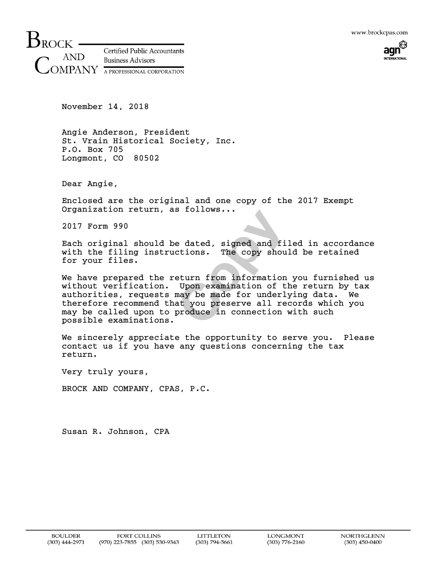

 $\mathsf{B}_{\rm{ROCK}}$  -**Certified Public Accountants** AND **Business Advisors**  $\operatorname{MPANY}$  a professional corporation

November 14, 2018

Angie Anderson, President St. Vrain Historical Society, Inc. P.O. Box 705 Longmont, CO 80502

Dear Angie,

Enclosed are the original and one copy of the 2017 Exempt Organization return, as follows...

2017 Form 990

Each original should be dated, signed and filed in accordance with the filing instructions. The copy should be retained for your files.

e dated, signed and file<br>ctions. The copy should<br>eturn from information you<br>Upon examination of the<br>may be made for underlying<br>at you preserve all recomproduce in connection with We have prepared the return from information you furnished us without verification. Upon examination of the return by tax authorities, requests may be made for underlying data. We therefore recommend that you preserve all records which you may be called upon to produce in connection with such possible examinations.

We sincerely appreciate the opportunity to serve you. Please contact us if you have any questions concerning the tax return.

Very truly yours,

BROCK AND COMPANY, CPAS, P.C.

Susan R. Johnson, CPA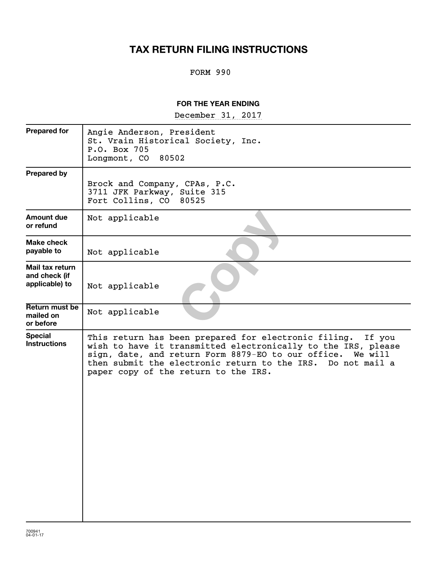## **TAX RETURN FILING INSTRUCTIONS**

## FORM 990

## **FOR THE YEAR ENDING**

~~~~~~~~~~~~~~~~~ December 31, 2017

| <b>Prepared for</b>                                | Angie Anderson, President<br>St. Vrain Historical Society, Inc.<br>P.O. Box 705<br>Longmont, CO 80502                                                                                                                                                                                                |
|----------------------------------------------------|------------------------------------------------------------------------------------------------------------------------------------------------------------------------------------------------------------------------------------------------------------------------------------------------------|
| <b>Prepared by</b>                                 | Brock and Company, CPAs, P.C.<br>3711 JFK Parkway, Suite 315<br>Fort Collins, CO<br>80525                                                                                                                                                                                                            |
| Amount due<br>or refund                            | Not applicable                                                                                                                                                                                                                                                                                       |
| Make check<br>payable to                           | Not applicable                                                                                                                                                                                                                                                                                       |
| Mail tax return<br>and check (if<br>applicable) to | Not applicable                                                                                                                                                                                                                                                                                       |
| Return must be<br>mailed on<br>or before           | Not applicable                                                                                                                                                                                                                                                                                       |
| <b>Special</b><br><b>Instructions</b>              | This return has been prepared for electronic filing.<br>If you<br>wish to have it transmitted electronically to the IRS, please<br>sign, date, and return Form 8879-EO to our office. We will<br>then submit the electronic return to the IRS. Do not mail a<br>paper copy of the return to the IRS. |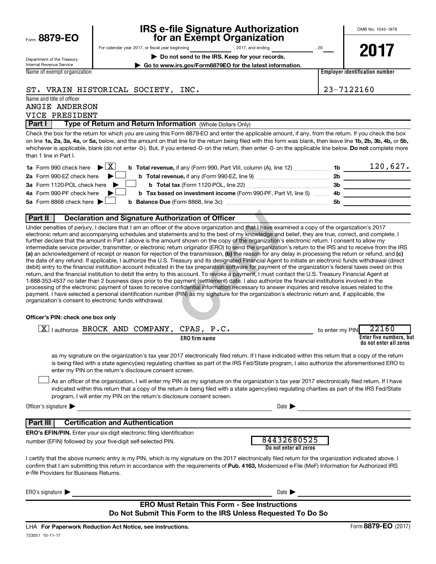|  | Form 8879-EO |  |  |  |
|--|--------------|--|--|--|
|--|--------------|--|--|--|

# **IRS e-file Signature Authorization**<br>**687 for an Exempt Organization**

OMB No. 1545-1878

Department of the Treasury Internal Revenue Service

For calendar year 2017, or fiscal year beginning and part of the set of 2017, and ending contact the set of 20

**| Do not send to the IRS. Keep for your records. | Go to www.irs.gov/Form8879EO for the latest information.** **2017**

Name of exempt organization

**Employer identification number**

ST. VRAIN HISTORICAL SOCIETY, INC.  $\vert$  23-7122160

Name and title of officer

ANGIE ANDERSON VICE PRESIDENT

**Part I** | Type of Return and Return Information (Whole Dollars Only)

on line 1a, 2a, 3a, 4a, or 5a, below, and the amount on that line for the return being filed with this form was blank, then leave line 1b, 2b, 3b, 4b, or 5b, whichever is applicable, blank (do not enter -0-). But, if you entered -0- on the return, then enter -0- on the applicable line below. **Do not** complete more Check the box for the return for which you are using this Form 8879-EO and enter the applicable amount, if any, from the return. If you check the box than 1 line in Part I.

| <b>1a</b> Form 990 check here $\triangleright$ $\boxed{X}$                                                                    |     | 120,627. |
|-------------------------------------------------------------------------------------------------------------------------------|-----|----------|
| 2a Form 990-EZ check here $\blacktriangleright$                                                                               | 2b  |          |
| 3a Form 1120-POL check here $\blacktriangleright$                                                                             | -3b |          |
| 4a Form 990-PF check here $\blacktriangleright$<br><b>b</b> Tax based on investment income (Form 990-PF, Part VI, line 5)  4b |     |          |
| 5a Form 8868 check here $\blacktriangleright$ $\Box$                                                                          | .5b |          |
|                                                                                                                               |     |          |

#### **Part II Declaration and Signature Authorization of Officer**

**rization of Officer**<br>
the above organization and that I have examined<br>
ents and to the best of my knowledge and belief<br>
int shown on the copy of the organization's electr<br>
um originator (ERO) to send the organization's re (a) an acknowledgement of receipt or reason for rejection of the transmission, (b) the reason for any delay in processing the return or refund, and (c) Under penalties of perjury, I declare that I am an officer of the above organization and that I have examined a copy of the organization's 2017 electronic return and accompanying schedules and statements and to the best of my knowledge and belief, they are true, correct, and complete. I further declare that the amount in Part I above is the amount shown on the copy of the organization's electronic return. I consent to allow my intermediate service provider, transmitter, or electronic return originator (ERO) to send the organization's return to the IRS and to receive from the IRS the date of any refund. If applicable, I authorize the U.S. Treasury and its designated Financial Agent to initiate an electronic funds withdrawal (direct debit) entry to the financial institution account indicated in the tax preparation software for payment of the organization's federal taxes owed on this return, and the financial institution to debit the entry to this account. To revoke a payment, I must contact the U.S. Treasury Financial Agent at 1-888-353-4537 no later than 2 business days prior to the payment (settlement) date. I also authorize the financial institutions involved in the processing of the electronic payment of taxes to receive confidential information necessary to answer inquiries and resolve issues related to the payment. I have selected a personal identification number (PIN) as my signature for the organization's electronic return and, if applicable, the organization's consent to electronic funds withdrawal.

#### **Officer's PIN: check one box only**

| lauthorize BROCK AND COMPANY, CPAS, P.C.                                                                                                                                                                                                                                                                                                                                         | 22160<br>to enter my PIN                          |
|----------------------------------------------------------------------------------------------------------------------------------------------------------------------------------------------------------------------------------------------------------------------------------------------------------------------------------------------------------------------------------|---------------------------------------------------|
| <b>ERO</b> firm name                                                                                                                                                                                                                                                                                                                                                             | Enter five numbers, but<br>do not enter all zeros |
| as my signature on the organization's tax year 2017 electronically filed return. If I have indicated within this return that a copy of the return<br>is being filed with a state agency(ies) regulating charities as part of the IRS Fed/State program, I also authorize the aforementioned ERO to<br>enter my PIN on the return's disclosure consent screen.                    |                                                   |
| As an officer of the organization, I will enter my PIN as my signature on the organization's tax year 2017 electronically filed return. If I have<br>indicated within this return that a copy of the return is being filed with a state agency(ies) regulating charities as part of the IRS Fed/State<br>program, I will enter my PIN on the return's disclosure consent screen. |                                                   |
| Officer's signature $\blacktriangleright$<br>Date <b>D</b>                                                                                                                                                                                                                                                                                                                       |                                                   |
| <b>Certification and Authentication</b><br>Part III                                                                                                                                                                                                                                                                                                                              |                                                   |
| <b>ERO's EFIN/PIN.</b> Enter your six-digit electronic filing identification<br>84432680525<br>number (EFIN) followed by your five-digit self-selected PIN.                                                                                                                                                                                                                      |                                                   |
| Do not enter all zeros                                                                                                                                                                                                                                                                                                                                                           |                                                   |
| I certify that the above numeric entry is my PIN, which is my signature on the 2017 electronically filed return for the organization indicated above. I<br>confirm that I am submitting this return in accordance with the requirements of Pub. 4163, Modernized e-File (MeF) Information for Authorized IRS<br>e-file Providers for Business Returns.                           |                                                   |
| ERO's signature<br>Date I                                                                                                                                                                                                                                                                                                                                                        |                                                   |

#### **ERO Must Retain This Form - See Instructions Do Not Submit This Form to the IRS Unless Requested To Do So**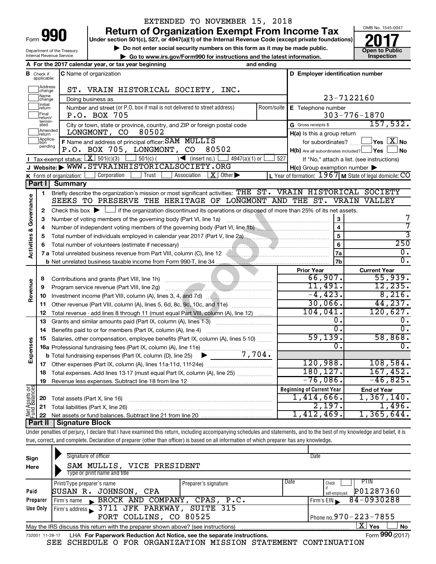| Form |  |
|------|--|

Department of the Treasury Internal Revenue Service

## EXTENDED TO NOVEMBER 15, 2018

**Return of Organization Exempt From Income Tax** 

**Under section 501(c), 527, or 4947(a)(1) of the Internal Revenue Code (except private foundations)**

**but the Social security numbers on this form as it may be made public. Collection Constant Constructions and the latest information. Collection Constructions Collection Constructions Collection Constructio | Go to www.irs.gov/Form990 for instructions and the latest information. Inspection**



7 7 3

**A For the 2017 calendar year, or tax year beginning and ending B** Check if **C** Name of organization **C D Employer identification number** Check if C Name of organization applicable: Haddress<br>
Change ST. VRAIN HISTORICAL SOCIETY, INC. Name<br>
change 23-7122160 Doing business as Initial<br>Treturn  $\Box$ **E** Telephone number Number and street (or P.O. box if mail is not delivered to street address) Room/suite | E Telephone number P.O. BOX 705 303-776-1870  $\Box$ Final **P.O. BOX 705**<br>return/<br>ated City or town, state or province, country, and ZIP or foreign postal code Gross receipts \$ 157,532. G Gross receipts \$ **Example 1**<br>Treturn LONGMONT, CO 80502 **H(a)** Is this a group return Applica-<br>
pending<br>
pending **F** Name and address of principal officer: SAM MULLIS for subordinates? **The SAM NO** P.O. BOX 705, LONGMONT, CO 80502  $H(b)$  Are all subordinates included?  $\Box$  Yes  $\Box$  No Tax-exempt status:  $\boxed{\text{X}}$  $\boxed{\mathbf{X}}$  501(c)(3)  $\boxed{\phantom{0}}$  501(c)(  $\phantom{\times}$  (insert no.)  $\boxed{\phantom{0}}$  4947(a)(1) or  $\boxed{\phantom{0}}$  527 If "No," attach a list. (see instructions) **I J Website: |** WWW.STVRAINHISTORICALSOCIETY.ORG **H(c)** Group exemption number **K** Form of organization: Form of organization:  $\Box$  Corporation  $\Box$  Trust  $\Box$  Association  $\Box$  Other  $\blacktriangleright$  Let  $\Box$  Year of formation:  $1967$  M State of legal domicile:  $\rm CO$  $\vert$  Corporation  $\vert$  Trust  $\vert$  Association  $\vert$  **X**  $\vert$  Other  $\blacktriangleright$ **Part I Summary** Briefly describe the organization's mission or most significant activities:  $\text{THE}\ \ \text{ST}$ . VRAIN HISTORICAL SOCIETY **1** Activities & Governance **Activities & Governance** SEEKS TO PRESERVE THE HERITAGE OF LONGMONT AND THE ST. VRAIN VALLEY Check this box  $\blacktriangleright$  if the organization discontinued its operations or disposed of more than 25% of its net assets. **2** ontinued its operations or disposed of more than<br>
y (Part VI, line 1a)<br>
givening body (Part VI, line 1b)<br>
y vear 2017 (Part V, line 2a)<br>
()<br>
Column (C), line 12<br>
<u>France and 2d</u><br>
(2)<br>
Column (A), line 12<br>
(A), lines 1-3) **3 3** Number of voting members of the governing body (Part VI, line 1a) www.community.community.community.com **4 4** Number of independent voting members of the governing body (Part VI, line 1b) www.communition.com **5 5** Total number of individuals employed in calendar year 2017 (Part V, line 2a) \_\_\_\_\_\_\_\_\_\_\_\_\_\_\_\_\_\_\_\_\_\_\_\_\_\_\_\_\_\_\_\_ 250 **6 6** Total number of volunteers (estimate if necessary) ~~~~~~~~~~~~~~~~~~~~~~~~~~~~~ **7a** 0. **7 a** Total unrelated business revenue from Part VIII, column (C), line 12 **Columbia and Contain and Contain and Co**  $\overline{0}$  . **7b b** Net unrelated business taxable income from Form 990-T, line 34 **Prior Year Current Year** 66,907. 55,939. Contributions and grants (Part VIII, line 1h) .................................. **8 Revenue** 11,491. 12,235. Program service revenue (Part VIII, line 2g) ~~~~~~~~~~~~~~~~~~~~~ **9**  $-4,423.$  8,216. **10** Investment income (Part VIII, column (A), lines 3, 4, and 7d)  $\ldots$ Other revenue (Part VIII, column (A), lines 5, 6d, 8c, 9c, 10c, and 11e)  $\ldots$ 30,066. 44,237. **11** 104,041. 120,627. Total revenue - add lines 8 through 11 (must equal Part VIII, column (A), line 12) **12**  $\begin{array}{ccc} 0 \cdot & 0 \end{array}$ **13** Grants and similar amounts paid (Part IX, column (A), lines 1-3) \_\_\_\_\_\_\_\_\_\_\_\_\_\_\_\_\_\_\_\_\_  $\overline{0.1}$   $\overline{0.0}$ **14** Benefits paid to or for members (Part IX, column (A), line 4) ~~~~~~~~~~~~~ 59,139. 58,868. **15** Salaries, other compensation, employee benefits (Part IX, column (A), lines 5-10)  $\ldots \ldots \ldots$ **Expenses**  $\begin{array}{ccc} 0 \end{array}$ . **16 a** Professional fundraising fees (Part IX, column (A), line 11e) ~~~~~~~~~~~~~~ 7,704.  $\blacktriangleright$ **b** Total fundraising expenses (Part IX, column (D), line 25) 120,988. 108,584. **17** Other expenses (Part IX, column (A), lines 11a 11d, 11f 24e) ……………………………… 180,127. 167,452. **18** Total expenses. Add lines 13-17 (must equal Part IX, column (A), line 25) .....................  $-76,086.$   $-46,825.$ **19** Revenue less expenses. Subtract line 18 from line 12 **Net Assets or Fund Balances Beginning of Current Year End of Year** 1,414,666. 1,367,140. **20** Total assets (Part X, line 16) ~~~~~~~~~~~~~~~~~~~~~~~~~~~~ 2,197. 1,496. **21** Total liabilities (Part X, line 26) ~~~~~~~~~~~~~~~~~~~~~~~~~~~ 1,412,469. 1,365,644. **22** Net assets or fund balances. Subtract line 21 from line 20 **Part II Signature Block**

Under penalties of perjury, I declare that I have examined this return, including accompanying schedules and statements, and to the best of my knowledge and belief, it is true, correct, and complete. Declaration of preparer (other than officer) is based on all information of which preparer has any knowledge.

| Sign<br>Here    | Signature of officer<br>SAM MULLIS, VICE PRESIDENT<br>Type or print name and title |                      |      | Date                                        |
|-----------------|------------------------------------------------------------------------------------|----------------------|------|---------------------------------------------|
| Paid            | Print/Type preparer's name<br>SUSAN R. JOHNSON, CPA                                | Preparer's signature | Date | PTIN<br>Check<br>P01287360                  |
| Preparer        | BROCK AND COMPANY, CPAS, P.C.<br>Firm's name                                       |                      |      | self-emploved<br>84-0930288<br>Firm's $EIN$ |
| Use Only        | Firm's address 3711 JFK PARKWAY, SUITE 315                                         |                      |      |                                             |
|                 | FORT COLLINS, CO 80525                                                             |                      |      | Phone no.970 - 223 - 7855                   |
|                 | May the IRS discuss this return with the preparer shown above? (see instructions)  |                      |      | $\mathbf{X}$ Yes<br><b>No</b>               |
| 732001 11-28-17 | LHA For Paperwork Reduction Act Notice, see the separate instructions.             |                      |      | Form 990 (2017)                             |

SEE SCHEDULE O FOR ORGANIZATION MISSION STATEMENT CONTINUATION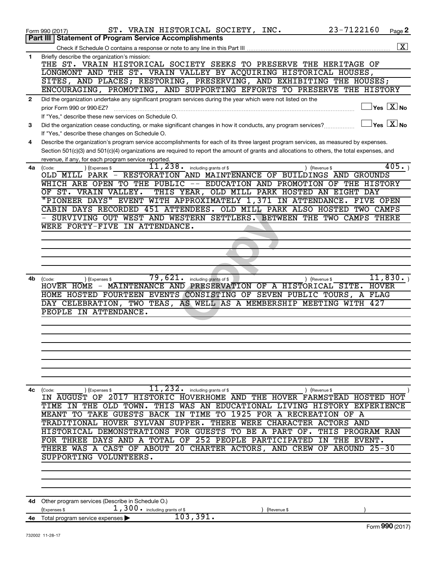|              | 23-7122160<br>ST. VRAIN HISTORICAL SOCIETY, INC.<br>Page 2<br>Form 990 (2017)                                                                                                                                                                                                        |
|--------------|--------------------------------------------------------------------------------------------------------------------------------------------------------------------------------------------------------------------------------------------------------------------------------------|
|              | <b>Part III   Statement of Program Service Accomplishments</b><br>$\overline{\mathbf{x}}$                                                                                                                                                                                            |
| 1            | Briefly describe the organization's mission:                                                                                                                                                                                                                                         |
|              | THE ST. VRAIN HISTORICAL SOCIETY SEEKS TO PRESERVE THE HERITAGE OF                                                                                                                                                                                                                   |
|              | LONGMONT AND THE ST. VRAIN VALLEY BY ACQUIRING HISTORICAL HOUSES,                                                                                                                                                                                                                    |
|              | SITES, AND PLACES; RESTORING, PRESERVING, AND EXHIBITING THE HOUSES;<br>ENCOURAGING, PROMOTING, AND SUPPORTING EFFORTS TO PRESERVE THE HISTORY                                                                                                                                       |
| $\mathbf{2}$ | Did the organization undertake any significant program services during the year which were not listed on the                                                                                                                                                                         |
|              | $ {\mathsf Y}\mathsf{es}\ \boxed{{\mathsf X}}$ No<br>prior Form 990 or 990-EZ?                                                                                                                                                                                                       |
|              | If "Yes," describe these new services on Schedule O.                                                                                                                                                                                                                                 |
| 3            | $\sqrt{\mathsf{Yes}\ \boxed{\mathrm{X}}}$ No<br>Did the organization cease conducting, or make significant changes in how it conducts, any program services?                                                                                                                         |
|              | If "Yes," describe these changes on Schedule O.                                                                                                                                                                                                                                      |
| 4            | Describe the organization's program service accomplishments for each of its three largest program services, as measured by expenses.<br>Section 501(c)(3) and 501(c)(4) organizations are required to report the amount of grants and allocations to others, the total expenses, and |
|              | revenue, if any, for each program service reported.                                                                                                                                                                                                                                  |
| 4a           | 405.<br>$\overline{11}$ , $\overline{238}$ o including grants of \$<br>) (Revenue \$<br>(Expenses \$<br>(Code:                                                                                                                                                                       |
|              | OLD MILL PARK - RESTORATION AND MAINTENANCE OF BUILDINGS AND GROUNDS                                                                                                                                                                                                                 |
|              | WHICH ARE OPEN TO THE PUBLIC -- EDUCATION AND PROMOTION OF THE HISTORY                                                                                                                                                                                                               |
|              | THIS YEAR, OLD MILL PARK HOSTED AN EIGHT DAY<br>OF ST. VRAIN VALLEY.<br>"PIONEER DAYS" EVENT WITH APPROXIMATELY 1,371 IN ATTENDANCE.<br>FIVE OPEN                                                                                                                                    |
|              | CABIN DAYS RECORDED 451 ATTENDEES. OLD MILL PARK ALSO HOSTED<br>TWO CAMPS                                                                                                                                                                                                            |
|              | SURVIVING OUT WEST AND WESTERN SETTLERS. BETWEEN THE TWO CAMPS THERE                                                                                                                                                                                                                 |
|              | WERE FORTY-FIVE IN ATTENDANCE.                                                                                                                                                                                                                                                       |
|              |                                                                                                                                                                                                                                                                                      |
|              |                                                                                                                                                                                                                                                                                      |
|              |                                                                                                                                                                                                                                                                                      |
|              |                                                                                                                                                                                                                                                                                      |
| 4b           | 79,621.<br>11,830.<br>including grants of \$<br>(Expenses \$<br>) (Revenue \$<br>(Code:                                                                                                                                                                                              |
|              | - MAINTENANCE AND PRESERVATION OF A HISTORICAL SITE.<br>HOVER HOME<br>HOVER<br>HOME HOSTED FOURTEEN EVENTS CONSISTING OF SEVEN PUBLIC TOURS, A<br>FLAG                                                                                                                               |
|              | DAY CELEBRATION, TWO TEAS,<br>AS WELL AS A MEMBERSHIP MEETING WITH 427                                                                                                                                                                                                               |
|              | PEOPLE IN ATTENDANCE.                                                                                                                                                                                                                                                                |
|              |                                                                                                                                                                                                                                                                                      |
|              |                                                                                                                                                                                                                                                                                      |
|              |                                                                                                                                                                                                                                                                                      |
|              |                                                                                                                                                                                                                                                                                      |
|              |                                                                                                                                                                                                                                                                                      |
|              |                                                                                                                                                                                                                                                                                      |
|              |                                                                                                                                                                                                                                                                                      |
| 4с           | $\overline{11}$ , 232. including grants of \$<br>(Expenses \$<br>) (Revenue \$<br>(Code:<br>IN AUGUST OF 2017 HISTORIC HOVERHOME AND THE HOVER FARMSTEAD HOSTED HOT                                                                                                                  |
|              | TIME IN THE OLD TOWN. THIS WAS AN EDUCATIONAL LIVING HISTORY EXPERIENCE                                                                                                                                                                                                              |
|              | MEANT TO TAKE GUESTS BACK IN TIME TO 1925 FOR A RECREATION OF A                                                                                                                                                                                                                      |
|              | TRADITIONAL HOVER SYLVAN SUPPER.<br>THERE WERE CHARACTER ACTORS AND                                                                                                                                                                                                                  |
|              | HISTORICAL DEMONSTRATIONS FOR GUESTS TO BE A PART OF.<br>THIS PROGRAM RAN                                                                                                                                                                                                            |
|              | FOR THREE DAYS AND A TOTAL OF 252 PEOPLE PARTICIPATED IN<br>THE EVENT.<br>THERE WAS A CAST OF ABOUT 20 CHARTER ACTORS, AND CREW OF AROUND 25-30                                                                                                                                      |
|              | SUPPORTING VOLUNTEERS.                                                                                                                                                                                                                                                               |
|              |                                                                                                                                                                                                                                                                                      |
|              |                                                                                                                                                                                                                                                                                      |
|              |                                                                                                                                                                                                                                                                                      |
|              |                                                                                                                                                                                                                                                                                      |
| 4d -         | Other program services (Describe in Schedule O.)<br>1,300. including grants of \$<br>(Expenses \$<br>(Revenue \$                                                                                                                                                                     |
|              | 103,391.<br><b>4e</b> Total program service expenses $\triangleright$                                                                                                                                                                                                                |
|              | Form 990 (2017)                                                                                                                                                                                                                                                                      |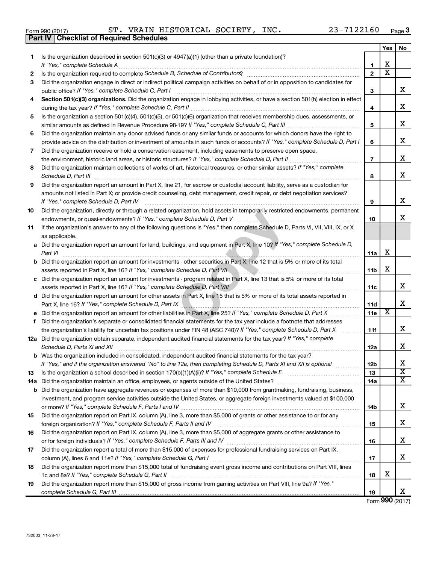732003 11-28-17

|     | 23-7122160<br>ST. VRAIN HISTORICAL SOCIETY, INC.<br>Form 990 (2017)                                                                                                                           |                |     | Page   |
|-----|-----------------------------------------------------------------------------------------------------------------------------------------------------------------------------------------------|----------------|-----|--------|
|     | <b>Checklist of Required Schedules</b><br>Part IV                                                                                                                                             |                |     |        |
|     |                                                                                                                                                                                               |                | Yes | No     |
| 1.  | Is the organization described in section $501(c)(3)$ or $4947(a)(1)$ (other than a private foundation)?                                                                                       |                |     |        |
|     | If "Yes," complete Schedule A                                                                                                                                                                 | 1              | x   |        |
| 2   |                                                                                                                                                                                               | $\overline{2}$ | х   |        |
| 3   | Did the organization engage in direct or indirect political campaign activities on behalf of or in opposition to candidates for                                                               |                |     |        |
|     | public office? If "Yes," complete Schedule C, Part I                                                                                                                                          | 3              |     | х      |
| 4   | Section 501(c)(3) organizations. Did the organization engage in lobbying activities, or have a section 501(h) election in effect                                                              |                |     |        |
|     |                                                                                                                                                                                               | 4              |     | х      |
| 5   | Is the organization a section 501(c)(4), 501(c)(5), or 501(c)(6) organization that receives membership dues, assessments, or                                                                  |                |     |        |
|     |                                                                                                                                                                                               | 5              |     | х      |
| 6   | Did the organization maintain any donor advised funds or any similar funds or accounts for which donors have the right to                                                                     |                |     |        |
|     | provide advice on the distribution or investment of amounts in such funds or accounts? If "Yes," complete Schedule D, Part I                                                                  | 6              |     | х      |
| 7   | Did the organization receive or hold a conservation easement, including easements to preserve open space,                                                                                     |                |     |        |
|     | the environment, historic land areas, or historic structures? If "Yes," complete Schedule D, Part II                                                                                          | $\overline{7}$ |     | х      |
| 8   | Did the organization maintain collections of works of art, historical treasures, or other similar assets? If "Yes," complete                                                                  |                |     |        |
|     |                                                                                                                                                                                               | 8              |     | х      |
| 9   | Did the organization report an amount in Part X, line 21, for escrow or custodial account liability, serve as a custodian for                                                                 |                |     |        |
|     | amounts not listed in Part X; or provide credit counseling, debt management, credit repair, or debt negotiation services?                                                                     |                |     |        |
|     | If "Yes," complete Schedule D, Part IV                                                                                                                                                        | 9              |     | х      |
| 10  | Did the organization, directly or through a related organization, hold assets in temporarily restricted endowments, permanent                                                                 |                |     |        |
|     |                                                                                                                                                                                               | 10             |     | х      |
| 11  | If the organization's answer to any of the following questions is "Yes," then complete Schedule D, Parts VI, VII, VIII, IX, or X                                                              |                |     |        |
|     | as applicable.                                                                                                                                                                                |                |     |        |
|     | a Did the organization report an amount for land, buildings, and equipment in Part X, line 10? If "Yes," complete Schedule D,                                                                 |                |     |        |
|     | Part VI                                                                                                                                                                                       | 11a            | x   |        |
|     | <b>b</b> Did the organization report an amount for investments - other securities in Part X, line 12 that is 5% or more of its total                                                          |                |     |        |
|     | assets reported in Part X, line 16? If "Yes," complete Schedule D, Part VII [[[[[[[[[[[[[[[[[[[[[[[[]]]]]]]]]                                                                                 | 11b            | х   |        |
|     | c Did the organization report an amount for investments - program related in Part X, line 13 that is 5% or more of its total                                                                  |                |     |        |
|     | assets reported in Part X, line 16? If "Yes," complete Schedule D, Part VIII [[[[[[[[[[[[[[[[[[[[[[[[[[[[[[[[                                                                                 | 11c            |     | X      |
|     | d Did the organization report an amount for other assets in Part X, line 15 that is 5% or more of its total assets reported in                                                                |                |     |        |
|     |                                                                                                                                                                                               | <b>11d</b>     |     | Χ      |
|     |                                                                                                                                                                                               | 11e            | Х   |        |
| f   | Did the organization's separate or consolidated financial statements for the tax year include a footnote that addresses                                                                       |                |     |        |
|     | the organization's liability for uncertain tax positions under FIN 48 (ASC 740)? If "Yes," complete Schedule D, Part X                                                                        | 11f            |     | х      |
|     | 12a Did the organization obtain separate, independent audited financial statements for the tax year? If "Yes," complete                                                                       |                |     |        |
|     | Schedule D, Parts XI and XII                                                                                                                                                                  | 12a            |     | Χ      |
|     | <b>b</b> Was the organization included in consolidated, independent audited financial statements for the tax year?                                                                            |                |     |        |
|     | If "Yes," and if the organization answered "No" to line 12a, then completing Schedule D, Parts XI and XII is optional                                                                         | 12b            |     | Χ      |
| 13  | Is the organization a school described in section 170(b)(1)(A)(ii)? If "Yes," complete Schedule E manufaction and school described in section 170(b)(1)(A)(ii)? If "Yes," complete Schedule E | 13             |     | X<br>X |
| 14a |                                                                                                                                                                                               | 14a            |     |        |
| b   | Did the organization have aggregate revenues or expenses of more than \$10,000 from grantmaking, fundraising, business,                                                                       |                |     |        |
|     | investment, and program service activities outside the United States, or aggregate foreign investments valued at \$100,000                                                                    |                |     | х      |
|     |                                                                                                                                                                                               | 14b            |     |        |
| 15  | Did the organization report on Part IX, column (A), line 3, more than \$5,000 of grants or other assistance to or for any                                                                     |                |     | Χ      |
|     |                                                                                                                                                                                               | 15             |     |        |
| 16  | Did the organization report on Part IX, column (A), line 3, more than \$5,000 of aggregate grants or other assistance to                                                                      |                |     | х      |
|     |                                                                                                                                                                                               | 16             |     |        |
| 17  | Did the organization report a total of more than \$15,000 of expenses for professional fundraising services on Part IX,                                                                       | 17             |     | X      |
| 18  | Did the organization report more than \$15,000 total of fundraising event gross income and contributions on Part VIII, lines                                                                  |                |     |        |
|     |                                                                                                                                                                                               |                |     |        |

**19 18 19** 1c and 8a? If "Yes," complete Schedule G, Part II **mature complete out and the set of the set of the set of the s** Did the organization report more than \$15,000 of gross income from gaming activities on Part VIII, line 9a? If "Yes," *complete Schedule G, Part III* 

Form (2017) **990**

X

**Yes No**

X

X

X

X

X

X

X

X

X

X

X

X X X

X

X

X

X

X

| Form 990 (2017) |  |
|-----------------|--|
| Part IV Che     |  |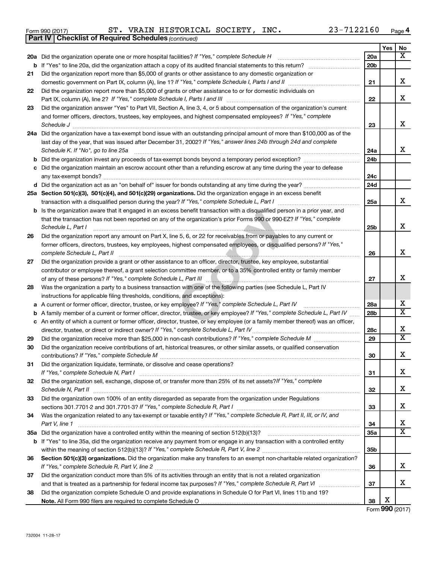|  | Form 990 (2017) |  |
|--|-----------------|--|

*(continued)* **Part IV Checklist of Required Schedules**

Form 990 (2017)  $\begin{array}{cccc} \text{ST.} \end{array}$  VRAIN HISTORICAL SOCIETY, INC.  $\begin{array}{cccc} 23-7122160 & \text{Page} \end{array}$ 

|    |                                                                                                                                    |                 | Yes | No                           |
|----|------------------------------------------------------------------------------------------------------------------------------------|-----------------|-----|------------------------------|
|    | 20a Did the organization operate one or more hospital facilities? If "Yes," complete Schedule H                                    | 20a             |     | $\overline{\mathbf{X}}$      |
|    | <b>b</b> If "Yes" to line 20a, did the organization attach a copy of its audited financial statements to this return?              | 20 <sub>b</sub> |     |                              |
| 21 | Did the organization report more than \$5,000 of grants or other assistance to any domestic organization or                        |                 |     |                              |
|    | domestic government on Part IX, column (A), line 1? If "Yes," complete Schedule I, Parts I and II                                  | 21              |     | x                            |
| 22 | Did the organization report more than \$5,000 of grants or other assistance to or for domestic individuals on                      |                 |     |                              |
|    | Part IX, column (A), line 2? If "Yes," complete Schedule I, Parts I and III [11]] [11]] [11] [11] [11] [11] [1                     | 22              |     | x                            |
| 23 | Did the organization answer "Yes" to Part VII, Section A, line 3, 4, or 5 about compensation of the organization's current         |                 |     |                              |
|    | and former officers, directors, trustees, key employees, and highest compensated employees? If "Yes," complete                     |                 |     |                              |
|    | Schedule J                                                                                                                         | 23              |     | X                            |
|    | 24a Did the organization have a tax-exempt bond issue with an outstanding principal amount of more than \$100,000 as of the        |                 |     |                              |
|    | last day of the year, that was issued after December 31, 2002? If "Yes," answer lines 24b through 24d and complete                 |                 |     |                              |
|    | Schedule K. If "No", go to line 25a                                                                                                | 24a             |     | x                            |
| b  | Did the organization invest any proceeds of tax-exempt bonds beyond a temporary period exception?                                  | 24b             |     |                              |
| с  | Did the organization maintain an escrow account other than a refunding escrow at any time during the year to defease               | 24c             |     |                              |
|    | any tax-exempt bonds?<br>d Did the organization act as an "on behalf of" issuer for bonds outstanding at any time during the year? | 24d             |     |                              |
|    | 25a Section 501(c)(3), 501(c)(4), and 501(c)(29) organizations. Did the organization engage in an excess benefit                   |                 |     |                              |
|    |                                                                                                                                    | 25a             |     | x                            |
| b  | Is the organization aware that it engaged in an excess benefit transaction with a disqualified person in a prior year, and         |                 |     |                              |
|    | that the transaction has not been reported on any of the organization's prior Forms 990 or 990-EZ? If "Yes," complete              |                 |     |                              |
|    | Schedule L, Part I                                                                                                                 | 25b             |     | x                            |
| 26 | Did the organization report any amount on Part X, line 5, 6, or 22 for receivables from or payables to any current or              |                 |     |                              |
|    | former officers, directors, trustees, key employees, highest compensated employees, or disqualified persons? If "Yes,"             |                 |     |                              |
|    | complete Schedule L, Part II                                                                                                       | 26              |     | X                            |
| 27 | Did the organization provide a grant or other assistance to an officer, director, trustee, key employee, substantial               |                 |     |                              |
|    | contributor or employee thereof, a grant selection committee member, or to a 35% controlled entity or family member                |                 |     |                              |
|    |                                                                                                                                    | 27              |     | x                            |
| 28 | Was the organization a party to a business transaction with one of the following parties (see Schedule L, Part IV                  |                 |     |                              |
|    | instructions for applicable filing thresholds, conditions, and exceptions):                                                        |                 |     |                              |
| а  | A current or former officer, director, trustee, or key employee? If "Yes," complete Schedule L, Part IV                            | 28a             |     | x                            |
| b  | A family member of a current or former officer, director, trustee, or key employee? If "Yes," complete Schedule L, Part IV         | 28b             |     | $\overline{\mathtt{x}}$      |
|    | c An entity of which a current or former officer, director, trustee, or key employee (or a family member thereof) was an officer,  |                 |     |                              |
|    | director, trustee, or direct or indirect owner? If "Yes," complete Schedule L, Part IV.                                            | 28c             |     | х<br>$\overline{\mathtt{x}}$ |
| 29 |                                                                                                                                    | 29              |     |                              |
| 30 | Did the organization receive contributions of art, historical treasures, or other similar assets, or qualified conservation        |                 |     | X                            |
| 31 |                                                                                                                                    | 30              |     |                              |
|    | Did the organization liquidate, terminate, or dissolve and cease operations?<br>If "Yes," complete Schedule N, Part I              | 31              |     | х                            |
| 32 | Did the organization sell, exchange, dispose of, or transfer more than 25% of its net assets? If "Yes," complete                   |                 |     |                              |
|    | Schedule N, Part II <b>Marken Commission Commission Commission</b> Commission Commission Commission                                | 32              |     | X                            |
| 33 | Did the organization own 100% of an entity disregarded as separate from the organization under Regulations                         |                 |     |                              |
|    |                                                                                                                                    | 33              |     | х                            |
| 34 | Was the organization related to any tax-exempt or taxable entity? If "Yes," complete Schedule R, Part II, III, or IV, and          |                 |     |                              |
|    | Part V, line 1                                                                                                                     | 34              |     | x                            |
|    |                                                                                                                                    | 35a             |     | $\overline{\mathtt{x}}$      |
|    | b If "Yes" to line 35a, did the organization receive any payment from or engage in any transaction with a controlled entity        |                 |     |                              |
|    |                                                                                                                                    | 35 <sub>b</sub> |     |                              |
| 36 | Section 501(c)(3) organizations. Did the organization make any transfers to an exempt non-charitable related organization?         |                 |     |                              |
|    |                                                                                                                                    | 36              |     | x                            |
| 37 | Did the organization conduct more than 5% of its activities through an entity that is not a related organization                   |                 |     |                              |
|    |                                                                                                                                    | 37              |     | x                            |
| 38 | Did the organization complete Schedule O and provide explanations in Schedule O for Part VI, lines 11b and 19?                     |                 |     |                              |
|    |                                                                                                                                    | 38              | х   |                              |

Form (2017) **990**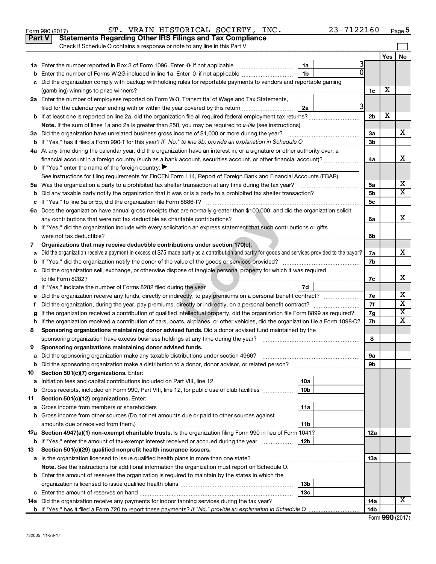|    | Part V<br><b>Statements Regarding Other IRS Filings and Tax Compliance</b><br>Check if Schedule O contains a response or note to any line in this Part V                                                                       |                 |   |                |     |                         |
|----|--------------------------------------------------------------------------------------------------------------------------------------------------------------------------------------------------------------------------------|-----------------|---|----------------|-----|-------------------------|
|    |                                                                                                                                                                                                                                |                 |   |                | Yes | <b>No</b>               |
|    |                                                                                                                                                                                                                                | 1a              |   |                |     |                         |
| b  | Enter the number of Forms W-2G included in line 1a. Enter -0- if not applicable                                                                                                                                                | 1 <sub>b</sub>  |   |                |     |                         |
|    | Did the organization comply with backup withholding rules for reportable payments to vendors and reportable gaming                                                                                                             |                 |   |                |     |                         |
|    |                                                                                                                                                                                                                                |                 |   | 1c             | х   |                         |
|    | 2a Enter the number of employees reported on Form W-3, Transmittal of Wage and Tax Statements,                                                                                                                                 |                 |   |                |     |                         |
|    | filed for the calendar year ending with or within the year covered by this return <i>manumumumum</i>                                                                                                                           | 2a              | 3 |                |     |                         |
|    | <b>b</b> If at least one is reported on line 2a, did the organization file all required federal employment tax returns?                                                                                                        |                 |   | 2 <sub>b</sub> | X   |                         |
|    |                                                                                                                                                                                                                                |                 |   |                |     |                         |
|    | 3a Did the organization have unrelated business gross income of \$1,000 or more during the year?                                                                                                                               |                 |   | 3a             |     | х                       |
|    |                                                                                                                                                                                                                                |                 |   | 3 <sub>b</sub> |     |                         |
|    | 4a At any time during the calendar year, did the organization have an interest in, or a signature or other authority over, a                                                                                                   |                 |   |                |     |                         |
|    | financial account in a foreign country (such as a bank account, securities account, or other financial account)?                                                                                                               |                 |   | 4a             |     | х                       |
|    | <b>b</b> If "Yes," enter the name of the foreign country: $\blacktriangleright$                                                                                                                                                |                 |   |                |     |                         |
|    | See instructions for filing requirements for FinCEN Form 114, Report of Foreign Bank and Financial Accounts (FBAR).                                                                                                            |                 |   |                |     |                         |
|    |                                                                                                                                                                                                                                |                 |   | 5а             |     | х                       |
| b  |                                                                                                                                                                                                                                |                 |   | 5 <sub>b</sub> |     | $\overline{\mathbf{x}}$ |
|    |                                                                                                                                                                                                                                |                 |   | 5c             |     |                         |
|    | 6a Does the organization have annual gross receipts that are normally greater than \$100,000, and did the organization solicit                                                                                                 |                 |   |                |     |                         |
|    |                                                                                                                                                                                                                                |                 |   | 6a             |     | х                       |
|    | <b>b</b> If "Yes," did the organization include with every solicitation an express statement that such contributions or gifts                                                                                                  |                 |   |                |     |                         |
|    |                                                                                                                                                                                                                                |                 |   | 6b             |     |                         |
| 7  | Organizations that may receive deductible contributions under section 170(c).                                                                                                                                                  |                 |   |                |     |                         |
| a  | Did the organization receive a payment in excess of \$75 made partly as a contribution and partly for goods and services provided to the payor?                                                                                |                 |   | 7a             |     | x                       |
|    |                                                                                                                                                                                                                                |                 |   | 7b             |     |                         |
|    | c Did the organization sell, exchange, or otherwise dispose of tangible personal property for which it was required                                                                                                            |                 |   |                |     |                         |
|    |                                                                                                                                                                                                                                |                 |   | 7c             |     | х                       |
|    | d If "Yes," indicate the number of Forms 8282 filed during the year [100] [100] [100] [100] [100] [100] [100] [100] [100] [100] [100] [100] [100] [100] [100] [100] [100] [100] [100] [100] [100] [100] [100] [100] [100] [100 | 7d              |   |                |     |                         |
| е  |                                                                                                                                                                                                                                |                 |   | 7е             |     | х                       |
| t. | Did the organization, during the year, pay premiums, directly or indirectly, on a personal benefit contract?                                                                                                                   |                 |   | 7f             |     | $\overline{\textbf{x}}$ |
|    | If the organization received a contribution of qualified intellectual property, did the organization file Form 8899 as required?                                                                                               |                 |   | 7g             |     | $\overline{\textbf{X}}$ |
|    | h If the organization received a contribution of cars, boats, airplanes, or other vehicles, did the organization file a Form 1098-C?                                                                                           |                 |   | 7h             |     | $\overline{\mathbf{X}}$ |
| 8  | Sponsoring organizations maintaining donor advised funds. Did a donor advised fund maintained by the                                                                                                                           |                 |   |                |     |                         |
|    |                                                                                                                                                                                                                                |                 |   | 8              |     |                         |
| 9  | Sponsoring organizations maintaining donor advised funds.                                                                                                                                                                      |                 |   |                |     |                         |
|    |                                                                                                                                                                                                                                |                 |   | эа             |     |                         |
|    | <b>b</b> Did the sponsoring organization make a distribution to a donor, donor advisor, or related person?                                                                                                                     |                 |   | 9b             |     |                         |
| 10 | Section 501(c)(7) organizations. Enter:                                                                                                                                                                                        |                 |   |                |     |                         |
| а  |                                                                                                                                                                                                                                | 10a             |   |                |     |                         |
| b  | Gross receipts, included on Form 990, Part VIII, line 12, for public use of club facilities                                                                                                                                    | 10 <sub>b</sub> |   |                |     |                         |
| 11 | Section 501(c)(12) organizations. Enter:                                                                                                                                                                                       |                 |   |                |     |                         |
| а  |                                                                                                                                                                                                                                | 11a             |   |                |     |                         |
|    | b Gross income from other sources (Do not net amounts due or paid to other sources against                                                                                                                                     |                 |   |                |     |                         |
|    |                                                                                                                                                                                                                                | 11b             |   |                |     |                         |
|    | 12a Section 4947(a)(1) non-exempt charitable trusts. Is the organization filing Form 990 in lieu of Form 1041?                                                                                                                 |                 |   | 12a            |     |                         |
|    | <b>b</b> If "Yes," enter the amount of tax-exempt interest received or accrued during the year                                                                                                                                 | 12b             |   |                |     |                         |
| 13 | Section 501(c)(29) qualified nonprofit health insurance issuers.                                                                                                                                                               |                 |   |                |     |                         |
|    | a Is the organization licensed to issue qualified health plans in more than one state?                                                                                                                                         |                 |   | 1За            |     |                         |
|    | Note. See the instructions for additional information the organization must report on Schedule O.                                                                                                                              |                 |   |                |     |                         |
|    | <b>b</b> Enter the amount of reserves the organization is required to maintain by the states in which the                                                                                                                      |                 |   |                |     |                         |
|    |                                                                                                                                                                                                                                | 13 <sub>b</sub> |   |                |     |                         |
|    |                                                                                                                                                                                                                                | 13 <sub>c</sub> |   |                |     |                         |
|    | 14a Did the organization receive any payments for indoor tanning services during the tax year?                                                                                                                                 |                 |   | 14a            |     | X                       |
|    |                                                                                                                                                                                                                                |                 |   | 14b            |     |                         |

Form 990 (2017)  $\begin{array}{cccc} \text{ST.} \end{array}$  VRAIN HISTORICAL SOCIETY, INC.  $\begin{array}{cccc} 23-7122160 & \text{Page} \end{array}$ 

**5**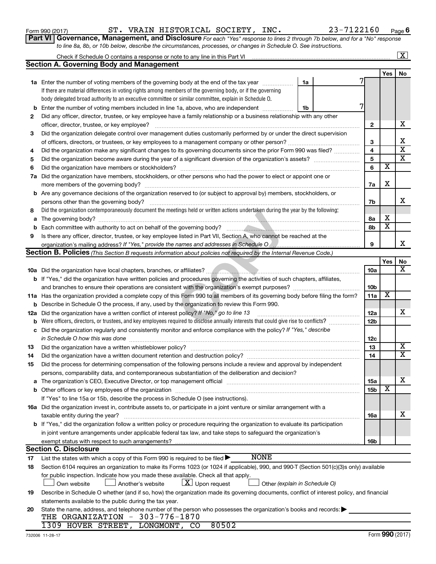|        | to line 8a, 8b, or 10b below, describe the circumstances, processes, or changes in Schedule O. See instructions.                                                                                                                      |                 |                         |                            |
|--------|---------------------------------------------------------------------------------------------------------------------------------------------------------------------------------------------------------------------------------------|-----------------|-------------------------|----------------------------|
|        | Check if Schedule O contains a response or note to any line in this Part VI                                                                                                                                                           |                 |                         | $\boxed{\text{X}}$         |
|        | <b>Section A. Governing Body and Management</b>                                                                                                                                                                                       |                 |                         |                            |
|        |                                                                                                                                                                                                                                       |                 | <b>Yes</b>              | No                         |
|        | 1a Enter the number of voting members of the governing body at the end of the tax year <i>manumum</i><br>1a                                                                                                                           |                 |                         |                            |
|        | If there are material differences in voting rights among members of the governing body, or if the governing                                                                                                                           |                 |                         |                            |
|        | body delegated broad authority to an executive committee or similar committee, explain in Schedule O.                                                                                                                                 |                 |                         |                            |
| b      | 7<br>Enter the number of voting members included in line 1a, above, who are independent<br>1b                                                                                                                                         |                 |                         |                            |
| 2      | Did any officer, director, trustee, or key employee have a family relationship or a business relationship with any other                                                                                                              |                 |                         |                            |
|        |                                                                                                                                                                                                                                       | $\mathbf{2}$    |                         | х                          |
| З      | Did the organization delegate control over management duties customarily performed by or under the direct supervision                                                                                                                 |                 |                         |                            |
|        |                                                                                                                                                                                                                                       | 3               |                         | х                          |
| 4      | Did the organization make any significant changes to its governing documents since the prior Form 990 was filed?                                                                                                                      | 4               |                         | $\overline{\mathbf{x}}$    |
| 5      |                                                                                                                                                                                                                                       | 5               |                         | x                          |
| 6      |                                                                                                                                                                                                                                       | 6               | х                       |                            |
| 7a     | Did the organization have members, stockholders, or other persons who had the power to elect or appoint one or                                                                                                                        |                 |                         |                            |
|        |                                                                                                                                                                                                                                       | 7a              | X                       |                            |
|        | <b>b</b> Are any governance decisions of the organization reserved to (or subject to approval by) members, stockholders, or                                                                                                           |                 |                         |                            |
|        | persons other than the governing body?                                                                                                                                                                                                | 7b              |                         | х                          |
| 8      | Did the organization contemporaneously document the meetings held or written actions undertaken during the year by the following:                                                                                                     |                 |                         |                            |
|        |                                                                                                                                                                                                                                       | 8a              | х                       |                            |
|        |                                                                                                                                                                                                                                       | 8b              | $\overline{\textbf{x}}$ |                            |
| b<br>9 |                                                                                                                                                                                                                                       |                 |                         |                            |
|        | Is there any officer, director, trustee, or key employee listed in Part VII, Section A, who cannot be reached at the<br>organization's mailing address? If "Yes," provide the names and addresses in Schedule O [[[[[[[[[[[[[[[[[[[[[ | 9               |                         | x                          |
|        | Section B. Policies (This Section B requests information about policies not required by the Internal Revenue Code.)                                                                                                                   |                 |                         |                            |
|        |                                                                                                                                                                                                                                       |                 | Yes                     | No                         |
|        |                                                                                                                                                                                                                                       | 10a             |                         | x                          |
|        |                                                                                                                                                                                                                                       |                 |                         |                            |
|        | b If "Yes," did the organization have written policies and procedures governing the activities of such chapters, affiliates,                                                                                                          |                 |                         |                            |
|        | and branches to ensure their operations are consistent with the organization's exempt purposes? www.www.www.www.                                                                                                                      | 10b             | x                       |                            |
|        | 11a Has the organization provided a complete copy of this Form 990 to all members of its governing body before filing the form?                                                                                                       | 11a             |                         |                            |
|        | <b>b</b> Describe in Schedule O the process, if any, used by the organization to review this Form 990.                                                                                                                                |                 |                         | х                          |
| 12a    | Did the organization have a written conflict of interest policy? If "No," go to line 13                                                                                                                                               | 12a             |                         |                            |
|        | Were officers, directors, or trustees, and key employees required to disclose annually interests that could give rise to conflicts?                                                                                                   | 12 <sub>b</sub> |                         |                            |
|        | c Did the organization regularly and consistently monitor and enforce compliance with the policy? If "Yes," describe                                                                                                                  |                 |                         |                            |
|        | in Schedule O how this was done                                                                                                                                                                                                       | 12c             |                         |                            |
| 13     |                                                                                                                                                                                                                                       | 13              |                         | x<br>$\overline{\text{X}}$ |
| 14     |                                                                                                                                                                                                                                       | 14              |                         |                            |
| 15     | Did the process for determining compensation of the following persons include a review and approval by independent                                                                                                                    |                 |                         |                            |
|        | persons, comparability data, and contemporaneous substantiation of the deliberation and decision?                                                                                                                                     |                 |                         |                            |
|        | a The organization's CEO, Executive Director, or top management official manufactured content content of the organization's CEO, Executive Director, or top management official manufactured content of the content of the con        | 15a             |                         | х                          |
|        | b Other officers or key employees of the organization material content of the organization material content of the organization material content of the organization material content of the organization material content of         | 15b             | х                       |                            |
|        | If "Yes" to line 15a or 15b, describe the process in Schedule O (see instructions).                                                                                                                                                   |                 |                         |                            |
|        | 16a Did the organization invest in, contribute assets to, or participate in a joint venture or similar arrangement with a                                                                                                             |                 |                         |                            |
|        | taxable entity during the year?                                                                                                                                                                                                       | <b>16a</b>      |                         | x                          |
|        | b If "Yes," did the organization follow a written policy or procedure requiring the organization to evaluate its participation                                                                                                        |                 |                         |                            |
|        | in joint venture arrangements under applicable federal tax law, and take steps to safeguard the organization's                                                                                                                        |                 |                         |                            |
|        | exempt status with respect to such arrangements?                                                                                                                                                                                      | 16b             |                         |                            |
|        | <b>Section C. Disclosure</b>                                                                                                                                                                                                          |                 |                         |                            |
| 17     | <b>NONE</b><br>List the states with which a copy of this Form 990 is required to be filed $\blacktriangleright$                                                                                                                       |                 |                         |                            |
| 18     | Section 6104 requires an organization to make its Forms 1023 (or 1024 if applicable), 990, and 990-T (Section 501(c)(3)s only) available                                                                                              |                 |                         |                            |
|        | for public inspection. Indicate how you made these available. Check all that apply.                                                                                                                                                   |                 |                         |                            |
|        | $\lfloor x \rfloor$ Upon request<br>Other (explain in Schedule O)<br>Own website<br>Another's website                                                                                                                                 |                 |                         |                            |
| 19     | Describe in Schedule O whether (and if so, how) the organization made its governing documents, conflict of interest policy, and financial                                                                                             |                 |                         |                            |
|        | statements available to the public during the tax year.                                                                                                                                                                               |                 |                         |                            |
| 20     | State the name, address, and telephone number of the person who possesses the organization's books and records:                                                                                                                       |                 |                         |                            |
|        | THE ORGANIZATION - 303-776-1870                                                                                                                                                                                                       |                 |                         |                            |
|        | 1309 HOVER STREET, LONGMONT, CO<br>80502                                                                                                                                                                                              |                 |                         |                            |

**Part VI** Governance, Management, and Disclosure For each "Yes" response to lines 2 through 7b below, and for a "No" response

Form 990 (2017)  $\begin{array}{cccc} \text{ST.} \end{array}$  VRAIN HISTORICAL SOCIETY, INC.  $\begin{array}{cccc} 23-7122160 & \text{Page} \end{array}$ 

**6**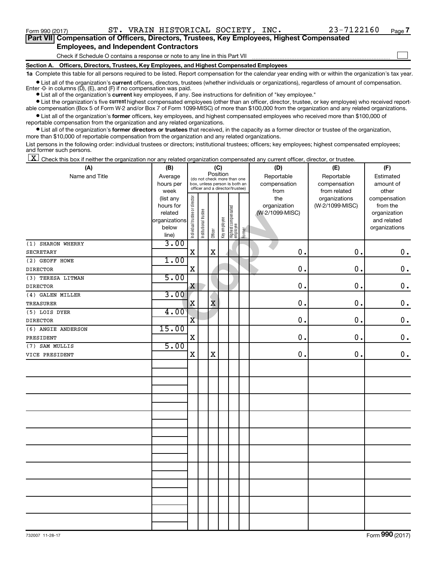$\Box$ 

| Part VII Compensation of Officers, Directors, Trustees, Key Employees, Highest Compensated |  |  |
|--------------------------------------------------------------------------------------------|--|--|
| <b>Employees, and Independent Contractors</b>                                              |  |  |

Check if Schedule O contains a response or note to any line in this Part VII

**Section A. Officers, Directors, Trustees, Key Employees, and Highest Compensated Employees**

**1a**  Complete this table for all persons required to be listed. Report compensation for the calendar year ending with or within the organization's tax year.

 $\bullet$  List all of the organization's current officers, directors, trustees (whether individuals or organizations), regardless of amount of compensation. Enter  $-0$ - in columns  $(D)$ ,  $(E)$ , and  $(F)$  if no compensation was paid.

**•** List all of the organization's **current** key employees, if any. See instructions for definition of "key employee."

**•** List the organization's five current highest compensated employees (other than an officer, director, trustee, or key employee) who received reportable compensation (Box 5 of Form W-2 and/or Box 7 of Form 1099-MISC) of more than \$100,000 from the organization and any related organizations.

**•** List all of the organization's former officers, key employees, and highest compensated employees who received more than \$100,000 of reportable compensation from the organization and any related organizations.

**•** List all of the organization's former directors or trustees that received, in the capacity as a former director or trustee of the organization, more than \$10,000 of reportable compensation from the organization and any related organizations.

List persons in the following order: individual trustees or directors; institutional trustees; officers; key employees; highest compensated employees; and former such persons.

 $\boxed{\textbf{X}}$  Check this box if neither the organization nor any related organization compensated any current officer, director, or trustee.

| (A)                | (B)           |                                |                       |                                         | (C)          |                                 |        | (D)             | (E)             | (F)           |
|--------------------|---------------|--------------------------------|-----------------------|-----------------------------------------|--------------|---------------------------------|--------|-----------------|-----------------|---------------|
| Name and Title     | Average       |                                |                       | Position<br>(do not check more than one |              |                                 |        | Reportable      | Reportable      | Estimated     |
|                    | hours per     |                                |                       | box, unless person is both an           |              |                                 |        | compensation    | compensation    | amount of     |
|                    | week          |                                |                       | officer and a director/trustee)         |              |                                 |        | from            | from related    | other         |
|                    | (list any     |                                |                       |                                         |              |                                 |        | the             | organizations   | compensation  |
|                    | hours for     |                                |                       |                                         |              |                                 |        | organization    | (W-2/1099-MISC) | from the      |
|                    | related       |                                |                       |                                         |              |                                 |        | (W-2/1099-MISC) |                 | organization  |
|                    | organizations |                                |                       |                                         |              |                                 |        |                 |                 | and related   |
|                    | below         | Individual trustee or director | Institutional trustee |                                         | Key employee | Highest compensated<br>employee |        |                 |                 | organizations |
|                    | line)         |                                |                       | Officer                                 |              |                                 | Former |                 |                 |               |
| (1) SHARON WHERRY  | 3.00          |                                |                       |                                         |              |                                 |        |                 |                 |               |
| <b>SECRETARY</b>   |               | $\mathbf X$                    |                       | $\mathbf X$                             |              |                                 |        | 0.              | 0.              | $\mathbf 0$ . |
| (2) GEOFF HOWE     | 1.00          |                                |                       |                                         |              |                                 |        |                 |                 |               |
| <b>DIRECTOR</b>    |               | $\mathbf X$                    |                       |                                         |              |                                 |        | 0.              | 0.              | $0$ .         |
| (3) TERESA LITMAN  | 5.00          |                                |                       |                                         |              |                                 |        |                 |                 |               |
| <b>DIRECTOR</b>    |               | X                              |                       |                                         |              |                                 |        | 0.              | $\mathbf 0$ .   | $\mathbf 0$ . |
| (4) GALEN MILLER   | 3.00          |                                |                       |                                         |              |                                 |        |                 |                 |               |
| <b>TREASURER</b>   |               | X                              |                       | $\bar{\textbf{x}}$                      |              |                                 |        | 0.              | 0.              | $\mathbf 0$ . |
| (5) LOIS DYER      | 4.00          |                                |                       |                                         |              |                                 |        |                 |                 |               |
| <b>DIRECTOR</b>    |               | $\overline{\mathbf{X}}$        |                       |                                         |              |                                 |        | 0.              | 0.              | $\mathbf 0$ . |
| (6) ANGIE ANDERSON | 15.00         |                                |                       |                                         |              |                                 |        |                 |                 |               |
| PRESIDENT          |               | X                              |                       |                                         |              |                                 |        | $\mathbf 0$ .   | 0.              | $\mathbf 0$ . |
| (7) SAM MULLIS     | 5.00          |                                |                       |                                         |              |                                 |        |                 |                 |               |
| VICE PRESIDENT     |               | X                              |                       | $\mathbf X$                             |              |                                 |        | $\mathbf 0$ .   | 0.              | $0$ .         |
|                    |               |                                |                       |                                         |              |                                 |        |                 |                 |               |
|                    |               |                                |                       |                                         |              |                                 |        |                 |                 |               |
|                    |               |                                |                       |                                         |              |                                 |        |                 |                 |               |
|                    |               |                                |                       |                                         |              |                                 |        |                 |                 |               |
|                    |               |                                |                       |                                         |              |                                 |        |                 |                 |               |
|                    |               |                                |                       |                                         |              |                                 |        |                 |                 |               |
|                    |               |                                |                       |                                         |              |                                 |        |                 |                 |               |
|                    |               |                                |                       |                                         |              |                                 |        |                 |                 |               |
|                    |               |                                |                       |                                         |              |                                 |        |                 |                 |               |
|                    |               |                                |                       |                                         |              |                                 |        |                 |                 |               |
|                    |               |                                |                       |                                         |              |                                 |        |                 |                 |               |
|                    |               |                                |                       |                                         |              |                                 |        |                 |                 |               |
|                    |               |                                |                       |                                         |              |                                 |        |                 |                 |               |
|                    |               |                                |                       |                                         |              |                                 |        |                 |                 |               |
|                    |               |                                |                       |                                         |              |                                 |        |                 |                 |               |
|                    |               |                                |                       |                                         |              |                                 |        |                 |                 |               |
|                    |               |                                |                       |                                         |              |                                 |        |                 |                 |               |
|                    |               |                                |                       |                                         |              |                                 |        |                 |                 |               |
|                    |               |                                |                       |                                         |              |                                 |        |                 |                 |               |
|                    |               |                                |                       |                                         |              |                                 |        |                 |                 |               |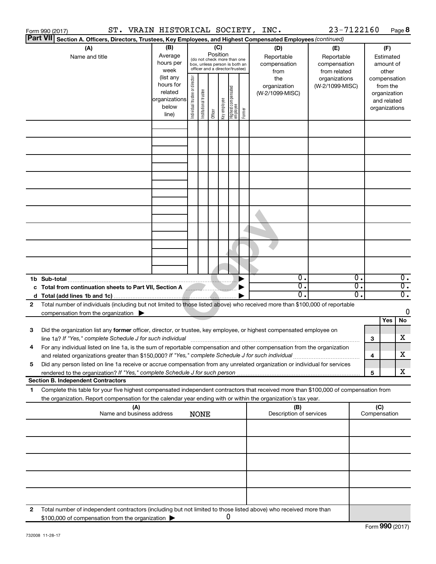|    | Form 990 (2017)                                                                                     |                           | ST. VRAIN HISTORICAL SOCIETY, INC.                                       |                       |                                                                                                 |                         |                                  |        |                                                                                                                                                                                                                                          | 23-7122160                                                                            |                  | Page 8                                                                             |
|----|-----------------------------------------------------------------------------------------------------|---------------------------|--------------------------------------------------------------------------|-----------------------|-------------------------------------------------------------------------------------------------|-------------------------|----------------------------------|--------|------------------------------------------------------------------------------------------------------------------------------------------------------------------------------------------------------------------------------------------|---------------------------------------------------------------------------------------|------------------|------------------------------------------------------------------------------------|
|    | <b>Part VII</b>                                                                                     |                           |                                                                          |                       |                                                                                                 |                         |                                  |        | Section A. Officers, Directors, Trustees, Key Employees, and Highest Compensated Employees (continued)                                                                                                                                   |                                                                                       |                  |                                                                                    |
|    | (A)<br>Name and title                                                                               |                           | (B)<br>Average<br>hours per<br>week<br>(list any<br>hours for<br>related | director              | (do not check more than one<br>box, unless person is both an<br>officer and a director/trustee) | (C)<br>Position         |                                  |        | (D)<br>Reportable<br>compensation<br>from<br>the<br>organization<br>(W-2/1099-MISC)                                                                                                                                                      | (E)<br>Reportable<br>compensation<br>from related<br>organizations<br>(W-2/1099-MISC) |                  | (F)<br>Estimated<br>amount of<br>other<br>compensation<br>from the<br>organization |
|    |                                                                                                     |                           | organizations<br>below<br>line)                                          | Individual trustee or | Institutional trustee                                                                           | Key employee<br>Officer | Highest compensated<br> employee | Former |                                                                                                                                                                                                                                          |                                                                                       |                  | and related<br>organizations                                                       |
|    |                                                                                                     |                           |                                                                          |                       |                                                                                                 |                         |                                  |        |                                                                                                                                                                                                                                          |                                                                                       |                  |                                                                                    |
|    |                                                                                                     |                           |                                                                          |                       |                                                                                                 |                         |                                  |        |                                                                                                                                                                                                                                          |                                                                                       |                  |                                                                                    |
|    |                                                                                                     |                           |                                                                          |                       |                                                                                                 |                         |                                  |        |                                                                                                                                                                                                                                          |                                                                                       |                  |                                                                                    |
|    |                                                                                                     |                           |                                                                          |                       |                                                                                                 |                         |                                  |        |                                                                                                                                                                                                                                          |                                                                                       |                  |                                                                                    |
|    |                                                                                                     |                           |                                                                          |                       |                                                                                                 |                         |                                  |        | σ.                                                                                                                                                                                                                                       |                                                                                       | $\overline{0}$ . | $\overline{0}$ .                                                                   |
|    | 1b Sub-total<br>c Total from continuation sheets to Part VII, Section A                             |                           |                                                                          |                       |                                                                                                 |                         |                                  |        | σ.<br>О.                                                                                                                                                                                                                                 |                                                                                       | σ.<br>σ.         | $\overline{0}$ .<br>$\overline{0}$ .                                               |
| 2  | compensation from the organization $\blacktriangleright$                                            |                           |                                                                          |                       |                                                                                                 |                         |                                  |        | Total number of individuals (including but not limited to those listed above) who received more than \$100,000 of reportable                                                                                                             |                                                                                       |                  | 0                                                                                  |
| 3  |                                                                                                     |                           |                                                                          |                       |                                                                                                 |                         |                                  |        | Did the organization list any former officer, director, or trustee, key employee, or highest compensated employee on<br>line 1a? If "Yes," complete Schedule J for such individual manufacture content to the successive complete schedu |                                                                                       | 3                | Yes<br>No<br>X                                                                     |
|    | and related organizations greater than \$150,000? If "Yes," complete Schedule J for such individual |                           |                                                                          |                       |                                                                                                 |                         |                                  |        | For any individual listed on line 1a, is the sum of reportable compensation and other compensation from the organization                                                                                                                 |                                                                                       | 4                | X                                                                                  |
| 5  |                                                                                                     |                           |                                                                          |                       |                                                                                                 |                         |                                  |        | Did any person listed on line 1a receive or accrue compensation from any unrelated organization or individual for services                                                                                                               |                                                                                       | 5                | x                                                                                  |
| 1. | <b>Section B. Independent Contractors</b>                                                           |                           |                                                                          |                       |                                                                                                 |                         |                                  |        | Complete this table for your five highest compensated independent contractors that received more than \$100,000 of compensation from                                                                                                     |                                                                                       |                  |                                                                                    |
|    |                                                                                                     | (A)                       |                                                                          |                       |                                                                                                 |                         |                                  |        | the organization. Report compensation for the calendar year ending with or within the organization's tax year.<br>(B)                                                                                                                    |                                                                                       | (C)              |                                                                                    |
|    |                                                                                                     | Name and business address |                                                                          |                       | <b>NONE</b>                                                                                     |                         |                                  |        | Description of services                                                                                                                                                                                                                  |                                                                                       | Compensation     |                                                                                    |
|    |                                                                                                     |                           |                                                                          |                       |                                                                                                 |                         |                                  |        |                                                                                                                                                                                                                                          |                                                                                       |                  |                                                                                    |
|    |                                                                                                     |                           |                                                                          |                       |                                                                                                 |                         |                                  |        |                                                                                                                                                                                                                                          |                                                                                       |                  |                                                                                    |
|    |                                                                                                     |                           |                                                                          |                       |                                                                                                 |                         |                                  |        |                                                                                                                                                                                                                                          |                                                                                       |                  |                                                                                    |
| 2  | \$100,000 of compensation from the organization                                                     |                           |                                                                          |                       |                                                                                                 |                         | 0                                |        | Total number of independent contractors (including but not limited to those listed above) who received more than                                                                                                                         |                                                                                       |                  |                                                                                    |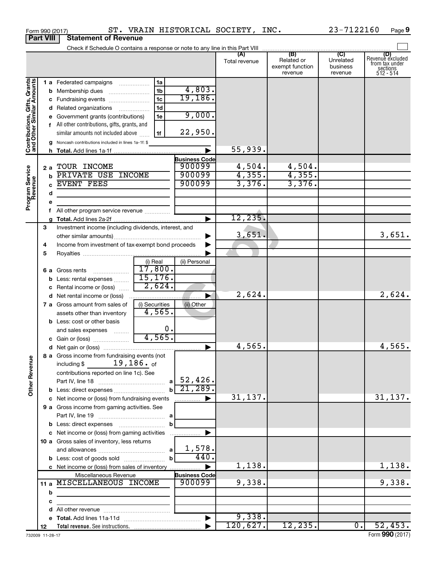|                              |                  | Form 990 (2017)                                                               |                     |                       | ST. VRAIN HISTORICAL SOCIETY, INC. |                                          | 23-7122160                       | Page 9                                                             |
|------------------------------|------------------|-------------------------------------------------------------------------------|---------------------|-----------------------|------------------------------------|------------------------------------------|----------------------------------|--------------------------------------------------------------------|
|                              | <b>Part VIII</b> | <b>Statement of Revenue</b>                                                   |                     |                       |                                    |                                          |                                  |                                                                    |
|                              |                  | Check if Schedule O contains a response or note to any line in this Part VIII |                     |                       |                                    | (B)                                      | $\overline{C}$                   |                                                                    |
|                              |                  |                                                                               |                     |                       | (A)<br>Total revenue               | Related or<br>exempt function<br>revenue | Unrelated<br>business<br>revenue | (D)<br>Revenue excluded<br>from tax under<br>sections<br>512 - 514 |
|                              |                  | 1 a Federated campaigns                                                       | 1a                  |                       |                                    |                                          |                                  |                                                                    |
| Contributions, Gifts, Grants | b                | Membership dues                                                               | 1 <sub>b</sub>      | 4,803.                |                                    |                                          |                                  |                                                                    |
|                              |                  | c Fundraising events                                                          | 1 <sub>c</sub>      | 19, 186.              |                                    |                                          |                                  |                                                                    |
|                              |                  | d Related organizations                                                       | 1d                  |                       |                                    |                                          |                                  |                                                                    |
|                              |                  | e Government grants (contributions)                                           | 1e                  | 9,000.                |                                    |                                          |                                  |                                                                    |
|                              |                  | f All other contributions, gifts, grants, and                                 |                     |                       |                                    |                                          |                                  |                                                                    |
|                              |                  | similar amounts not included above                                            | 1f                  | 22,950.               |                                    |                                          |                                  |                                                                    |
|                              |                  | g Noncash contributions included in lines 1a-1f: \$                           |                     |                       |                                    |                                          |                                  |                                                                    |
|                              |                  |                                                                               |                     |                       | 55,939.                            |                                          |                                  |                                                                    |
|                              |                  |                                                                               |                     | <b>Business Code</b>  |                                    |                                          |                                  |                                                                    |
|                              | 2 a              | TOUR INCOME                                                                   |                     | 900099                | 4,504.                             | 4,504.                                   |                                  |                                                                    |
|                              | h                | PRIVATE USE INCOME                                                            |                     | 900099                | 4,355.                             | 4,355.                                   |                                  |                                                                    |
|                              |                  | <b>EVENT FEES</b>                                                             |                     | 900099                | 3,376.                             | 3,376.                                   |                                  |                                                                    |
| Program Service<br>Revenue   | d                |                                                                               |                     |                       |                                    |                                          |                                  |                                                                    |
|                              |                  |                                                                               |                     |                       |                                    |                                          |                                  |                                                                    |
|                              |                  | f All other program service revenue                                           |                     |                       |                                    |                                          |                                  |                                                                    |
|                              |                  |                                                                               |                     |                       | 12, 235.                           |                                          |                                  |                                                                    |
|                              | 3                | Investment income (including dividends, interest, and                         |                     |                       |                                    |                                          |                                  |                                                                    |
|                              |                  |                                                                               |                     |                       | 3,651.                             |                                          |                                  | 3,651.                                                             |
|                              | 4                | Income from investment of tax-exempt bond proceeds                            |                     |                       |                                    |                                          |                                  |                                                                    |
|                              | 5                |                                                                               |                     |                       |                                    |                                          |                                  |                                                                    |
|                              |                  |                                                                               | (i) Real<br>17,800. | (ii) Personal         |                                    |                                          |                                  |                                                                    |
|                              |                  | <b>6 a</b> Gross rents                                                        | 15, 176.            |                       |                                    |                                          |                                  |                                                                    |
|                              | b                | Less: rental expenses                                                         | 2,624.              |                       |                                    |                                          |                                  |                                                                    |
|                              | с                | Rental income or (loss)                                                       |                     |                       | 2,624.                             |                                          |                                  | 2,624.                                                             |
|                              |                  | d Net rental income or (loss)                                                 | (i) Securities      |                       |                                    |                                          |                                  |                                                                    |
|                              |                  | 7 a Gross amount from sales of                                                | 4,565.              | (ii) Other            |                                    |                                          |                                  |                                                                    |
|                              |                  | assets other than inventory<br><b>b</b> Less: cost or other basis             |                     |                       |                                    |                                          |                                  |                                                                    |
|                              |                  | and sales expenses                                                            | 0.                  |                       |                                    |                                          |                                  |                                                                    |
|                              |                  | c Gain or (loss)                                                              | 4,565.              |                       |                                    |                                          |                                  |                                                                    |
|                              |                  |                                                                               |                     |                       | 4,565.                             |                                          |                                  | 4,565.                                                             |
|                              |                  | 8 a Gross income from fundraising events (not                                 |                     |                       |                                    |                                          |                                  |                                                                    |
|                              |                  | $19,186.$ of<br>including \$                                                  |                     |                       |                                    |                                          |                                  |                                                                    |
|                              |                  | contributions reported on line 1c). See                                       |                     |                       |                                    |                                          |                                  |                                                                    |
|                              |                  |                                                                               |                     |                       |                                    |                                          |                                  |                                                                    |
| <b>Other Revenue</b>         |                  | <b>b</b> Less: direct expenses                                                |                     | $b \overline{21,289}$ |                                    |                                          |                                  |                                                                    |
|                              |                  | c Net income or (loss) from fundraising events                                |                     | .                     | 31,137.                            |                                          |                                  | 31,137.                                                            |
|                              |                  | 9 a Gross income from gaming activities. See                                  |                     |                       |                                    |                                          |                                  |                                                                    |
|                              |                  |                                                                               |                     |                       |                                    |                                          |                                  |                                                                    |
|                              |                  |                                                                               | b                   |                       |                                    |                                          |                                  |                                                                    |
|                              |                  | c Net income or (loss) from gaming activities                                 |                     |                       |                                    |                                          |                                  |                                                                    |
|                              |                  | 10 a Gross sales of inventory, less returns                                   |                     |                       |                                    |                                          |                                  |                                                                    |
|                              |                  |                                                                               |                     | 1,578.                |                                    |                                          |                                  |                                                                    |
|                              |                  |                                                                               |                     | 440.                  |                                    |                                          |                                  |                                                                    |
|                              |                  | c Net income or (loss) from sales of inventory                                |                     |                       | 1,138.                             |                                          |                                  | 1,138.                                                             |
|                              |                  | Miscellaneous Revenue                                                         |                     | <b>Business Code</b>  |                                    |                                          |                                  |                                                                    |
|                              |                  | 11 a MISCELLANEOUS INCOME                                                     |                     | 900099                | 9,338.                             |                                          |                                  | 9,338.                                                             |
|                              | b                | the control of the control of the control of the control of the               |                     |                       |                                    |                                          |                                  |                                                                    |
|                              | с                |                                                                               |                     |                       |                                    |                                          |                                  |                                                                    |
|                              |                  |                                                                               |                     |                       |                                    |                                          |                                  |                                                                    |
|                              |                  |                                                                               |                     |                       | 9,338.<br>120,627.                 |                                          |                                  | 52,453.                                                            |
|                              | 12               |                                                                               |                     |                       |                                    | 12, 235.                                 | $\overline{0}$ .                 |                                                                    |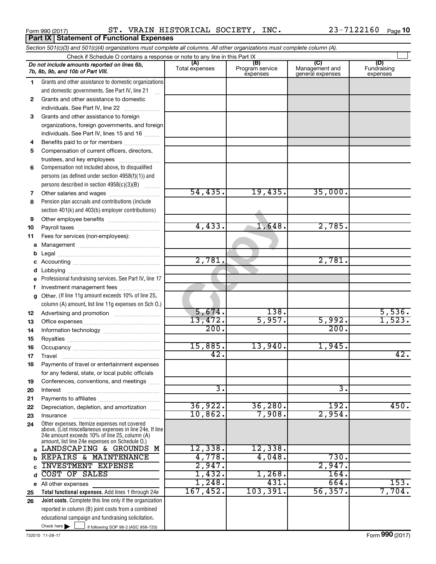Form 990 (2017)  $\begin{array}{cccc} \text{ST.} \end{array}$  VRAIN HISTORICAL SOCIETY, INC.  $\begin{array}{cccc} 23-7122160 & \text{Page} \end{array}$ 

|              | Section 501(c)(3) and 501(c)(4) organizations must complete all columns. All other organizations must complete column (A).                                                                                  |                       |                                    |                                           |                                |
|--------------|-------------------------------------------------------------------------------------------------------------------------------------------------------------------------------------------------------------|-----------------------|------------------------------------|-------------------------------------------|--------------------------------|
|              | Check if Schedule O contains a response or note to any line in this Part IX                                                                                                                                 |                       |                                    |                                           |                                |
|              | Do not include amounts reported on lines 6b,<br>7b, 8b, 9b, and 10b of Part VIII.                                                                                                                           | (A)<br>Total expenses | (B)<br>Program service<br>expenses | (C)<br>Management and<br>general expenses | (D)<br>Fundraising<br>expenses |
| 1.           | Grants and other assistance to domestic organizations                                                                                                                                                       |                       |                                    |                                           |                                |
|              | and domestic governments. See Part IV, line 21                                                                                                                                                              |                       |                                    |                                           |                                |
| $\mathbf{2}$ | Grants and other assistance to domestic                                                                                                                                                                     |                       |                                    |                                           |                                |
|              | individuals. See Part IV, line 22                                                                                                                                                                           |                       |                                    |                                           |                                |
| 3            | Grants and other assistance to foreign                                                                                                                                                                      |                       |                                    |                                           |                                |
|              | organizations, foreign governments, and foreign                                                                                                                                                             |                       |                                    |                                           |                                |
|              | individuals. See Part IV, lines 15 and 16                                                                                                                                                                   |                       |                                    |                                           |                                |
| 4            | Benefits paid to or for members                                                                                                                                                                             |                       |                                    |                                           |                                |
| 5            | Compensation of current officers, directors,                                                                                                                                                                |                       |                                    |                                           |                                |
|              | trustees, and key employees                                                                                                                                                                                 |                       |                                    |                                           |                                |
| 6            | Compensation not included above, to disqualified                                                                                                                                                            |                       |                                    |                                           |                                |
|              | persons (as defined under section 4958(f)(1)) and                                                                                                                                                           |                       |                                    |                                           |                                |
|              | persons described in section 4958(c)(3)(B)                                                                                                                                                                  | 54,435.               |                                    |                                           |                                |
| 7            |                                                                                                                                                                                                             |                       | 19,435.                            | 35,000.                                   |                                |
| 8            | Pension plan accruals and contributions (include                                                                                                                                                            |                       |                                    |                                           |                                |
|              | section 401(k) and 403(b) employer contributions)                                                                                                                                                           |                       |                                    |                                           |                                |
| 9            |                                                                                                                                                                                                             | 4,433.                | 1,648.                             | 2,785.                                    |                                |
| 10           |                                                                                                                                                                                                             |                       |                                    |                                           |                                |
| 11           | Fees for services (non-employees):                                                                                                                                                                          |                       |                                    |                                           |                                |
|              |                                                                                                                                                                                                             |                       |                                    |                                           |                                |
| b            |                                                                                                                                                                                                             | 2,781.                |                                    | 2,781.                                    |                                |
| c<br>d       |                                                                                                                                                                                                             |                       |                                    |                                           |                                |
| е            | Professional fundraising services. See Part IV, line 17                                                                                                                                                     |                       |                                    |                                           |                                |
| f            | Investment management fees                                                                                                                                                                                  |                       |                                    |                                           |                                |
| g            | Other. (If line 11g amount exceeds 10% of line 25,                                                                                                                                                          |                       |                                    |                                           |                                |
|              | column (A) amount, list line 11g expenses on Sch O.)                                                                                                                                                        |                       |                                    |                                           |                                |
| 12           |                                                                                                                                                                                                             | 5,674.                | 138.                               |                                           | 5,536.                         |
| 13           |                                                                                                                                                                                                             | 13,472.               | 5,957.                             | 5,992.                                    | 1,523.                         |
| 14           |                                                                                                                                                                                                             | 200.                  |                                    | 200.                                      |                                |
| 15           |                                                                                                                                                                                                             |                       |                                    |                                           |                                |
| 16           |                                                                                                                                                                                                             | 15,885.               | 13,940.                            | 1,945.                                    |                                |
| 17           |                                                                                                                                                                                                             | 42.                   |                                    |                                           | 42.                            |
| 18           | Payments of travel or entertainment expenses                                                                                                                                                                |                       |                                    |                                           |                                |
|              | for any federal, state, or local public officials                                                                                                                                                           |                       |                                    |                                           |                                |
| 19           | Conferences, conventions, and meetings                                                                                                                                                                      |                       |                                    |                                           |                                |
| 20           | Interest                                                                                                                                                                                                    | з.                    |                                    | з.                                        |                                |
| 21           |                                                                                                                                                                                                             |                       |                                    |                                           |                                |
| 22           | Depreciation, depletion, and amortization                                                                                                                                                                   | 36,922.               | 36, 280.                           | 192.                                      | 450.                           |
| 23           | Insurance                                                                                                                                                                                                   | 10,862.               | 7,908.                             | 2,954.                                    |                                |
| 24           | Other expenses. Itemize expenses not covered<br>above. (List miscellaneous expenses in line 24e. If line<br>24e amount exceeds 10% of line 25, column (A)<br>amount, list line 24e expenses on Schedule O.) |                       |                                    |                                           |                                |
| a            | LANDSCAPING & GROUNDS M                                                                                                                                                                                     | 12,338.               | 12,338.                            |                                           |                                |
| b            | REPAIRS & MAINTENANCE                                                                                                                                                                                       | 4,778.                | 4,048.                             | 730.                                      |                                |
|              | <b>INVESTMENT EXPENSE</b>                                                                                                                                                                                   | 2,947.                |                                    | 2,947.                                    |                                |
| d            | COST OF SALES                                                                                                                                                                                               | 1,432.                | 1,268.                             | 164.                                      |                                |
|              | e All other expenses                                                                                                                                                                                        | 1,248.                | 431.                               | 664.                                      | 153.                           |
| 25           | Total functional expenses. Add lines 1 through 24e                                                                                                                                                          | 167,452.              | 103, 391.                          | 56, 357.                                  | 7,704.                         |
| 26           | Joint costs. Complete this line only if the organization                                                                                                                                                    |                       |                                    |                                           |                                |
|              | reported in column (B) joint costs from a combined                                                                                                                                                          |                       |                                    |                                           |                                |
|              | educational campaign and fundraising solicitation.                                                                                                                                                          |                       |                                    |                                           |                                |
|              | Check here $\blacktriangleright$<br>if following SOP 98-2 (ASC 958-720)                                                                                                                                     |                       |                                    |                                           |                                |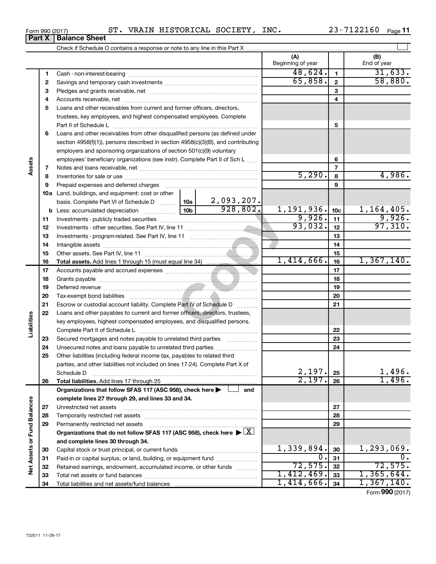| $_{\tt{INC.}}$<br>HISTORICAL SOCIETY,<br>ST.<br><b>VRAIN</b><br>Form 990 (2017) | 22160<br>. .<br>'44F | Page |
|---------------------------------------------------------------------------------|----------------------|------|
|---------------------------------------------------------------------------------|----------------------|------|

|                             |          |                                                                                                                     |                 |                               | (A)<br>Beginning of year |                 | (B)<br>End of year |
|-----------------------------|----------|---------------------------------------------------------------------------------------------------------------------|-----------------|-------------------------------|--------------------------|-----------------|--------------------|
|                             | 1        |                                                                                                                     |                 |                               | 48,624.                  | $\mathbf{1}$    | 31,633.            |
|                             | 2        |                                                                                                                     |                 |                               | 65,858.                  | $\mathbf{2}$    | 58,880.            |
|                             | з        |                                                                                                                     |                 |                               |                          | 3               |                    |
|                             | 4        |                                                                                                                     |                 |                               |                          | 4               |                    |
|                             | 5        | Loans and other receivables from current and former officers, directors,                                            |                 |                               |                          |                 |                    |
|                             |          | trustees, key employees, and highest compensated employees. Complete                                                |                 |                               |                          |                 |                    |
|                             |          | Part II of Schedule L                                                                                               |                 |                               |                          | 5               |                    |
|                             | 6        | Loans and other receivables from other disqualified persons (as defined under                                       |                 |                               |                          |                 |                    |
|                             |          | section $4958(f)(1)$ , persons described in section $4958(c)(3)(B)$ , and contributing                              |                 |                               |                          |                 |                    |
|                             |          | employers and sponsoring organizations of section 501(c)(9) voluntary                                               |                 |                               |                          |                 |                    |
|                             |          | employees' beneficiary organizations (see instr). Complete Part II of Sch L                                         |                 |                               |                          | 6               |                    |
| Assets                      | 7        |                                                                                                                     |                 |                               |                          | $\overline{7}$  |                    |
|                             | 8        |                                                                                                                     |                 |                               | 5,290.                   | 8               | 4,986.             |
|                             | 9        | Prepaid expenses and deferred charges                                                                               |                 |                               |                          | 9               |                    |
|                             |          | <b>10a</b> Land, buildings, and equipment: cost or other                                                            |                 |                               |                          |                 |                    |
|                             |          | basis. Complete Part VI of Schedule D  10a                                                                          |                 |                               |                          |                 |                    |
|                             |          | <b>b</b> Less: accumulated depreciation <i></i>                                                                     | 10 <sub>b</sub> | $\frac{2,093,207.}{928,802.}$ | 1,191,936.               | 10 <sub>c</sub> | 1,164,405.         |
|                             | 11       |                                                                                                                     |                 |                               | 9,926.                   | 11              | 9,926.             |
|                             | 12       |                                                                                                                     |                 |                               | 93,032.                  | 12              | 97,310.            |
|                             | 13       |                                                                                                                     |                 |                               |                          | 13              |                    |
|                             | 14       |                                                                                                                     |                 |                               |                          | 14              |                    |
|                             | 15       |                                                                                                                     |                 |                               |                          | 15              |                    |
|                             | 16       |                                                                                                                     |                 |                               | $1,414,666$ .            | 16              | 1,367,140.         |
|                             | 17       |                                                                                                                     |                 |                               |                          | 17              |                    |
|                             | 18       |                                                                                                                     |                 |                               |                          | 18              |                    |
|                             | 19       |                                                                                                                     |                 |                               |                          | 19              |                    |
|                             | 20       |                                                                                                                     |                 |                               |                          | 20              |                    |
|                             | 21       | Escrow or custodial account liability. Complete Part IV of Schedule D                                               |                 |                               |                          | 21              |                    |
|                             | 22       | Loans and other payables to current and former officers, directors, trustees,                                       |                 |                               |                          |                 |                    |
| Liabilities                 |          | key employees, highest compensated employees, and disqualified persons.                                             |                 |                               |                          |                 |                    |
|                             |          |                                                                                                                     |                 |                               |                          | 22              |                    |
|                             | 23       | Secured mortgages and notes payable to unrelated third parties                                                      |                 |                               |                          | 23              |                    |
|                             | 24       |                                                                                                                     |                 |                               |                          | 24              |                    |
|                             | 25       | Other liabilities (including federal income tax, payables to related third                                          |                 |                               |                          |                 |                    |
|                             |          | parties, and other liabilities not included on lines 17-24). Complete Part X of                                     |                 |                               |                          |                 |                    |
|                             |          | Schedule D                                                                                                          |                 |                               | 2,197.                   | 25              | 1,496.             |
|                             | 26       |                                                                                                                     |                 |                               | 2,197.                   | 26              | 1,496.             |
|                             |          | Organizations that follow SFAS 117 (ASC 958), check here >                                                          |                 | and                           |                          |                 |                    |
|                             |          | complete lines 27 through 29, and lines 33 and 34.                                                                  |                 |                               |                          |                 |                    |
|                             | 27       |                                                                                                                     |                 |                               |                          | 27              |                    |
|                             | 28       |                                                                                                                     |                 |                               |                          | 28              |                    |
|                             | 29       | Permanently restricted net assets                                                                                   |                 |                               |                          | 29              |                    |
|                             |          | Organizations that do not follow SFAS 117 (ASC 958), check here $\blacktriangleright \lfloor \underline{X} \rfloor$ |                 |                               |                          |                 |                    |
|                             |          | and complete lines 30 through 34.                                                                                   |                 |                               |                          |                 |                    |
|                             | 30       |                                                                                                                     |                 |                               | 1,339,894.<br>О.         | 30              | $1,293,069$ .      |
| Net Assets or Fund Balances | 31       | Paid-in or capital surplus, or land, building, or equipment fund                                                    |                 |                               | 72,575.                  | 31<br>32        | 72,575.            |
|                             | 32<br>33 | Retained earnings, endowment, accumulated income, or other funds                                                    |                 |                               | 1,412,469.               | 33              | 1,365,644.         |
|                             | 34       |                                                                                                                     |                 |                               | 1,414,666.               | 34              | 1,367,140.         |
|                             |          |                                                                                                                     |                 |                               |                          |                 | Form 990 (2017)    |

## **Part X Balance Sheet**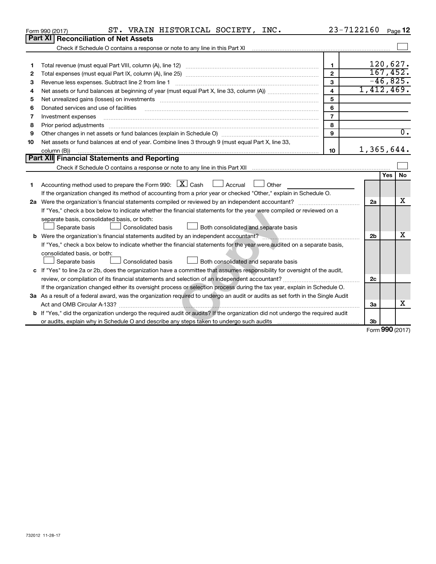|    | ST. VRAIN HISTORICAL SOCIETY, INC.<br>Form 990 (2017)                                                                                                             | 23-7122160              |                                       |            | Page 12          |
|----|-------------------------------------------------------------------------------------------------------------------------------------------------------------------|-------------------------|---------------------------------------|------------|------------------|
|    | Part XI  <br><b>Reconciliation of Net Assets</b>                                                                                                                  |                         |                                       |            |                  |
|    | Check if Schedule O contains a response or note to any line in this Part XI [11] [12] Check if Schedule O contains a response or note to any line in this Part XI |                         |                                       |            |                  |
|    |                                                                                                                                                                   |                         |                                       |            |                  |
| 1  |                                                                                                                                                                   | $\mathbf{1}$            |                                       | 120,627.   |                  |
| 2  |                                                                                                                                                                   | $\overline{2}$          |                                       | 167,452.   |                  |
| 3  | Revenue less expenses. Subtract line 2 from line 1                                                                                                                | 3                       |                                       | $-46,825.$ |                  |
| 4  |                                                                                                                                                                   | $\overline{\mathbf{4}}$ | 1,412,469.                            |            |                  |
| 5  | Net unrealized gains (losses) on investments [111] www.marting.com/marting.com/marting.com/marting.com/marting.                                                   | 5                       |                                       |            |                  |
| 6  | Donated services and use of facilities                                                                                                                            | 6                       |                                       |            |                  |
| 7  | Investment expenses                                                                                                                                               | $\overline{7}$          |                                       |            |                  |
| 8  | Prior period adjustments                                                                                                                                          | 8                       |                                       |            |                  |
| 9  |                                                                                                                                                                   | 9                       |                                       |            | $\overline{0}$ . |
| 10 | Net assets or fund balances at end of year. Combine lines 3 through 9 (must equal Part X, line 33,                                                                |                         |                                       |            |                  |
|    | column (B))                                                                                                                                                       | 10                      | 1,365,644.                            |            |                  |
|    | <b>Part XII Financial Statements and Reporting</b>                                                                                                                |                         |                                       |            |                  |
|    |                                                                                                                                                                   |                         |                                       |            |                  |
|    |                                                                                                                                                                   |                         |                                       | Yes        | No               |
| 1. | Accounting method used to prepare the Form 990: $X \subset X$ Cash<br>$\Box$ Accrual<br>Other                                                                     |                         |                                       |            |                  |
|    | If the organization changed its method of accounting from a prior year or checked "Other," explain in Schedule O.                                                 |                         |                                       |            |                  |
|    |                                                                                                                                                                   |                         | 2a                                    |            | x                |
|    | If "Yes," check a box below to indicate whether the financial statements for the year were compiled or reviewed on a                                              |                         |                                       |            |                  |
|    | separate basis, consolidated basis, or both:                                                                                                                      |                         |                                       |            |                  |
|    | Separate basis<br>Consolidated basis<br>Both consolidated and separate basis                                                                                      |                         |                                       |            |                  |
|    |                                                                                                                                                                   |                         | 2 <sub>b</sub>                        |            | x                |
|    | If "Yes," check a box below to indicate whether the financial statements for the year were audited on a separate basis,                                           |                         |                                       |            |                  |
|    | consolidated basis, or both:                                                                                                                                      |                         |                                       |            |                  |
|    | Both consolidated and separate basis<br>Separate basis<br>Consolidated basis                                                                                      |                         |                                       |            |                  |
|    | c If "Yes" to line 2a or 2b, does the organization have a committee that assumes responsibility for oversight of the audit,                                       |                         |                                       |            |                  |
|    |                                                                                                                                                                   |                         | 2c                                    |            |                  |
|    | If the organization changed either its oversight process or selection process during the tax year, explain in Schedule O.                                         |                         |                                       |            |                  |
|    | 3a As a result of a federal award, was the organization required to undergo an audit or audits as set forth in the Single Audit                                   |                         |                                       |            |                  |
|    |                                                                                                                                                                   |                         | За                                    |            | x                |
|    | <b>b</b> If "Yes," did the organization undergo the required audit or audits? If the organization did not undergo the required audit                              |                         |                                       |            |                  |
|    |                                                                                                                                                                   |                         | 3b                                    |            |                  |
|    |                                                                                                                                                                   |                         | $F_{\text{arm}}$ QQQ $n_{\text{max}}$ |            |                  |

Form (2017) **990**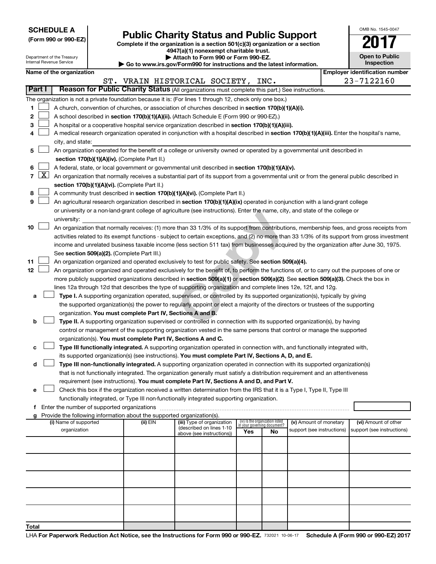| <b>SCHEDULE A</b> |  |
|-------------------|--|
|-------------------|--|

Department of the Treasury

| (Form 990 or 990-EZ) |  |  |  |  |  |  |
|----------------------|--|--|--|--|--|--|
|----------------------|--|--|--|--|--|--|

# Form 990 or 990-EZ) **Public Charity Status and Public Support**<br>
Complete if the organization is a section 501(c)(3) organization or a section<br> **2017**

**4947(a)(1) nonexempt charitable trust.**

**| Attach to Form 990 or Form 990-EZ. | Go to www.irs.gov/Form990 for instructions and the latest information.**

| OMB No 1545-0047                    |
|-------------------------------------|
|                                     |
| <b>Open to Public</b><br>Inspection |

|                | Internal Revenue Service<br>Inspection<br>Go to www.irs.gov/Form990 for instructions and the latest information. |                                                                                                                                                                |  |                                                                                    |                                                                                                                                               |     |                                                                |                            |  |                                       |
|----------------|------------------------------------------------------------------------------------------------------------------|----------------------------------------------------------------------------------------------------------------------------------------------------------------|--|------------------------------------------------------------------------------------|-----------------------------------------------------------------------------------------------------------------------------------------------|-----|----------------------------------------------------------------|----------------------------|--|---------------------------------------|
|                |                                                                                                                  | Name of the organization                                                                                                                                       |  |                                                                                    |                                                                                                                                               |     |                                                                |                            |  | <b>Employer identification number</b> |
|                |                                                                                                                  |                                                                                                                                                                |  |                                                                                    | ST. VRAIN HISTORICAL SOCIETY, INC.                                                                                                            |     |                                                                |                            |  | 23-7122160                            |
|                | Part I                                                                                                           |                                                                                                                                                                |  |                                                                                    | Reason for Public Charity Status (All organizations must complete this part.) See instructions.                                               |     |                                                                |                            |  |                                       |
|                |                                                                                                                  |                                                                                                                                                                |  |                                                                                    | The organization is not a private foundation because it is: (For lines 1 through 12, check only one box.)                                     |     |                                                                |                            |  |                                       |
| 1.             |                                                                                                                  |                                                                                                                                                                |  |                                                                                    | A church, convention of churches, or association of churches described in section 170(b)(1)(A)(i).                                            |     |                                                                |                            |  |                                       |
| 2              |                                                                                                                  | A school described in section 170(b)(1)(A)(ii). (Attach Schedule E (Form 990 or 990-EZ).)                                                                      |  |                                                                                    |                                                                                                                                               |     |                                                                |                            |  |                                       |
| з              |                                                                                                                  |                                                                                                                                                                |  |                                                                                    | A hospital or a cooperative hospital service organization described in section 170(b)(1)(A)(iii).                                             |     |                                                                |                            |  |                                       |
| 4              |                                                                                                                  | A medical research organization operated in conjunction with a hospital described in section 170(b)(1)(A)(iii). Enter the hospital's name,<br>city, and state: |  |                                                                                    |                                                                                                                                               |     |                                                                |                            |  |                                       |
| 5              |                                                                                                                  | An organization operated for the benefit of a college or university owned or operated by a governmental unit described in                                      |  |                                                                                    |                                                                                                                                               |     |                                                                |                            |  |                                       |
|                |                                                                                                                  | section 170(b)(1)(A)(iv). (Complete Part II.)                                                                                                                  |  |                                                                                    |                                                                                                                                               |     |                                                                |                            |  |                                       |
| 6              |                                                                                                                  |                                                                                                                                                                |  |                                                                                    | A federal, state, or local government or governmental unit described in section 170(b)(1)(A)(v).                                              |     |                                                                |                            |  |                                       |
| $\overline{7}$ | $\lfloor x \rfloor$                                                                                              |                                                                                                                                                                |  |                                                                                    | An organization that normally receives a substantial part of its support from a governmental unit or from the general public described in     |     |                                                                |                            |  |                                       |
|                |                                                                                                                  |                                                                                                                                                                |  | section 170(b)(1)(A)(vi). (Complete Part II.)                                      |                                                                                                                                               |     |                                                                |                            |  |                                       |
| 8              |                                                                                                                  |                                                                                                                                                                |  |                                                                                    | A community trust described in section 170(b)(1)(A)(vi). (Complete Part II.)                                                                  |     |                                                                |                            |  |                                       |
| 9              |                                                                                                                  |                                                                                                                                                                |  |                                                                                    | An agricultural research organization described in section 170(b)(1)(A)(ix) operated in conjunction with a land-grant college                 |     |                                                                |                            |  |                                       |
|                |                                                                                                                  |                                                                                                                                                                |  |                                                                                    | or university or a non-land-grant college of agriculture (see instructions). Enter the name, city, and state of the college or                |     |                                                                |                            |  |                                       |
|                |                                                                                                                  | university:                                                                                                                                                    |  |                                                                                    |                                                                                                                                               |     |                                                                |                            |  |                                       |
| 10             |                                                                                                                  |                                                                                                                                                                |  |                                                                                    | An organization that normally receives: (1) more than 33 1/3% of its support from contributions, membership fees, and gross receipts from     |     |                                                                |                            |  |                                       |
|                |                                                                                                                  |                                                                                                                                                                |  |                                                                                    | activities related to its exempt functions - subject to certain exceptions, and (2) no more than 33 1/3% of its support from gross investment |     |                                                                |                            |  |                                       |
|                |                                                                                                                  |                                                                                                                                                                |  |                                                                                    | income and unrelated business taxable income (less section 511 tax) from businesses acquired by the organization after June 30, 1975.         |     |                                                                |                            |  |                                       |
|                |                                                                                                                  |                                                                                                                                                                |  | See section 509(a)(2). (Complete Part III.)                                        |                                                                                                                                               |     |                                                                |                            |  |                                       |
| 11             |                                                                                                                  |                                                                                                                                                                |  |                                                                                    | An organization organized and operated exclusively to test for public safety. See section 509(a)(4).                                          |     |                                                                |                            |  |                                       |
| 12             |                                                                                                                  | An organization organized and operated exclusively for the benefit of, to perform the functions of, or to carry out the purposes of one or                     |  |                                                                                    |                                                                                                                                               |     |                                                                |                            |  |                                       |
|                |                                                                                                                  | more publicly supported organizations described in section 509(a)(1) or section 509(a)(2). See section 509(a)(3). Check the box in                             |  |                                                                                    |                                                                                                                                               |     |                                                                |                            |  |                                       |
|                |                                                                                                                  |                                                                                                                                                                |  |                                                                                    | lines 12a through 12d that describes the type of supporting organization and complete lines 12e, 12f, and 12g.                                |     |                                                                |                            |  |                                       |
| а              |                                                                                                                  | Type I. A supporting organization operated, supervised, or controlled by its supported organization(s), typically by giving                                    |  |                                                                                    |                                                                                                                                               |     |                                                                |                            |  |                                       |
|                |                                                                                                                  |                                                                                                                                                                |  |                                                                                    | the supported organization(s) the power to regularly appoint or elect a majority of the directors or trustees of the supporting               |     |                                                                |                            |  |                                       |
|                |                                                                                                                  |                                                                                                                                                                |  | organization. You must complete Part IV, Sections A and B.                         |                                                                                                                                               |     |                                                                |                            |  |                                       |
| b              |                                                                                                                  |                                                                                                                                                                |  |                                                                                    | Type II. A supporting organization supervised or controlled in connection with its supported organization(s), by having                       |     |                                                                |                            |  |                                       |
|                |                                                                                                                  |                                                                                                                                                                |  |                                                                                    | control or management of the supporting organization vested in the same persons that control or manage the supported                          |     |                                                                |                            |  |                                       |
|                |                                                                                                                  |                                                                                                                                                                |  |                                                                                    | organization(s). You must complete Part IV, Sections A and C.                                                                                 |     |                                                                |                            |  |                                       |
| с              |                                                                                                                  |                                                                                                                                                                |  |                                                                                    | Type III functionally integrated. A supporting organization operated in connection with, and functionally integrated with,                    |     |                                                                |                            |  |                                       |
|                |                                                                                                                  |                                                                                                                                                                |  |                                                                                    | its supported organization(s) (see instructions). You must complete Part IV, Sections A, D, and E.                                            |     |                                                                |                            |  |                                       |
| d              |                                                                                                                  |                                                                                                                                                                |  |                                                                                    | Type III non-functionally integrated. A supporting organization operated in connection with its supported organization(s)                     |     |                                                                |                            |  |                                       |
|                |                                                                                                                  |                                                                                                                                                                |  |                                                                                    | that is not functionally integrated. The organization generally must satisfy a distribution requirement and an attentiveness                  |     |                                                                |                            |  |                                       |
|                |                                                                                                                  |                                                                                                                                                                |  |                                                                                    | requirement (see instructions). You must complete Part IV, Sections A and D, and Part V.                                                      |     |                                                                |                            |  |                                       |
| е              |                                                                                                                  |                                                                                                                                                                |  |                                                                                    | Check this box if the organization received a written determination from the IRS that it is a Type I, Type II, Type III                       |     |                                                                |                            |  |                                       |
|                |                                                                                                                  |                                                                                                                                                                |  |                                                                                    | functionally integrated, or Type III non-functionally integrated supporting organization.                                                     |     |                                                                |                            |  |                                       |
| f              |                                                                                                                  |                                                                                                                                                                |  |                                                                                    |                                                                                                                                               |     |                                                                |                            |  |                                       |
| g              |                                                                                                                  | (i) Name of supported                                                                                                                                          |  | Provide the following information about the supported organization(s).<br>(ii) EIN | (iii) Type of organization                                                                                                                    |     | (iv) Is the organization listed<br>in your governing document? | (v) Amount of monetary     |  | (vi) Amount of other                  |
|                |                                                                                                                  | organization                                                                                                                                                   |  |                                                                                    | (described on lines 1-10                                                                                                                      | Yes | No                                                             | support (see instructions) |  | support (see instructions)            |
|                |                                                                                                                  |                                                                                                                                                                |  |                                                                                    | above (see instructions))                                                                                                                     |     |                                                                |                            |  |                                       |
|                |                                                                                                                  |                                                                                                                                                                |  |                                                                                    |                                                                                                                                               |     |                                                                |                            |  |                                       |
|                |                                                                                                                  |                                                                                                                                                                |  |                                                                                    |                                                                                                                                               |     |                                                                |                            |  |                                       |
|                |                                                                                                                  |                                                                                                                                                                |  |                                                                                    |                                                                                                                                               |     |                                                                |                            |  |                                       |
|                |                                                                                                                  |                                                                                                                                                                |  |                                                                                    |                                                                                                                                               |     |                                                                |                            |  |                                       |
|                |                                                                                                                  |                                                                                                                                                                |  |                                                                                    |                                                                                                                                               |     |                                                                |                            |  |                                       |
|                |                                                                                                                  |                                                                                                                                                                |  |                                                                                    |                                                                                                                                               |     |                                                                |                            |  |                                       |
|                |                                                                                                                  |                                                                                                                                                                |  |                                                                                    |                                                                                                                                               |     |                                                                |                            |  |                                       |
| Total          |                                                                                                                  |                                                                                                                                                                |  |                                                                                    |                                                                                                                                               |     |                                                                |                            |  |                                       |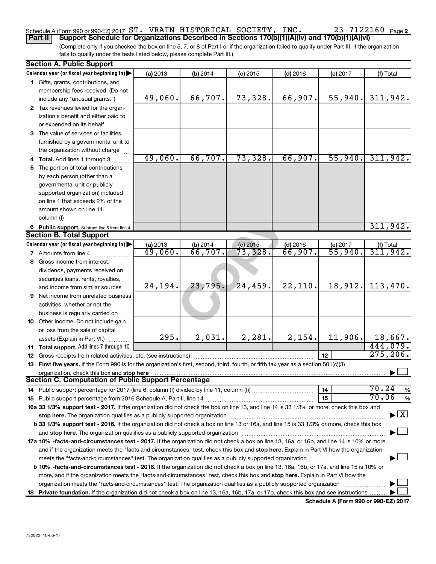## Schedule A (Form 990 or 990-EZ) 2017  $\, {\rm ST.} \,$  <code>VRAIN HISTORICAL SOCIETY, INC.</code>  $\, 23$  –  $7122160$  <code>Page</code>

(Complete only if you checked the box on line 5, 7, or 8 of Part I or if the organization failed to qualify under Part III. If the organization fails to qualify under the tests listed below, please complete Part III.) **Part II Support Schedule for Organizations Described in Sections 170(b)(1)(A)(iv) and 170(b)(1)(A)(vi)**

| Calendar year (or fiscal year beginning in)<br>(a) 2013<br>(b) 2014<br>$(d)$ 2016<br>(f) Total<br>$(c)$ 2015<br>(e) 2017<br>1 Gifts, grants, contributions, and<br>membership fees received. (Do not<br>66,707.<br>66,907.<br>55,940.<br>49,060.<br>73,328.<br>include any "unusual grants.")<br>2 Tax revenues levied for the organ-<br>ization's benefit and either paid to<br>or expended on its behalf<br>3 The value of services or facilities<br>furnished by a governmental unit to<br>the organization without charge<br>49,060.<br>66,707.<br>73,328.<br>66,907.<br>55,940.<br>4 Total. Add lines 1 through 3<br>5 The portion of total contributions<br>by each person (other than a<br>governmental unit or publicly<br>supported organization) included<br>on line 1 that exceeds 2% of the<br>amount shown on line 11,<br>column (f)<br>6 Public support. Subtract line 5 from line 4.<br>Calendar year (or fiscal year beginning in)<br>(a) 2013<br>$\frac{1}{66}$ , 707.<br>$(c)$ 2015<br>$(d)$ 2016<br>(e) 2017<br>$( f )$ Total<br>311, 942.<br>73,328.<br>55,940.<br>49,060.<br>66,907.<br><b>7</b> Amounts from line 4<br>8 Gross income from interest,<br>dividends, payments received on<br>securities loans, rents, royalties,<br>23,795.<br>24,459.<br>22, 110.<br>18,912.<br>24,194.<br>and income from similar sources<br>9 Net income from unrelated business<br>activities, whether or not the<br>business is regularly carried on<br>10 Other income. Do not include gain<br>or loss from the sale of capital<br>2,031.<br>2,154.<br>295.<br>2,281.<br>11,906.<br>assets (Explain in Part VI.)<br>11 Total support. Add lines 7 through 10<br>12<br><b>12</b> Gross receipts from related activities, etc. (see instructions)<br>13 First five years. If the Form 990 is for the organization's first, second, third, fourth, or fifth tax year as a section 501(c)(3)<br>organization, check this box and stop here<br><b>Section C. Computation of Public Support Percentage</b> | <b>Section A. Public Support</b> |  |  |  |  |    |                                          |
|----------------------------------------------------------------------------------------------------------------------------------------------------------------------------------------------------------------------------------------------------------------------------------------------------------------------------------------------------------------------------------------------------------------------------------------------------------------------------------------------------------------------------------------------------------------------------------------------------------------------------------------------------------------------------------------------------------------------------------------------------------------------------------------------------------------------------------------------------------------------------------------------------------------------------------------------------------------------------------------------------------------------------------------------------------------------------------------------------------------------------------------------------------------------------------------------------------------------------------------------------------------------------------------------------------------------------------------------------------------------------------------------------------------------------------------------------------------------------------------------------------------------------------------------------------------------------------------------------------------------------------------------------------------------------------------------------------------------------------------------------------------------------------------------------------------------------------------------------------------------------------------------------------------------------------------------------------------------------------------------------------------|----------------------------------|--|--|--|--|----|------------------------------------------|
|                                                                                                                                                                                                                                                                                                                                                                                                                                                                                                                                                                                                                                                                                                                                                                                                                                                                                                                                                                                                                                                                                                                                                                                                                                                                                                                                                                                                                                                                                                                                                                                                                                                                                                                                                                                                                                                                                                                                                                                                                |                                  |  |  |  |  |    |                                          |
| <b>Section B. Total Support</b>                                                                                                                                                                                                                                                                                                                                                                                                                                                                                                                                                                                                                                                                                                                                                                                                                                                                                                                                                                                                                                                                                                                                                                                                                                                                                                                                                                                                                                                                                                                                                                                                                                                                                                                                                                                                                                                                                                                                                                                |                                  |  |  |  |  |    |                                          |
|                                                                                                                                                                                                                                                                                                                                                                                                                                                                                                                                                                                                                                                                                                                                                                                                                                                                                                                                                                                                                                                                                                                                                                                                                                                                                                                                                                                                                                                                                                                                                                                                                                                                                                                                                                                                                                                                                                                                                                                                                |                                  |  |  |  |  |    |                                          |
|                                                                                                                                                                                                                                                                                                                                                                                                                                                                                                                                                                                                                                                                                                                                                                                                                                                                                                                                                                                                                                                                                                                                                                                                                                                                                                                                                                                                                                                                                                                                                                                                                                                                                                                                                                                                                                                                                                                                                                                                                |                                  |  |  |  |  |    | 311,942.                                 |
|                                                                                                                                                                                                                                                                                                                                                                                                                                                                                                                                                                                                                                                                                                                                                                                                                                                                                                                                                                                                                                                                                                                                                                                                                                                                                                                                                                                                                                                                                                                                                                                                                                                                                                                                                                                                                                                                                                                                                                                                                |                                  |  |  |  |  |    |                                          |
|                                                                                                                                                                                                                                                                                                                                                                                                                                                                                                                                                                                                                                                                                                                                                                                                                                                                                                                                                                                                                                                                                                                                                                                                                                                                                                                                                                                                                                                                                                                                                                                                                                                                                                                                                                                                                                                                                                                                                                                                                |                                  |  |  |  |  |    |                                          |
|                                                                                                                                                                                                                                                                                                                                                                                                                                                                                                                                                                                                                                                                                                                                                                                                                                                                                                                                                                                                                                                                                                                                                                                                                                                                                                                                                                                                                                                                                                                                                                                                                                                                                                                                                                                                                                                                                                                                                                                                                |                                  |  |  |  |  |    |                                          |
|                                                                                                                                                                                                                                                                                                                                                                                                                                                                                                                                                                                                                                                                                                                                                                                                                                                                                                                                                                                                                                                                                                                                                                                                                                                                                                                                                                                                                                                                                                                                                                                                                                                                                                                                                                                                                                                                                                                                                                                                                |                                  |  |  |  |  |    |                                          |
|                                                                                                                                                                                                                                                                                                                                                                                                                                                                                                                                                                                                                                                                                                                                                                                                                                                                                                                                                                                                                                                                                                                                                                                                                                                                                                                                                                                                                                                                                                                                                                                                                                                                                                                                                                                                                                                                                                                                                                                                                |                                  |  |  |  |  |    |                                          |
|                                                                                                                                                                                                                                                                                                                                                                                                                                                                                                                                                                                                                                                                                                                                                                                                                                                                                                                                                                                                                                                                                                                                                                                                                                                                                                                                                                                                                                                                                                                                                                                                                                                                                                                                                                                                                                                                                                                                                                                                                |                                  |  |  |  |  |    |                                          |
|                                                                                                                                                                                                                                                                                                                                                                                                                                                                                                                                                                                                                                                                                                                                                                                                                                                                                                                                                                                                                                                                                                                                                                                                                                                                                                                                                                                                                                                                                                                                                                                                                                                                                                                                                                                                                                                                                                                                                                                                                |                                  |  |  |  |  |    | 311,942.                                 |
|                                                                                                                                                                                                                                                                                                                                                                                                                                                                                                                                                                                                                                                                                                                                                                                                                                                                                                                                                                                                                                                                                                                                                                                                                                                                                                                                                                                                                                                                                                                                                                                                                                                                                                                                                                                                                                                                                                                                                                                                                |                                  |  |  |  |  |    |                                          |
|                                                                                                                                                                                                                                                                                                                                                                                                                                                                                                                                                                                                                                                                                                                                                                                                                                                                                                                                                                                                                                                                                                                                                                                                                                                                                                                                                                                                                                                                                                                                                                                                                                                                                                                                                                                                                                                                                                                                                                                                                |                                  |  |  |  |  |    |                                          |
|                                                                                                                                                                                                                                                                                                                                                                                                                                                                                                                                                                                                                                                                                                                                                                                                                                                                                                                                                                                                                                                                                                                                                                                                                                                                                                                                                                                                                                                                                                                                                                                                                                                                                                                                                                                                                                                                                                                                                                                                                |                                  |  |  |  |  |    |                                          |
|                                                                                                                                                                                                                                                                                                                                                                                                                                                                                                                                                                                                                                                                                                                                                                                                                                                                                                                                                                                                                                                                                                                                                                                                                                                                                                                                                                                                                                                                                                                                                                                                                                                                                                                                                                                                                                                                                                                                                                                                                |                                  |  |  |  |  |    |                                          |
|                                                                                                                                                                                                                                                                                                                                                                                                                                                                                                                                                                                                                                                                                                                                                                                                                                                                                                                                                                                                                                                                                                                                                                                                                                                                                                                                                                                                                                                                                                                                                                                                                                                                                                                                                                                                                                                                                                                                                                                                                |                                  |  |  |  |  |    |                                          |
|                                                                                                                                                                                                                                                                                                                                                                                                                                                                                                                                                                                                                                                                                                                                                                                                                                                                                                                                                                                                                                                                                                                                                                                                                                                                                                                                                                                                                                                                                                                                                                                                                                                                                                                                                                                                                                                                                                                                                                                                                |                                  |  |  |  |  |    |                                          |
|                                                                                                                                                                                                                                                                                                                                                                                                                                                                                                                                                                                                                                                                                                                                                                                                                                                                                                                                                                                                                                                                                                                                                                                                                                                                                                                                                                                                                                                                                                                                                                                                                                                                                                                                                                                                                                                                                                                                                                                                                |                                  |  |  |  |  |    |                                          |
|                                                                                                                                                                                                                                                                                                                                                                                                                                                                                                                                                                                                                                                                                                                                                                                                                                                                                                                                                                                                                                                                                                                                                                                                                                                                                                                                                                                                                                                                                                                                                                                                                                                                                                                                                                                                                                                                                                                                                                                                                |                                  |  |  |  |  |    | 311,942.                                 |
|                                                                                                                                                                                                                                                                                                                                                                                                                                                                                                                                                                                                                                                                                                                                                                                                                                                                                                                                                                                                                                                                                                                                                                                                                                                                                                                                                                                                                                                                                                                                                                                                                                                                                                                                                                                                                                                                                                                                                                                                                |                                  |  |  |  |  |    |                                          |
|                                                                                                                                                                                                                                                                                                                                                                                                                                                                                                                                                                                                                                                                                                                                                                                                                                                                                                                                                                                                                                                                                                                                                                                                                                                                                                                                                                                                                                                                                                                                                                                                                                                                                                                                                                                                                                                                                                                                                                                                                |                                  |  |  |  |  |    |                                          |
|                                                                                                                                                                                                                                                                                                                                                                                                                                                                                                                                                                                                                                                                                                                                                                                                                                                                                                                                                                                                                                                                                                                                                                                                                                                                                                                                                                                                                                                                                                                                                                                                                                                                                                                                                                                                                                                                                                                                                                                                                |                                  |  |  |  |  |    |                                          |
|                                                                                                                                                                                                                                                                                                                                                                                                                                                                                                                                                                                                                                                                                                                                                                                                                                                                                                                                                                                                                                                                                                                                                                                                                                                                                                                                                                                                                                                                                                                                                                                                                                                                                                                                                                                                                                                                                                                                                                                                                |                                  |  |  |  |  |    |                                          |
|                                                                                                                                                                                                                                                                                                                                                                                                                                                                                                                                                                                                                                                                                                                                                                                                                                                                                                                                                                                                                                                                                                                                                                                                                                                                                                                                                                                                                                                                                                                                                                                                                                                                                                                                                                                                                                                                                                                                                                                                                |                                  |  |  |  |  |    |                                          |
|                                                                                                                                                                                                                                                                                                                                                                                                                                                                                                                                                                                                                                                                                                                                                                                                                                                                                                                                                                                                                                                                                                                                                                                                                                                                                                                                                                                                                                                                                                                                                                                                                                                                                                                                                                                                                                                                                                                                                                                                                |                                  |  |  |  |  |    |                                          |
|                                                                                                                                                                                                                                                                                                                                                                                                                                                                                                                                                                                                                                                                                                                                                                                                                                                                                                                                                                                                                                                                                                                                                                                                                                                                                                                                                                                                                                                                                                                                                                                                                                                                                                                                                                                                                                                                                                                                                                                                                |                                  |  |  |  |  |    | 113,470.                                 |
|                                                                                                                                                                                                                                                                                                                                                                                                                                                                                                                                                                                                                                                                                                                                                                                                                                                                                                                                                                                                                                                                                                                                                                                                                                                                                                                                                                                                                                                                                                                                                                                                                                                                                                                                                                                                                                                                                                                                                                                                                |                                  |  |  |  |  |    |                                          |
|                                                                                                                                                                                                                                                                                                                                                                                                                                                                                                                                                                                                                                                                                                                                                                                                                                                                                                                                                                                                                                                                                                                                                                                                                                                                                                                                                                                                                                                                                                                                                                                                                                                                                                                                                                                                                                                                                                                                                                                                                |                                  |  |  |  |  |    |                                          |
|                                                                                                                                                                                                                                                                                                                                                                                                                                                                                                                                                                                                                                                                                                                                                                                                                                                                                                                                                                                                                                                                                                                                                                                                                                                                                                                                                                                                                                                                                                                                                                                                                                                                                                                                                                                                                                                                                                                                                                                                                |                                  |  |  |  |  |    |                                          |
|                                                                                                                                                                                                                                                                                                                                                                                                                                                                                                                                                                                                                                                                                                                                                                                                                                                                                                                                                                                                                                                                                                                                                                                                                                                                                                                                                                                                                                                                                                                                                                                                                                                                                                                                                                                                                                                                                                                                                                                                                |                                  |  |  |  |  |    |                                          |
|                                                                                                                                                                                                                                                                                                                                                                                                                                                                                                                                                                                                                                                                                                                                                                                                                                                                                                                                                                                                                                                                                                                                                                                                                                                                                                                                                                                                                                                                                                                                                                                                                                                                                                                                                                                                                                                                                                                                                                                                                |                                  |  |  |  |  |    |                                          |
|                                                                                                                                                                                                                                                                                                                                                                                                                                                                                                                                                                                                                                                                                                                                                                                                                                                                                                                                                                                                                                                                                                                                                                                                                                                                                                                                                                                                                                                                                                                                                                                                                                                                                                                                                                                                                                                                                                                                                                                                                |                                  |  |  |  |  |    | 18,667.                                  |
|                                                                                                                                                                                                                                                                                                                                                                                                                                                                                                                                                                                                                                                                                                                                                                                                                                                                                                                                                                                                                                                                                                                                                                                                                                                                                                                                                                                                                                                                                                                                                                                                                                                                                                                                                                                                                                                                                                                                                                                                                |                                  |  |  |  |  |    | 444,079.                                 |
|                                                                                                                                                                                                                                                                                                                                                                                                                                                                                                                                                                                                                                                                                                                                                                                                                                                                                                                                                                                                                                                                                                                                                                                                                                                                                                                                                                                                                                                                                                                                                                                                                                                                                                                                                                                                                                                                                                                                                                                                                |                                  |  |  |  |  |    | 275, 206.                                |
|                                                                                                                                                                                                                                                                                                                                                                                                                                                                                                                                                                                                                                                                                                                                                                                                                                                                                                                                                                                                                                                                                                                                                                                                                                                                                                                                                                                                                                                                                                                                                                                                                                                                                                                                                                                                                                                                                                                                                                                                                |                                  |  |  |  |  |    |                                          |
|                                                                                                                                                                                                                                                                                                                                                                                                                                                                                                                                                                                                                                                                                                                                                                                                                                                                                                                                                                                                                                                                                                                                                                                                                                                                                                                                                                                                                                                                                                                                                                                                                                                                                                                                                                                                                                                                                                                                                                                                                |                                  |  |  |  |  |    |                                          |
|                                                                                                                                                                                                                                                                                                                                                                                                                                                                                                                                                                                                                                                                                                                                                                                                                                                                                                                                                                                                                                                                                                                                                                                                                                                                                                                                                                                                                                                                                                                                                                                                                                                                                                                                                                                                                                                                                                                                                                                                                |                                  |  |  |  |  |    |                                          |
|                                                                                                                                                                                                                                                                                                                                                                                                                                                                                                                                                                                                                                                                                                                                                                                                                                                                                                                                                                                                                                                                                                                                                                                                                                                                                                                                                                                                                                                                                                                                                                                                                                                                                                                                                                                                                                                                                                                                                                                                                |                                  |  |  |  |  | 14 | 70.24<br>%                               |
| 70.06<br>15                                                                                                                                                                                                                                                                                                                                                                                                                                                                                                                                                                                                                                                                                                                                                                                                                                                                                                                                                                                                                                                                                                                                                                                                                                                                                                                                                                                                                                                                                                                                                                                                                                                                                                                                                                                                                                                                                                                                                                                                    |                                  |  |  |  |  |    | $\%$                                     |
| 16a 33 1/3% support test - 2017. If the organization did not check the box on line 13, and line 14 is 33 1/3% or more, check this box and                                                                                                                                                                                                                                                                                                                                                                                                                                                                                                                                                                                                                                                                                                                                                                                                                                                                                                                                                                                                                                                                                                                                                                                                                                                                                                                                                                                                                                                                                                                                                                                                                                                                                                                                                                                                                                                                      |                                  |  |  |  |  |    |                                          |
| stop here. The organization qualifies as a publicly supported organization manufactured content and the support of the state of the state of the state of the state of the state of the state of the state of the state of the                                                                                                                                                                                                                                                                                                                                                                                                                                                                                                                                                                                                                                                                                                                                                                                                                                                                                                                                                                                                                                                                                                                                                                                                                                                                                                                                                                                                                                                                                                                                                                                                                                                                                                                                                                                 |                                  |  |  |  |  |    | $\blacktriangleright$ $\boxed{\text{X}}$ |
| b 33 1/3% support test - 2016. If the organization did not check a box on line 13 or 16a, and line 15 is 33 1/3% or more, check this box                                                                                                                                                                                                                                                                                                                                                                                                                                                                                                                                                                                                                                                                                                                                                                                                                                                                                                                                                                                                                                                                                                                                                                                                                                                                                                                                                                                                                                                                                                                                                                                                                                                                                                                                                                                                                                                                       |                                  |  |  |  |  |    |                                          |
|                                                                                                                                                                                                                                                                                                                                                                                                                                                                                                                                                                                                                                                                                                                                                                                                                                                                                                                                                                                                                                                                                                                                                                                                                                                                                                                                                                                                                                                                                                                                                                                                                                                                                                                                                                                                                                                                                                                                                                                                                |                                  |  |  |  |  |    |                                          |
| 17a 10% -facts-and-circumstances test - 2017. If the organization did not check a box on line 13, 16a, or 16b, and line 14 is 10% or more,                                                                                                                                                                                                                                                                                                                                                                                                                                                                                                                                                                                                                                                                                                                                                                                                                                                                                                                                                                                                                                                                                                                                                                                                                                                                                                                                                                                                                                                                                                                                                                                                                                                                                                                                                                                                                                                                     |                                  |  |  |  |  |    |                                          |
| and if the organization meets the "facts-and-circumstances" test, check this box and stop here. Explain in Part VI how the organization                                                                                                                                                                                                                                                                                                                                                                                                                                                                                                                                                                                                                                                                                                                                                                                                                                                                                                                                                                                                                                                                                                                                                                                                                                                                                                                                                                                                                                                                                                                                                                                                                                                                                                                                                                                                                                                                        |                                  |  |  |  |  |    |                                          |
|                                                                                                                                                                                                                                                                                                                                                                                                                                                                                                                                                                                                                                                                                                                                                                                                                                                                                                                                                                                                                                                                                                                                                                                                                                                                                                                                                                                                                                                                                                                                                                                                                                                                                                                                                                                                                                                                                                                                                                                                                |                                  |  |  |  |  |    |                                          |
| b 10% -facts-and-circumstances test - 2016. If the organization did not check a box on line 13, 16a, 16b, or 17a, and line 15 is 10% or                                                                                                                                                                                                                                                                                                                                                                                                                                                                                                                                                                                                                                                                                                                                                                                                                                                                                                                                                                                                                                                                                                                                                                                                                                                                                                                                                                                                                                                                                                                                                                                                                                                                                                                                                                                                                                                                        |                                  |  |  |  |  |    |                                          |
| more, and if the organization meets the "facts-and-circumstances" test, check this box and stop here. Explain in Part VI how the                                                                                                                                                                                                                                                                                                                                                                                                                                                                                                                                                                                                                                                                                                                                                                                                                                                                                                                                                                                                                                                                                                                                                                                                                                                                                                                                                                                                                                                                                                                                                                                                                                                                                                                                                                                                                                                                               |                                  |  |  |  |  |    |                                          |
| organization meets the "facts-and-circumstances" test. The organization qualifies as a publicly supported organization                                                                                                                                                                                                                                                                                                                                                                                                                                                                                                                                                                                                                                                                                                                                                                                                                                                                                                                                                                                                                                                                                                                                                                                                                                                                                                                                                                                                                                                                                                                                                                                                                                                                                                                                                                                                                                                                                         |                                  |  |  |  |  |    |                                          |
| 18 Private foundation. If the organization did not check a box on line 13, 16a, 16b, 17a, or 17b, check this box and see instructions                                                                                                                                                                                                                                                                                                                                                                                                                                                                                                                                                                                                                                                                                                                                                                                                                                                                                                                                                                                                                                                                                                                                                                                                                                                                                                                                                                                                                                                                                                                                                                                                                                                                                                                                                                                                                                                                          |                                  |  |  |  |  |    |                                          |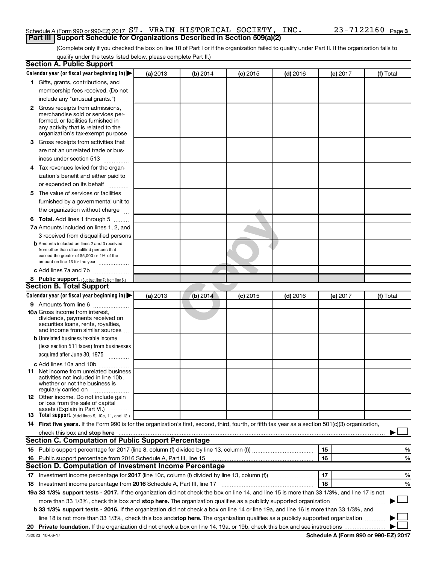#### Schedule A (Form 990 or 990-EZ) 2017  $\, {\rm ST.} \,$  <code>VRAIN HISTORICAL SOCIETY, INC.</code>  $\, 23$  –  $7122160$  <code>Page</code> **Part III Support Schedule for Organizations Described in Section 509(a)(2)**

(Complete only if you checked the box on line 10 of Part I or if the organization failed to qualify under Part II. If the organization fails to qualify under the tests listed below, please complete Part II.)

| <b>Section A. Public Support</b>                                                                                                                    |          |          |            |            |          |           |  |  |  |
|-----------------------------------------------------------------------------------------------------------------------------------------------------|----------|----------|------------|------------|----------|-----------|--|--|--|
| Calendar year (or fiscal year beginning in)                                                                                                         | (a) 2013 | (b) 2014 | $(c)$ 2015 | $(d)$ 2016 | (e) 2017 | (f) Total |  |  |  |
| 1 Gifts, grants, contributions, and                                                                                                                 |          |          |            |            |          |           |  |  |  |
| membership fees received. (Do not                                                                                                                   |          |          |            |            |          |           |  |  |  |
| include any "unusual grants.")                                                                                                                      |          |          |            |            |          |           |  |  |  |
| 2 Gross receipts from admissions,                                                                                                                   |          |          |            |            |          |           |  |  |  |
| merchandise sold or services per-                                                                                                                   |          |          |            |            |          |           |  |  |  |
| formed, or facilities furnished in                                                                                                                  |          |          |            |            |          |           |  |  |  |
| any activity that is related to the<br>organization's tax-exempt purpose                                                                            |          |          |            |            |          |           |  |  |  |
| 3 Gross receipts from activities that                                                                                                               |          |          |            |            |          |           |  |  |  |
| are not an unrelated trade or bus-                                                                                                                  |          |          |            |            |          |           |  |  |  |
| iness under section 513                                                                                                                             |          |          |            |            |          |           |  |  |  |
|                                                                                                                                                     |          |          |            |            |          |           |  |  |  |
| 4 Tax revenues levied for the organ-                                                                                                                |          |          |            |            |          |           |  |  |  |
| ization's benefit and either paid to                                                                                                                |          |          |            |            |          |           |  |  |  |
| or expended on its behalf<br>.                                                                                                                      |          |          |            |            |          |           |  |  |  |
| 5 The value of services or facilities                                                                                                               |          |          |            |            |          |           |  |  |  |
| furnished by a governmental unit to                                                                                                                 |          |          |            |            |          |           |  |  |  |
| the organization without charge                                                                                                                     |          |          |            |            |          |           |  |  |  |
| 6 Total. Add lines 1 through 5                                                                                                                      |          |          |            |            |          |           |  |  |  |
| 7a Amounts included on lines 1, 2, and                                                                                                              |          |          |            |            |          |           |  |  |  |
| 3 received from disqualified persons                                                                                                                |          |          |            |            |          |           |  |  |  |
| <b>b</b> Amounts included on lines 2 and 3 received                                                                                                 |          |          |            |            |          |           |  |  |  |
| from other than disqualified persons that<br>exceed the greater of \$5,000 or 1% of the                                                             |          |          |            |            |          |           |  |  |  |
| amount on line 13 for the year                                                                                                                      |          |          |            |            |          |           |  |  |  |
| c Add lines 7a and 7b                                                                                                                               |          |          |            |            |          |           |  |  |  |
| 8 Public support. (Subtract line 7c from line 6.)                                                                                                   |          |          |            |            |          |           |  |  |  |
| <b>Section B. Total Support</b>                                                                                                                     |          |          |            |            |          |           |  |  |  |
| Calendar year (or fiscal year beginning in)                                                                                                         | (a) 2013 | (b) 2014 | $(c)$ 2015 | $(d)$ 2016 | (e) 2017 | (f) Total |  |  |  |
| <b>9</b> Amounts from line 6                                                                                                                        |          |          |            |            |          |           |  |  |  |
| <b>10a</b> Gross income from interest,                                                                                                              |          |          |            |            |          |           |  |  |  |
| dividends, payments received on                                                                                                                     |          |          |            |            |          |           |  |  |  |
| securities loans, rents, royalties,<br>and income from similar sources                                                                              |          |          |            |            |          |           |  |  |  |
| <b>b</b> Unrelated business taxable income                                                                                                          |          |          |            |            |          |           |  |  |  |
| (less section 511 taxes) from businesses                                                                                                            |          |          |            |            |          |           |  |  |  |
| acquired after June 30, 1975                                                                                                                        |          |          |            |            |          |           |  |  |  |
| $\overline{\phantom{a}}$                                                                                                                            |          |          |            |            |          |           |  |  |  |
| c Add lines 10a and 10b<br><b>11</b> Net income from unrelated business                                                                             |          |          |            |            |          |           |  |  |  |
| activities not included in line 10b.                                                                                                                |          |          |            |            |          |           |  |  |  |
| whether or not the business is                                                                                                                      |          |          |            |            |          |           |  |  |  |
| regularly carried on<br>12 Other income. Do not include gain                                                                                        |          |          |            |            |          |           |  |  |  |
| or loss from the sale of capital                                                                                                                    |          |          |            |            |          |           |  |  |  |
| assets (Explain in Part VI.)                                                                                                                        |          |          |            |            |          |           |  |  |  |
| <b>13</b> Total support. (Add lines 9, 10c, 11, and 12.)                                                                                            |          |          |            |            |          |           |  |  |  |
| 14 First five years. If the Form 990 is for the organization's first, second, third, fourth, or fifth tax year as a section 501(c)(3) organization, |          |          |            |            |          |           |  |  |  |
|                                                                                                                                                     |          |          |            |            |          |           |  |  |  |
| Section C. Computation of Public Support Percentage                                                                                                 |          |          |            |            |          |           |  |  |  |
|                                                                                                                                                     |          |          |            |            | 15       | %         |  |  |  |
| 16 Public support percentage from 2016 Schedule A, Part III, line 15                                                                                |          |          |            |            | 16       | %         |  |  |  |
| Section D. Computation of Investment Income Percentage                                                                                              |          |          |            |            |          |           |  |  |  |
|                                                                                                                                                     |          |          |            |            | 17       | %         |  |  |  |
| 18 Investment income percentage from 2016 Schedule A, Part III, line 17                                                                             |          |          |            |            | 18       | %         |  |  |  |
| 19a 33 1/3% support tests - 2017. If the organization did not check the box on line 14, and line 15 is more than 33 1/3%, and line 17 is not        |          |          |            |            |          |           |  |  |  |
| more than 33 1/3%, check this box and stop here. The organization qualifies as a publicly supported organization                                    |          |          |            |            |          |           |  |  |  |
| b 33 1/3% support tests - 2016. If the organization did not check a box on line 14 or line 19a, and line 16 is more than 33 1/3%, and               |          |          |            |            |          |           |  |  |  |
| line 18 is not more than 33 1/3%, check this box and stop here. The organization qualifies as a publicly supported organization                     |          |          |            |            |          |           |  |  |  |
|                                                                                                                                                     |          |          |            |            |          |           |  |  |  |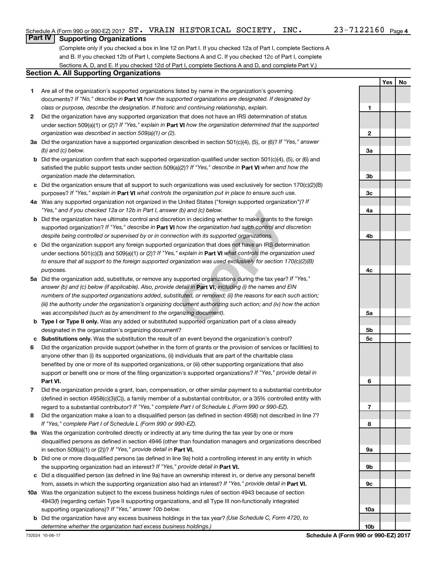**1**

**2**

**Yes No**

## **Part IV Supporting Organizations**

(Complete only if you checked a box in line 12 on Part I. If you checked 12a of Part I, complete Sections A and B. If you checked 12b of Part I, complete Sections A and C. If you checked 12c of Part I, complete Sections A, D, and E. If you checked 12d of Part I, complete Sections A and D, and complete Part V.)

#### **Section A. All Supporting Organizations**

- **1** Are all of the organization's supported organizations listed by name in the organization's governing documents? If "No," describe in Part VI how the supported organizations are designated. If designated by *class or purpose, describe the designation. If historic and continuing relationship, explain.*
- **2** Did the organization have any supported organization that does not have an IRS determination of status under section 509(a)(1) or (2)? If "Yes," explain in Part **VI** how the organization determined that the supported *organization was described in section 509(a)(1) or (2).*
- **3a** Did the organization have a supported organization described in section 501(c)(4), (5), or (6)? If "Yes," answer *(b) and (c) below.*
- **b** Did the organization confirm that each supported organization qualified under section 501(c)(4), (5), or (6) and satisfied the public support tests under section 509(a)(2)? If "Yes," describe in Part VI when and how the *organization made the determination.*
- **c** Did the organization ensure that all support to such organizations was used exclusively for section 170(c)(2)(B) purposes? If "Yes," explain in Part VI what controls the organization put in place to ensure such use.
- **4 a** *If* Was any supported organization not organized in the United States ("foreign supported organization")? *"Yes," and if you checked 12a or 12b in Part I, answer (b) and (c) below.*
- **b** Did the organization have ultimate control and discretion in deciding whether to make grants to the foreign supported organization? If "Yes," describe in Part VI how the organization had such control and discretion *despite being controlled or supervised by or in connection with its supported organizations.*
- **c** Did the organization support any foreign supported organization that does not have an IRS determination under sections 501(c)(3) and 509(a)(1) or (2)? If "Yes," explain in Part VI what controls the organization used *to ensure that all support to the foreign supported organization was used exclusively for section 170(c)(2)(B) purposes.*
- r (b) and (c) below.<br>
tion in deciding whether to make grants to the fo<br>
how the organization had such control and discretion with its supported organizations.<br>
Fragmization that does not have an IRS determine<br>
" explain i **5a** Did the organization add, substitute, or remove any supported organizations during the tax year? If "Yes," answer (b) and (c) below (if applicable). Also, provide detail in **Part VI,** including (i) the names and EIN *numbers of the supported organizations added, substituted, or removed; (ii) the reasons for each such action; (iii) the authority under the organization's organizing document authorizing such action; and (iv) how the action was accomplished (such as by amendment to the organizing document).*
- **b Type I or Type II only.** Was any added or substituted supported organization part of a class already designated in the organization's organizing document?
- **c Substitutions only.**  Was the substitution the result of an event beyond the organization's control?
- **6** Did the organization provide support (whether in the form of grants or the provision of services or facilities) to **Part VI.** support or benefit one or more of the filing organization's supported organizations? If "Yes," provide detail in anyone other than (i) its supported organizations, (ii) individuals that are part of the charitable class benefited by one or more of its supported organizations, or (iii) other supporting organizations that also
- **7** Did the organization provide a grant, loan, compensation, or other similar payment to a substantial contributor regard to a substantial contributor? If "Yes," complete Part I of Schedule L (Form 990 or 990-EZ). (defined in section 4958(c)(3)(C)), a family member of a substantial contributor, or a 35% controlled entity with
- **8** Did the organization make a loan to a disqualified person (as defined in section 4958) not described in line 7? *If "Yes," complete Part I of Schedule L (Form 990 or 990-EZ).*
- **9 a** Was the organization controlled directly or indirectly at any time during the tax year by one or more in section 509(a)(1) or (2))? If "Yes," provide detail in **Part VI.** disqualified persons as defined in section 4946 (other than foundation managers and organizations described
- **b** Did one or more disqualified persons (as defined in line 9a) hold a controlling interest in any entity in which the supporting organization had an interest? If "Yes," provide detail in Part VI.
- **c** Did a disqualified person (as defined in line 9a) have an ownership interest in, or derive any personal benefit from, assets in which the supporting organization also had an interest? If "Yes," provide detail in Part VI.
- **10 a** Was the organization subject to the excess business holdings rules of section 4943 because of section supporting organizations)? If "Yes," answer 10b below. 4943(f) (regarding certain Type II supporting organizations, and all Type III non-functionally integrated
	- **b** Did the organization have any excess business holdings in the tax year? (Use Schedule C, Form 4720, to *determine whether the organization had excess business holdings.)*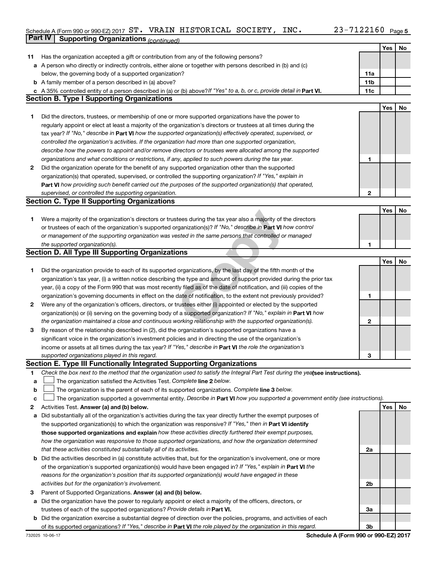### Schedule A (Form 990 or 990-EZ) 2017  $\, {\rm ST.} \,$  <code>VRAIN HISTORICAL SOCIETY, INC.</code>  $\, 23$  –  $7122160$  <code>Page</code> **Part IV Supporting Organizations** *(continued)*

|    |                                                                                                                                                                                                                                   |                 | Yes | No |
|----|-----------------------------------------------------------------------------------------------------------------------------------------------------------------------------------------------------------------------------------|-----------------|-----|----|
| 11 | Has the organization accepted a gift or contribution from any of the following persons?                                                                                                                                           |                 |     |    |
|    | a A person who directly or indirectly controls, either alone or together with persons described in (b) and (c)                                                                                                                    |                 |     |    |
|    | below, the governing body of a supported organization?                                                                                                                                                                            | 11a             |     |    |
|    | <b>b</b> A family member of a person described in (a) above?                                                                                                                                                                      | 11 <sub>b</sub> |     |    |
|    | c A 35% controlled entity of a person described in (a) or (b) above? If "Yes" to a, b, or c, provide detail in Part VI.                                                                                                           | 11c             |     |    |
|    | <b>Section B. Type I Supporting Organizations</b>                                                                                                                                                                                 |                 |     |    |
|    |                                                                                                                                                                                                                                   |                 | Yes | No |
| 1  | Did the directors, trustees, or membership of one or more supported organizations have the power to                                                                                                                               |                 |     |    |
|    | regularly appoint or elect at least a majority of the organization's directors or trustees at all times during the                                                                                                                |                 |     |    |
|    | tax year? If "No," describe in Part VI how the supported organization(s) effectively operated, supervised, or                                                                                                                     |                 |     |    |
|    | controlled the organization's activities. If the organization had more than one supported organization,                                                                                                                           |                 |     |    |
|    | describe how the powers to appoint and/or remove directors or trustees were allocated among the supported                                                                                                                         |                 |     |    |
|    | organizations and what conditions or restrictions, if any, applied to such powers during the tax year.                                                                                                                            | 1               |     |    |
| 2  | Did the organization operate for the benefit of any supported organization other than the supported                                                                                                                               |                 |     |    |
|    | organization(s) that operated, supervised, or controlled the supporting organization? If "Yes," explain in                                                                                                                        |                 |     |    |
|    | Part VI how providing such benefit carried out the purposes of the supported organization(s) that operated,                                                                                                                       |                 |     |    |
|    | supervised, or controlled the supporting organization.                                                                                                                                                                            | $\mathbf{2}$    |     |    |
|    | <b>Section C. Type II Supporting Organizations</b>                                                                                                                                                                                |                 |     |    |
|    |                                                                                                                                                                                                                                   |                 | Yes | No |
|    |                                                                                                                                                                                                                                   |                 |     |    |
| 1  | Were a majority of the organization's directors or trustees during the tax year also a majority of the directors<br>or trustees of each of the organization's supported organization(s)? If "No," describe in Part VI how control |                 |     |    |
|    | or management of the supporting organization was vested in the same persons that controlled or managed                                                                                                                            |                 |     |    |
|    | the supported organization(s).                                                                                                                                                                                                    | 1               |     |    |
|    | <b>Section D. All Type III Supporting Organizations</b>                                                                                                                                                                           |                 |     |    |
|    |                                                                                                                                                                                                                                   |                 |     |    |
|    |                                                                                                                                                                                                                                   |                 | Yes | No |
| 1  | Did the organization provide to each of its supported organizations, by the last day of the fifth month of the                                                                                                                    |                 |     |    |
|    | organization's tax year, (i) a written notice describing the type and amount of support provided during the prior tax                                                                                                             |                 |     |    |
|    | year, (ii) a copy of the Form 990 that was most recently filed as of the date of notification, and (iii) copies of the                                                                                                            |                 |     |    |
|    | organization's governing documents in effect on the date of notification, to the extent not previously provided?                                                                                                                  | 1               |     |    |
| 2  | Were any of the organization's officers, directors, or trustees either (i) appointed or elected by the supported                                                                                                                  |                 |     |    |
|    | organization(s) or (ii) serving on the governing body of a supported organization? If "No," explain in Part VI how                                                                                                                |                 |     |    |
|    | the organization maintained a close and continuous working relationship with the supported organization(s).                                                                                                                       | 2               |     |    |
| 3  | By reason of the relationship described in (2), did the organization's supported organizations have a                                                                                                                             |                 |     |    |
|    | significant voice in the organization's investment policies and in directing the use of the organization's                                                                                                                        |                 |     |    |
|    | income or assets at all times during the tax year? If "Yes," describe in Part VI the role the organization's                                                                                                                      |                 |     |    |
|    | supported organizations played in this regard.                                                                                                                                                                                    | З               |     |    |
|    | Section E. Type III Functionally Integrated Supporting Organizations                                                                                                                                                              |                 |     |    |
| 1. | Check the box next to the method that the organization used to satisfy the Integral Part Test during the yealsee instructions).                                                                                                   |                 |     |    |
| a  | The organization satisfied the Activities Test. Complete line 2 below.                                                                                                                                                            |                 |     |    |
| b  | The organization is the parent of each of its supported organizations. Complete line 3 below.                                                                                                                                     |                 |     |    |
| c  | The organization supported a governmental entity. Describe in Part VI how you supported a government entity (see instructions).                                                                                                   |                 |     |    |
| 2  | Activities Test. Answer (a) and (b) below.                                                                                                                                                                                        |                 | Yes | No |
| a  | Did substantially all of the organization's activities during the tax year directly further the exempt purposes of                                                                                                                |                 |     |    |
|    | the supported organization(s) to which the organization was responsive? If "Yes," then in Part VI identify                                                                                                                        |                 |     |    |
|    | those supported organizations and explain how these activities directly furthered their exempt purposes,                                                                                                                          |                 |     |    |
|    | how the organization was responsive to those supported organizations, and how the organization determined                                                                                                                         |                 |     |    |
|    | that these activities constituted substantially all of its activities.                                                                                                                                                            | 2a              |     |    |
|    | <b>b</b> Did the activities described in (a) constitute activities that, but for the organization's involvement, one or more                                                                                                      |                 |     |    |
|    | of the organization's supported organization(s) would have been engaged in? If "Yes," explain in Part VI the                                                                                                                      |                 |     |    |
|    | reasons for the organization's position that its supported organization(s) would have engaged in these                                                                                                                            |                 |     |    |
|    | activities but for the organization's involvement.                                                                                                                                                                                | 2b              |     |    |
| з  | Parent of Supported Organizations. Answer (a) and (b) below.                                                                                                                                                                      |                 |     |    |
|    | a Did the organization have the power to regularly appoint or elect a majority of the officers, directors, or                                                                                                                     |                 |     |    |
|    | trustees of each of the supported organizations? Provide details in Part VI.                                                                                                                                                      | За              |     |    |
|    | <b>b</b> Did the organization exercise a substantial degree of direction over the policies, programs, and activities of each                                                                                                      |                 |     |    |
|    | of its supported organizations? If "Yes," describe in Part VI the role played by the organization in this regard.                                                                                                                 | 3b              |     |    |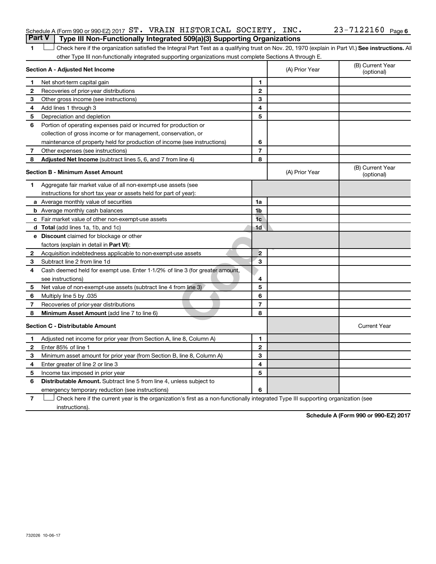|  | Schedule A (Form 990 or 990-EZ) 2017 $ST.$ VRAIN HISTORICAL SOCIETY, INC.             |  |  | 23-7122160 <sub>Page 6</sub> |  |
|--|---------------------------------------------------------------------------------------|--|--|------------------------------|--|
|  | <b>Part V</b> Type III Non-Functionally Integrated 509(a)(3) Supporting Organizations |  |  |                              |  |

1 **Letter See instructions.** All Check here if the organization satisfied the Integral Part Test as a qualifying trust on Nov. 20, 1970 (explain in Part VI.) See instructions. All other Type III non-functionally integrated supporting organizations must complete Sections A through E.

|              | Section A - Adjusted Net Income                                              | (A) Prior Year | (B) Current Year<br>(optional) |                                |
|--------------|------------------------------------------------------------------------------|----------------|--------------------------------|--------------------------------|
| 1            | Net short-term capital gain                                                  | 1              |                                |                                |
| 2            | Recoveries of prior-year distributions                                       | $\overline{2}$ |                                |                                |
| 3            | Other gross income (see instructions)                                        | 3              |                                |                                |
| 4            | Add lines 1 through 3                                                        | 4              |                                |                                |
| 5            | Depreciation and depletion                                                   | 5              |                                |                                |
| 6            | Portion of operating expenses paid or incurred for production or             |                |                                |                                |
|              | collection of gross income or for management, conservation, or               |                |                                |                                |
|              | maintenance of property held for production of income (see instructions)     | 6              |                                |                                |
| 7            | Other expenses (see instructions)                                            | $\overline{7}$ |                                |                                |
| 8            | Adjusted Net Income (subtract lines 5, 6, and 7 from line 4)                 | 8              |                                |                                |
|              | <b>Section B - Minimum Asset Amount</b>                                      |                | (A) Prior Year                 | (B) Current Year<br>(optional) |
| 1.           | Aggregate fair market value of all non-exempt-use assets (see                |                |                                |                                |
|              | instructions for short tax year or assets held for part of year):            |                |                                |                                |
|              | a Average monthly value of securities                                        | 1a             |                                |                                |
|              | <b>b</b> Average monthly cash balances                                       | 1b             |                                |                                |
|              | c Fair market value of other non-exempt-use assets                           | 1 <sub>c</sub> |                                |                                |
|              | d Total (add lines 1a, 1b, and 1c)                                           | 1d             |                                |                                |
|              | <b>e</b> Discount claimed for blockage or other                              |                |                                |                                |
|              | factors (explain in detail in <b>Part VI</b> ):                              |                |                                |                                |
| 2            | Acquisition indebtedness applicable to non-exempt-use assets                 | $\overline{2}$ |                                |                                |
| 3            | Subtract line 2 from line 1d                                                 | 3              |                                |                                |
| 4            | Cash deemed held for exempt use. Enter 1-1/2% of line 3 (for greater amount, |                |                                |                                |
|              | see instructions)                                                            | 4              |                                |                                |
| 5            | Net value of non-exempt-use assets (subtract line 4 from line 3)             | 5              |                                |                                |
| 6            | Multiply line 5 by .035                                                      | 6              |                                |                                |
| 7            | Recoveries of prior-year distributions                                       | 7              |                                |                                |
| 8            | Minimum Asset Amount (add line 7 to line 6)                                  | 8              |                                |                                |
|              | <b>Section C - Distributable Amount</b>                                      |                |                                | <b>Current Year</b>            |
| $\mathbf 1$  | Adjusted net income for prior year (from Section A, line 8, Column A)        | 1              |                                |                                |
| $\mathbf{2}$ | Enter 85% of line 1                                                          | $\mathbf{2}$   |                                |                                |
| 3            | Minimum asset amount for prior year (from Section B, line 8, Column A)       | 3              |                                |                                |
| 4            | Enter greater of line 2 or line 3                                            | 4              |                                |                                |
| 5            | Income tax imposed in prior year                                             | 5              |                                |                                |
| 6            | <b>Distributable Amount.</b> Subtract line 5 from line 4, unless subject to  |                |                                |                                |
|              | emergency temporary reduction (see instructions)                             | 6              |                                |                                |

**7** Check here if the current year is the organization's first as a non-functionally integrated Type III supporting organization (see † instructions).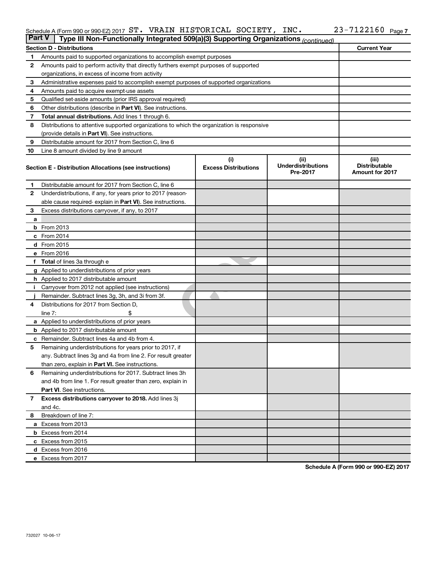#### Schedule A (Form 990 or 990-EZ) 2017 ST. VRAIN HISTORICAL SOCIETY, INC.  $Z3-1122160$  Page ST. VRAIN HISTORICAL SOCIETY, INC. 23-7122160

|              | <b>Part V</b><br>Type III Non-Functionally Integrated 509(a)(3) Supporting Organizations (continued) |                                    |                                               |                                                         |  |  |  |  |
|--------------|------------------------------------------------------------------------------------------------------|------------------------------------|-----------------------------------------------|---------------------------------------------------------|--|--|--|--|
|              | <b>Current Year</b><br><b>Section D - Distributions</b>                                              |                                    |                                               |                                                         |  |  |  |  |
| 1            | Amounts paid to supported organizations to accomplish exempt purposes                                |                                    |                                               |                                                         |  |  |  |  |
| 2            | Amounts paid to perform activity that directly furthers exempt purposes of supported                 |                                    |                                               |                                                         |  |  |  |  |
|              | organizations, in excess of income from activity                                                     |                                    |                                               |                                                         |  |  |  |  |
| 3            | Administrative expenses paid to accomplish exempt purposes of supported organizations                |                                    |                                               |                                                         |  |  |  |  |
| 4            | Amounts paid to acquire exempt-use assets                                                            |                                    |                                               |                                                         |  |  |  |  |
| 5            | Qualified set-aside amounts (prior IRS approval required)                                            |                                    |                                               |                                                         |  |  |  |  |
| 6            | Other distributions (describe in Part VI). See instructions.                                         |                                    |                                               |                                                         |  |  |  |  |
| 7            | Total annual distributions. Add lines 1 through 6.                                                   |                                    |                                               |                                                         |  |  |  |  |
| 8            | Distributions to attentive supported organizations to which the organization is responsive           |                                    |                                               |                                                         |  |  |  |  |
|              | (provide details in Part VI). See instructions.                                                      |                                    |                                               |                                                         |  |  |  |  |
| 9            | Distributable amount for 2017 from Section C, line 6                                                 |                                    |                                               |                                                         |  |  |  |  |
| 10           | Line 8 amount divided by line 9 amount                                                               |                                    |                                               |                                                         |  |  |  |  |
|              | Section E - Distribution Allocations (see instructions)                                              | (i)<br><b>Excess Distributions</b> | (ii)<br><b>Underdistributions</b><br>Pre-2017 | (iii)<br><b>Distributable</b><br><b>Amount for 2017</b> |  |  |  |  |
| 1.           | Distributable amount for 2017 from Section C, line 6                                                 |                                    |                                               |                                                         |  |  |  |  |
| $\mathbf{2}$ | Underdistributions, if any, for years prior to 2017 (reason-                                         |                                    |                                               |                                                         |  |  |  |  |
|              | able cause required- explain in Part VI). See instructions.                                          |                                    |                                               |                                                         |  |  |  |  |
| 3            | Excess distributions carryover, if any, to 2017                                                      |                                    |                                               |                                                         |  |  |  |  |
| a            |                                                                                                      |                                    |                                               |                                                         |  |  |  |  |
|              | <b>b</b> From 2013                                                                                   |                                    |                                               |                                                         |  |  |  |  |
|              | c From 2014                                                                                          |                                    |                                               |                                                         |  |  |  |  |
|              | d From 2015                                                                                          |                                    |                                               |                                                         |  |  |  |  |
|              | e From 2016                                                                                          |                                    |                                               |                                                         |  |  |  |  |
|              | f Total of lines 3a through e                                                                        |                                    |                                               |                                                         |  |  |  |  |
|              | <b>g</b> Applied to underdistributions of prior years                                                |                                    |                                               |                                                         |  |  |  |  |
|              | <b>h</b> Applied to 2017 distributable amount                                                        |                                    |                                               |                                                         |  |  |  |  |
|              | Carryover from 2012 not applied (see instructions)                                                   |                                    |                                               |                                                         |  |  |  |  |
|              | Remainder. Subtract lines 3g, 3h, and 3i from 3f.                                                    |                                    |                                               |                                                         |  |  |  |  |
| 4            | Distributions for 2017 from Section D,                                                               |                                    |                                               |                                                         |  |  |  |  |
|              | $line 7$ :                                                                                           |                                    |                                               |                                                         |  |  |  |  |
|              | a Applied to underdistributions of prior years                                                       |                                    |                                               |                                                         |  |  |  |  |
|              | <b>b</b> Applied to 2017 distributable amount                                                        |                                    |                                               |                                                         |  |  |  |  |
| с            | Remainder. Subtract lines 4a and 4b from 4.                                                          |                                    |                                               |                                                         |  |  |  |  |
| 5            | Remaining underdistributions for years prior to 2017, if                                             |                                    |                                               |                                                         |  |  |  |  |
|              | any. Subtract lines 3g and 4a from line 2. For result greater                                        |                                    |                                               |                                                         |  |  |  |  |
|              | than zero, explain in Part VI. See instructions.                                                     |                                    |                                               |                                                         |  |  |  |  |
| 6            | Remaining underdistributions for 2017. Subtract lines 3h                                             |                                    |                                               |                                                         |  |  |  |  |
|              | and 4b from line 1. For result greater than zero, explain in                                         |                                    |                                               |                                                         |  |  |  |  |
|              | <b>Part VI.</b> See instructions.                                                                    |                                    |                                               |                                                         |  |  |  |  |
| $\mathbf{7}$ | Excess distributions carryover to 2018. Add lines 3j                                                 |                                    |                                               |                                                         |  |  |  |  |
|              | and 4c.                                                                                              |                                    |                                               |                                                         |  |  |  |  |
| 8            | Breakdown of line 7:                                                                                 |                                    |                                               |                                                         |  |  |  |  |
|              | a Excess from 2013                                                                                   |                                    |                                               |                                                         |  |  |  |  |
|              | <b>b</b> Excess from 2014<br>c Excess from 2015                                                      |                                    |                                               |                                                         |  |  |  |  |
|              | d Excess from 2016                                                                                   |                                    |                                               |                                                         |  |  |  |  |
|              | e Excess from 2017                                                                                   |                                    |                                               |                                                         |  |  |  |  |
|              |                                                                                                      |                                    |                                               |                                                         |  |  |  |  |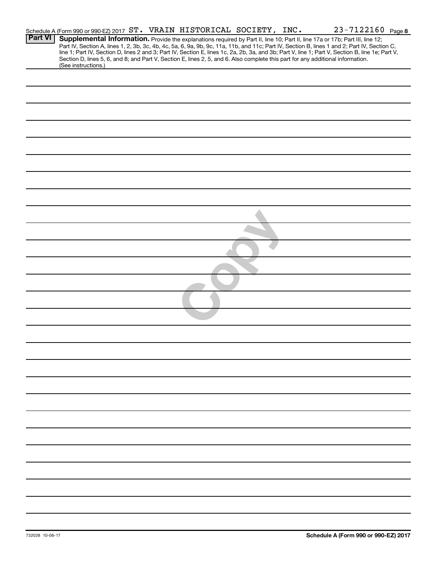|                | Schedule A (Form 990 or 990-EZ) 2017 ST. VRAIN HISTORICAL SOCIETY, INC. |  |  |  | 23-7122160 Page 8                                                                                                                                                                                                                                                                                |  |
|----------------|-------------------------------------------------------------------------|--|--|--|--------------------------------------------------------------------------------------------------------------------------------------------------------------------------------------------------------------------------------------------------------------------------------------------------|--|
| <b>Part VI</b> |                                                                         |  |  |  | Supplemental Information. Provide the explanations required by Part II, line 10; Part II, line 17a or 17b; Part III, line 12;                                                                                                                                                                    |  |
|                |                                                                         |  |  |  | Part IV, Section A, lines 1, 2, 3b, 3c, 4b, 4c, 5a, 6, 9a, 9b, 9c, 11a, 11b, and 11c; Part IV, Section B, lines 1 and 2; Part IV, Section C,<br>line 1; Part IV, Section D, lines 2 and 3; Part IV, Section E, lines 1c, 2a, 2b, 3a, and 3b; Part V, line 1; Part V, Section B, line 1e; Part V, |  |
|                |                                                                         |  |  |  | Section D, lines 5, 6, and 8; and Part V, Section E, lines 2, 5, and 6. Also complete this part for any additional information.                                                                                                                                                                  |  |
|                | (See instructions.)                                                     |  |  |  |                                                                                                                                                                                                                                                                                                  |  |
|                |                                                                         |  |  |  |                                                                                                                                                                                                                                                                                                  |  |
|                |                                                                         |  |  |  |                                                                                                                                                                                                                                                                                                  |  |
|                |                                                                         |  |  |  |                                                                                                                                                                                                                                                                                                  |  |
|                |                                                                         |  |  |  |                                                                                                                                                                                                                                                                                                  |  |
|                |                                                                         |  |  |  |                                                                                                                                                                                                                                                                                                  |  |
|                |                                                                         |  |  |  |                                                                                                                                                                                                                                                                                                  |  |
|                |                                                                         |  |  |  |                                                                                                                                                                                                                                                                                                  |  |
|                |                                                                         |  |  |  |                                                                                                                                                                                                                                                                                                  |  |
|                |                                                                         |  |  |  |                                                                                                                                                                                                                                                                                                  |  |
|                |                                                                         |  |  |  |                                                                                                                                                                                                                                                                                                  |  |
|                |                                                                         |  |  |  |                                                                                                                                                                                                                                                                                                  |  |
|                |                                                                         |  |  |  |                                                                                                                                                                                                                                                                                                  |  |
|                |                                                                         |  |  |  |                                                                                                                                                                                                                                                                                                  |  |
|                |                                                                         |  |  |  |                                                                                                                                                                                                                                                                                                  |  |
|                |                                                                         |  |  |  |                                                                                                                                                                                                                                                                                                  |  |
|                |                                                                         |  |  |  |                                                                                                                                                                                                                                                                                                  |  |
|                |                                                                         |  |  |  |                                                                                                                                                                                                                                                                                                  |  |
|                |                                                                         |  |  |  |                                                                                                                                                                                                                                                                                                  |  |
|                |                                                                         |  |  |  |                                                                                                                                                                                                                                                                                                  |  |
|                |                                                                         |  |  |  |                                                                                                                                                                                                                                                                                                  |  |
|                |                                                                         |  |  |  |                                                                                                                                                                                                                                                                                                  |  |
|                |                                                                         |  |  |  |                                                                                                                                                                                                                                                                                                  |  |
|                |                                                                         |  |  |  |                                                                                                                                                                                                                                                                                                  |  |
|                |                                                                         |  |  |  |                                                                                                                                                                                                                                                                                                  |  |
|                |                                                                         |  |  |  |                                                                                                                                                                                                                                                                                                  |  |
|                |                                                                         |  |  |  |                                                                                                                                                                                                                                                                                                  |  |
|                |                                                                         |  |  |  |                                                                                                                                                                                                                                                                                                  |  |
|                |                                                                         |  |  |  |                                                                                                                                                                                                                                                                                                  |  |
|                |                                                                         |  |  |  |                                                                                                                                                                                                                                                                                                  |  |
|                |                                                                         |  |  |  |                                                                                                                                                                                                                                                                                                  |  |
|                |                                                                         |  |  |  |                                                                                                                                                                                                                                                                                                  |  |
|                |                                                                         |  |  |  |                                                                                                                                                                                                                                                                                                  |  |
|                |                                                                         |  |  |  |                                                                                                                                                                                                                                                                                                  |  |
|                |                                                                         |  |  |  |                                                                                                                                                                                                                                                                                                  |  |
|                |                                                                         |  |  |  |                                                                                                                                                                                                                                                                                                  |  |
|                |                                                                         |  |  |  |                                                                                                                                                                                                                                                                                                  |  |
|                |                                                                         |  |  |  |                                                                                                                                                                                                                                                                                                  |  |
|                |                                                                         |  |  |  |                                                                                                                                                                                                                                                                                                  |  |
|                |                                                                         |  |  |  |                                                                                                                                                                                                                                                                                                  |  |
|                |                                                                         |  |  |  |                                                                                                                                                                                                                                                                                                  |  |
|                |                                                                         |  |  |  |                                                                                                                                                                                                                                                                                                  |  |
|                |                                                                         |  |  |  |                                                                                                                                                                                                                                                                                                  |  |
|                |                                                                         |  |  |  |                                                                                                                                                                                                                                                                                                  |  |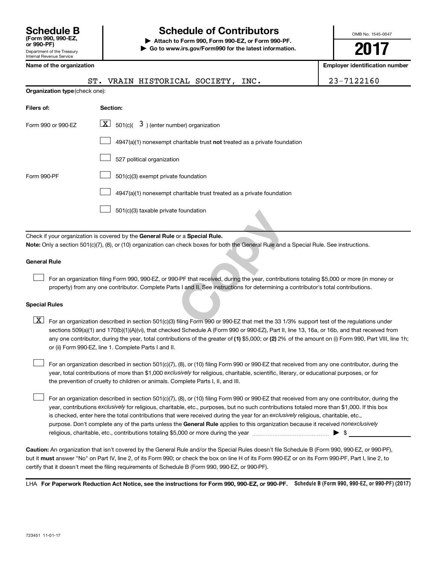## **Schedule B Schedule of Contributors**

**or 990-PF) | Attach to Form 990, Form 990-EZ, or Form 990-PF. | Go to www.irs.gov/Form990 for the latest information.** OMB No. 1545-0047

**2017**

**Kamployer identification number** 

| Name of the organization |  |
|--------------------------|--|
|--------------------------|--|

|                                                                       | VRAIN HISTORICAL SOCIETY, INC.<br>ST.                                                                                                                                                                                                                                            | 23-7122160 |  |  |  |  |  |
|-----------------------------------------------------------------------|----------------------------------------------------------------------------------------------------------------------------------------------------------------------------------------------------------------------------------------------------------------------------------|------------|--|--|--|--|--|
|                                                                       | Organization type (check one):                                                                                                                                                                                                                                                   |            |  |  |  |  |  |
| Filers of:                                                            | Section:                                                                                                                                                                                                                                                                         |            |  |  |  |  |  |
| Form 990 or 990-EZ                                                    | $\lfloor x \rfloor$ 501(c)( 3) (enter number) organization                                                                                                                                                                                                                       |            |  |  |  |  |  |
|                                                                       | 4947(a)(1) nonexempt charitable trust not treated as a private foundation                                                                                                                                                                                                        |            |  |  |  |  |  |
| 527 political organization                                            |                                                                                                                                                                                                                                                                                  |            |  |  |  |  |  |
| 501(c)(3) exempt private foundation<br>Form 990-PF                    |                                                                                                                                                                                                                                                                                  |            |  |  |  |  |  |
| 4947(a)(1) nonexempt charitable trust treated as a private foundation |                                                                                                                                                                                                                                                                                  |            |  |  |  |  |  |
|                                                                       | 501(c)(3) taxable private foundation                                                                                                                                                                                                                                             |            |  |  |  |  |  |
|                                                                       | Check if your organization is covered by the General Rule or a Special Rule.                                                                                                                                                                                                     |            |  |  |  |  |  |
|                                                                       | Note: Only a section 501(c)(7), (8), or (10) organization can check boxes for both the General Rule and a Special Rule. See instructions.                                                                                                                                        |            |  |  |  |  |  |
| <b>General Rule</b>                                                   |                                                                                                                                                                                                                                                                                  |            |  |  |  |  |  |
|                                                                       | For an organization filing Form 990, 990-EZ, or 990-PF that received, during the year, contributions totaling \$5,000 or more (in money or<br>property) from any one contributor. Complete Parts I and II. See instructions for determining a contributor's total contributions. |            |  |  |  |  |  |
| <b>Special Rules</b>                                                  |                                                                                                                                                                                                                                                                                  |            |  |  |  |  |  |
| $\lfloor x \rfloor$                                                   | For an organization described in section 501(c)(3) filing Form 990 or 990-EZ that met the 33 1/3% support test of the regulations under                                                                                                                                          |            |  |  |  |  |  |

#### **General Rule**

#### **Special Rules**

any one contributor, during the year, total contributions of the greater of (1) \$5,000; or (2) 2% of the amount on (i) Form 990, Part VIII, line 1h;  $\boxed{\text{X}}$  For an organization described in section 501(c)(3) filing Form 990 or 990-EZ that met the 33 1/3% support test of the regulations under sections 509(a)(1) and 170(b)(1)(A)(vi), that checked Schedule A (Form 990 or 990-EZ), Part II, line 13, 16a, or 16b, and that received from or (ii) Form 990-EZ, line 1. Complete Parts I and II.

year, total contributions of more than \$1,000 *exclusively* for religious, charitable, scientific, literary, or educational purposes, or for For an organization described in section 501(c)(7), (8), or (10) filing Form 990 or 990-EZ that received from any one contributor, during the the prevention of cruelty to children or animals. Complete Parts I, II, and III.  $\Box$ 

purpose. Don't complete any of the parts unless the General Rule applies to this organization because it received nonexclusively year, contributions exclusively for religious, charitable, etc., purposes, but no such contributions totaled more than \$1,000. If this box is checked, enter here the total contributions that were received during the year for an exclusively religious, charitable, etc., For an organization described in section 501(c)(7), (8), or (10) filing Form 990 or 990-EZ that received from any one contributor, during the religious, charitable, etc., contributions totaling \$5,000 or more during the year  $\ldots$  $\ldots$  $\ldots$  $\ldots$  $\ldots$  $\ldots$  $\Box$ 

**Caution:**  An organization that isn't covered by the General Rule and/or the Special Rules doesn't file Schedule B (Form 990, 990-EZ, or 990-PF),  **must** but it answer "No" on Part IV, line 2, of its Form 990; or check the box on line H of its Form 990-EZ or on its Form 990-PF, Part I, line 2, to certify that it doesn't meet the filing requirements of Schedule B (Form 990, 990-EZ, or 990-PF).

LHA For Paperwork Reduction Act Notice, see the instructions for Form 990, 990-EZ, or 990-PF. Schedule B (Form 990, 990-EZ, or 990-PF) (2017)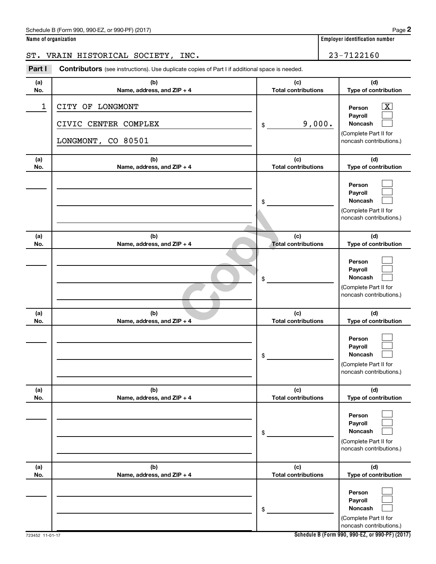#### Schedule B (Form 990, 990-EZ, or 990-PF) (2017)

| Name of organization |  |  |  |  |  |  |
|----------------------|--|--|--|--|--|--|
|----------------------|--|--|--|--|--|--|

ST. VRAIN HISTORICAL SOCIETY, INC. 23-7122160

**Part I** Contributors (see instructions). Use duplicate copies of Part I if additional space is needed.

| (a)<br>No. | (b)<br>Name, address, and ZIP + 4                              | (c)<br><b>Total contributions</b> | (d)<br>Type of contribution                                                                              |
|------------|----------------------------------------------------------------|-----------------------------------|----------------------------------------------------------------------------------------------------------|
| 1          | CITY OF LONGMONT<br>CIVIC CENTER COMPLEX<br>LONGMONT, CO 80501 | 9,000.<br>\$                      | $\boxed{\textbf{X}}$<br>Person<br>Payroll<br>Noncash<br>(Complete Part II for<br>noncash contributions.) |
| (a)<br>No. | (b)<br>Name, address, and ZIP + 4                              | (c)<br><b>Total contributions</b> | (d)<br>Type of contribution                                                                              |
|            |                                                                | \$                                | Person<br>Payroll<br>Noncash<br>(Complete Part II for<br>noncash contributions.)                         |
| (a)<br>No. | (b)<br>Name, address, and ZIP + 4                              | (c)<br><b>Total contributions</b> | (d)<br>Type of contribution                                                                              |
|            |                                                                | \$                                | Person<br>Payroll<br><b>Noncash</b><br>(Complete Part II for<br>noncash contributions.)                  |
| (a)<br>No. | (b)<br>Name, address, and ZIP + 4                              | (c)<br><b>Total contributions</b> | (d)<br>Type of contribution                                                                              |
|            |                                                                | \$                                | Person<br>Payroll<br>Noncash<br>(Complete Part II for<br>noncash contributions.)                         |
| (a)<br>No. | (b)<br>Name, address, and ZIP + 4                              | (c)<br><b>Total contributions</b> | (d)<br>Type of contribution                                                                              |
|            |                                                                | $\,$                              | Person<br>Payroll<br>Noncash<br>(Complete Part II for<br>noncash contributions.)                         |
| (a)<br>No. | (b)<br>Name, address, and ZIP + 4                              | (c)<br><b>Total contributions</b> | (d)<br>Type of contribution                                                                              |
|            |                                                                | $\,$                              | Person<br>Payroll<br>Noncash<br>(Complete Part II for<br>noncash contributions.)                         |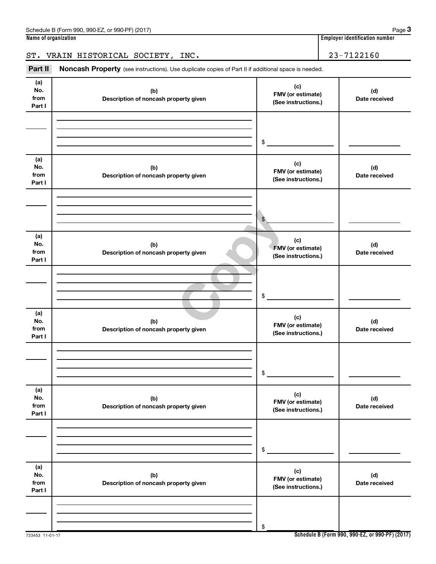## ST. VRAIN HISTORICAL SOCIETY, INC. 23-7122160

Part II Noncash Property (see instructions). Use duplicate copies of Part II if additional space is needed.

| (a)<br>No.<br>from<br>Part I | (b)<br>Description of noncash property given | (c)<br>FMV (or estimate)<br>(See instructions.) | (d)<br>Date received |
|------------------------------|----------------------------------------------|-------------------------------------------------|----------------------|
|                              |                                              | $\$$                                            |                      |
| (a)<br>No.<br>from<br>Part I | (b)<br>Description of noncash property given | (c)<br>FMV (or estimate)<br>(See instructions.) | (d)<br>Date received |
|                              |                                              | $\frac{1}{2}$                                   |                      |
| (a)<br>No.<br>from<br>Part I | (b)<br>Description of noncash property given | (c)<br>FMV (or estimate)<br>(See instructions.) | (d)<br>Date received |
|                              |                                              | \$                                              |                      |
| (a)<br>No.<br>from<br>Part I | (b)<br>Description of noncash property given | (c)<br>FMV (or estimate)<br>(See instructions.) | (d)<br>Date received |
|                              |                                              | \$                                              |                      |
| (a)<br>No.<br>from<br>Part I | (b)<br>Description of noncash property given | (c)<br>FMV (or estimate)<br>(See instructions.) | (d)<br>Date received |
|                              |                                              | $\$$                                            |                      |
| (a)<br>No.<br>from<br>Part I | (b)<br>Description of noncash property given | (c)<br>FMV (or estimate)<br>(See instructions.) | (d)<br>Date received |
|                              |                                              | \$                                              |                      |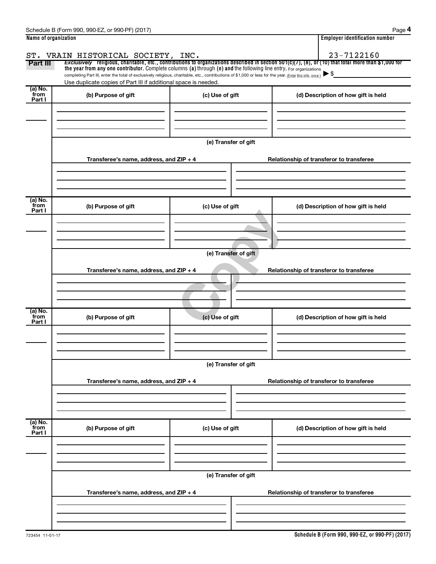|                           | Schedule B (Form 990, 990-EZ, or 990-PF) (2017)                                                                                                                             |                                                                                                                                                                                                                                                                                 | Page 4                                                                                                                                                                                                         |
|---------------------------|-----------------------------------------------------------------------------------------------------------------------------------------------------------------------------|---------------------------------------------------------------------------------------------------------------------------------------------------------------------------------------------------------------------------------------------------------------------------------|----------------------------------------------------------------------------------------------------------------------------------------------------------------------------------------------------------------|
| Name of organization      |                                                                                                                                                                             |                                                                                                                                                                                                                                                                                 | <b>Employer identification number</b>                                                                                                                                                                          |
|                           | ST. VRAIN HISTORICAL SOCIETY, INC.                                                                                                                                          |                                                                                                                                                                                                                                                                                 | 23-7122160                                                                                                                                                                                                     |
| Part III                  |                                                                                                                                                                             |                                                                                                                                                                                                                                                                                 | Exclusively religious, charitable, etc., contributions to organizations described in section 501(c)(7), (8), or (10) that total more than \$1,000 for                                                          |
|                           |                                                                                                                                                                             | the year from any one contributor. Complete columns (a) through (e) and the following line entry. For organizations<br>completing Part III, enter the total of exclusively religious, charitable, etc., contributions of \$1,000 or less for the year. (Enter this info. once.) |                                                                                                                                                                                                                |
|                           | Use duplicate copies of Part III if additional space is needed.                                                                                                             |                                                                                                                                                                                                                                                                                 |                                                                                                                                                                                                                |
| (a) No.<br>from<br>Part I | (b) Purpose of gift                                                                                                                                                         | (c) Use of gift                                                                                                                                                                                                                                                                 | (d) Description of how gift is held                                                                                                                                                                            |
|                           |                                                                                                                                                                             |                                                                                                                                                                                                                                                                                 |                                                                                                                                                                                                                |
|                           |                                                                                                                                                                             |                                                                                                                                                                                                                                                                                 |                                                                                                                                                                                                                |
|                           |                                                                                                                                                                             |                                                                                                                                                                                                                                                                                 |                                                                                                                                                                                                                |
|                           |                                                                                                                                                                             | (e) Transfer of gift                                                                                                                                                                                                                                                            |                                                                                                                                                                                                                |
|                           | Transferee's name, address, and ZIP + 4                                                                                                                                     |                                                                                                                                                                                                                                                                                 | Relationship of transferor to transferee                                                                                                                                                                       |
|                           |                                                                                                                                                                             |                                                                                                                                                                                                                                                                                 |                                                                                                                                                                                                                |
|                           |                                                                                                                                                                             |                                                                                                                                                                                                                                                                                 |                                                                                                                                                                                                                |
| (a) No.                   |                                                                                                                                                                             |                                                                                                                                                                                                                                                                                 |                                                                                                                                                                                                                |
| from<br>Part I            | (b) Purpose of gift                                                                                                                                                         | (c) Use of gift                                                                                                                                                                                                                                                                 | (d) Description of how gift is held                                                                                                                                                                            |
|                           |                                                                                                                                                                             |                                                                                                                                                                                                                                                                                 |                                                                                                                                                                                                                |
|                           |                                                                                                                                                                             |                                                                                                                                                                                                                                                                                 |                                                                                                                                                                                                                |
|                           |                                                                                                                                                                             |                                                                                                                                                                                                                                                                                 |                                                                                                                                                                                                                |
|                           |                                                                                                                                                                             | (e) Transfer of gift                                                                                                                                                                                                                                                            |                                                                                                                                                                                                                |
|                           |                                                                                                                                                                             |                                                                                                                                                                                                                                                                                 |                                                                                                                                                                                                                |
|                           |                                                                                                                                                                             |                                                                                                                                                                                                                                                                                 |                                                                                                                                                                                                                |
|                           |                                                                                                                                                                             |                                                                                                                                                                                                                                                                                 |                                                                                                                                                                                                                |
|                           |                                                                                                                                                                             |                                                                                                                                                                                                                                                                                 |                                                                                                                                                                                                                |
| (a) No.                   |                                                                                                                                                                             |                                                                                                                                                                                                                                                                                 |                                                                                                                                                                                                                |
| Part I                    |                                                                                                                                                                             |                                                                                                                                                                                                                                                                                 |                                                                                                                                                                                                                |
|                           |                                                                                                                                                                             |                                                                                                                                                                                                                                                                                 |                                                                                                                                                                                                                |
|                           |                                                                                                                                                                             |                                                                                                                                                                                                                                                                                 |                                                                                                                                                                                                                |
|                           |                                                                                                                                                                             |                                                                                                                                                                                                                                                                                 |                                                                                                                                                                                                                |
|                           |                                                                                                                                                                             |                                                                                                                                                                                                                                                                                 |                                                                                                                                                                                                                |
|                           |                                                                                                                                                                             |                                                                                                                                                                                                                                                                                 |                                                                                                                                                                                                                |
|                           |                                                                                                                                                                             |                                                                                                                                                                                                                                                                                 |                                                                                                                                                                                                                |
|                           |                                                                                                                                                                             |                                                                                                                                                                                                                                                                                 |                                                                                                                                                                                                                |
|                           |                                                                                                                                                                             |                                                                                                                                                                                                                                                                                 |                                                                                                                                                                                                                |
|                           |                                                                                                                                                                             |                                                                                                                                                                                                                                                                                 |                                                                                                                                                                                                                |
| Part I                    |                                                                                                                                                                             |                                                                                                                                                                                                                                                                                 |                                                                                                                                                                                                                |
|                           |                                                                                                                                                                             |                                                                                                                                                                                                                                                                                 |                                                                                                                                                                                                                |
|                           |                                                                                                                                                                             |                                                                                                                                                                                                                                                                                 |                                                                                                                                                                                                                |
|                           |                                                                                                                                                                             |                                                                                                                                                                                                                                                                                 |                                                                                                                                                                                                                |
|                           |                                                                                                                                                                             | (e) Transfer of gift                                                                                                                                                                                                                                                            |                                                                                                                                                                                                                |
|                           |                                                                                                                                                                             |                                                                                                                                                                                                                                                                                 |                                                                                                                                                                                                                |
|                           |                                                                                                                                                                             |                                                                                                                                                                                                                                                                                 |                                                                                                                                                                                                                |
|                           |                                                                                                                                                                             |                                                                                                                                                                                                                                                                                 |                                                                                                                                                                                                                |
|                           |                                                                                                                                                                             |                                                                                                                                                                                                                                                                                 |                                                                                                                                                                                                                |
| from<br>(a) No.<br>from   | Transferee's name, address, and ZIP + 4<br>(b) Purpose of gift<br>Transferee's name, address, and ZIP + 4<br>(b) Purpose of gift<br>Transferee's name, address, and ZIP + 4 | (c) Use of gift<br>(e) Transfer of gift<br>(c) Use of gift                                                                                                                                                                                                                      | Relationship of transferor to transferee<br>(d) Description of how gift is held<br>Relationship of transferor to transferee<br>(d) Description of how gift is held<br>Relationship of transferor to transferee |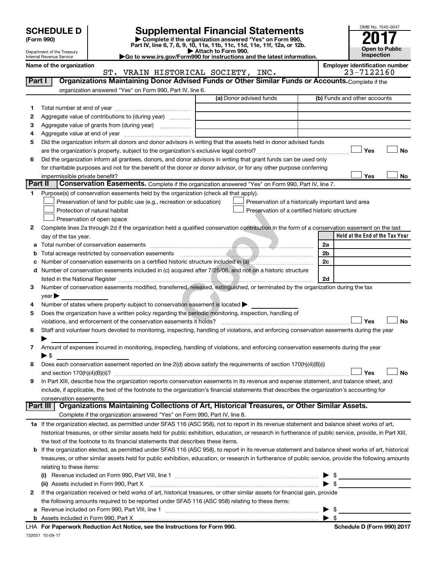# **SCHEDULE D Supplemental Financial Statements**<br> **Form 990 2017**<br> **Part IV** line 6.7.8.9.10, 11a, 11b, 11d, 11d, 11d, 11d, 11d, 12a, 0r, 12b

**(Form 990) | Complete if the organization answered "Yes" on Form 990, Part IV, line 6, 7, 8, 9, 10, 11a, 11b, 11c, 11d, 11e, 11f, 12a, or 12b.**

**| Attach to Form 990. |Go to www.irs.gov/Form990 for instructions and the latest information.**



Department of the Treasury Internal Revenue Service

Name of the organization<br> **Employer identification number**<br> **Employer identification number**<br> **Employer identification number**<br> **Employer identification number** ST. VRAIN HISTORICAL SOCIETY

| organization answered "Yes" on Form 990, Part IV, line 6.<br>(a) Donor advised funds                                                                      |                                 |
|-----------------------------------------------------------------------------------------------------------------------------------------------------------|---------------------------------|
|                                                                                                                                                           |                                 |
|                                                                                                                                                           | (b) Funds and other accounts    |
| 1.                                                                                                                                                        |                                 |
| Aggregate value of contributions to (during year)<br>2                                                                                                    |                                 |
| Aggregate value of grants from (during year)<br>3                                                                                                         |                                 |
| 4                                                                                                                                                         |                                 |
| Did the organization inform all donors and donor advisors in writing that the assets held in donor advised funds<br>5                                     |                                 |
|                                                                                                                                                           | Yes<br>No                       |
| Did the organization inform all grantees, donors, and donor advisors in writing that grant funds can be used only<br>6                                    |                                 |
| for charitable purposes and not for the benefit of the donor or donor advisor, or for any other purpose conferring                                        |                                 |
| impermissible private benefit?                                                                                                                            | Yes<br>No                       |
| Part II<br>Conservation Easements. Complete if the organization answered "Yes" on Form 990, Part IV, line 7.                                              |                                 |
| Purpose(s) of conservation easements held by the organization (check all that apply).<br>1.                                                               |                                 |
| Preservation of land for public use (e.g., recreation or education)<br>Preservation of a historically important land area                                 |                                 |
| Protection of natural habitat<br>Preservation of a certified historic structure                                                                           |                                 |
| Preservation of open space                                                                                                                                |                                 |
| Complete lines 2a through 2d if the organization held a qualified conservation contribution in the form of a conservation easement on the last<br>2       |                                 |
| day of the tax year.                                                                                                                                      | Held at the End of the Tax Year |
| 2a<br>а                                                                                                                                                   |                                 |
| Total acreage restricted by conservation easements<br>2b<br>b                                                                                             |                                 |
| 2c                                                                                                                                                        |                                 |
| Number of conservation easements included in (c) acquired after 7/25/06, and not on a historic structure<br>d                                             |                                 |
| 2d                                                                                                                                                        |                                 |
| Number of conservation easements modified, transferred, released, extinguished, or terminated by the organization during the tax<br>З                     |                                 |
| year                                                                                                                                                      |                                 |
| Number of states where property subject to conservation easement is located ><br>4                                                                        |                                 |
| Does the organization have a written policy regarding the periodic monitoring, inspection, handling of<br>5                                               |                                 |
| violations, and enforcement of the conservation easements it holds?                                                                                       | Yes<br>No                       |
| Staff and volunteer hours devoted to monitoring, inspecting, handling of violations, and enforcing conservation easements during the year<br>6            |                                 |
| Amount of expenses incurred in monitoring, inspecting, handling of violations, and enforcing conservation easements during the year                       |                                 |
| 7<br>▶ \$                                                                                                                                                 |                                 |
| Does each conservation easement reported on line 2(d) above satisfy the requirements of section 170(h)(4)(B)(i)<br>8                                      |                                 |
|                                                                                                                                                           | No<br>Yes                       |
| In Part XIII, describe how the organization reports conservation easements in its revenue and expense statement, and balance sheet, and<br>9              |                                 |
| include, if applicable, the text of the footnote to the organization's financial statements that describes the organization's accounting for              |                                 |
| conservation easements.                                                                                                                                   |                                 |
| Organizations Maintaining Collections of Art, Historical Treasures, or Other Similar Assets.<br>Part III                                                  |                                 |
| Complete if the organization answered "Yes" on Form 990, Part IV, line 8.                                                                                 |                                 |
| 1a If the organization elected, as permitted under SFAS 116 (ASC 958), not to report in its revenue statement and balance sheet works of art,             |                                 |
| historical treasures, or other similar assets held for public exhibition, education, or research in furtherance of public service, provide, in Part XIII, |                                 |
| the text of the footnote to its financial statements that describes these items.                                                                          |                                 |
| If the organization elected, as permitted under SFAS 116 (ASC 958), to report in its revenue statement and balance sheet works of art, historical<br>b    |                                 |
| treasures, or other similar assets held for public exhibition, education, or research in furtherance of public service, provide the following amounts     |                                 |
| relating to these items:                                                                                                                                  |                                 |
| (i)                                                                                                                                                       | $\triangleright$ \$             |
| (ii) Assets included in Form 990, Part X                                                                                                                  | $\blacktriangleright$ \$        |
| If the organization received or held works of art, historical treasures, or other similar assets for financial gain, provide<br>2                         |                                 |
| the following amounts required to be reported under SFAS 116 (ASC 958) relating to these items:                                                           |                                 |
| $\blacktriangleright$ \$<br>а                                                                                                                             |                                 |
|                                                                                                                                                           |                                 |

732051 10-09-17 **For Paperwork Reduction Act Notice, see the Instructions for Form 990. Schedule D (Form 990) 2017** LHA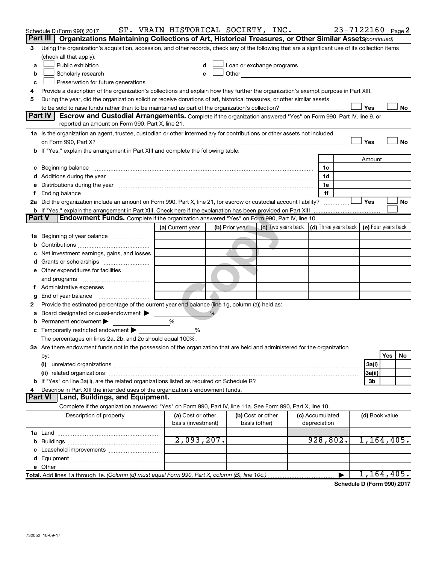|               | Schedule D (Form 990) 2017                                                                                                                                                                                                           | ST. VRAIN HISTORICAL SOCIETY, INC.      |                |                                                                                                                                                                                                                               |                                 | 23-7122160 Page 2                                                           |
|---------------|--------------------------------------------------------------------------------------------------------------------------------------------------------------------------------------------------------------------------------------|-----------------------------------------|----------------|-------------------------------------------------------------------------------------------------------------------------------------------------------------------------------------------------------------------------------|---------------------------------|-----------------------------------------------------------------------------|
|               | Part III<br>Organizations Maintaining Collections of Art, Historical Treasures, or Other Similar Assets (continued)                                                                                                                  |                                         |                |                                                                                                                                                                                                                               |                                 |                                                                             |
| 3             | Using the organization's acquisition, accession, and other records, check any of the following that are a significant use of its collection items                                                                                    |                                         |                |                                                                                                                                                                                                                               |                                 |                                                                             |
|               | (check all that apply):                                                                                                                                                                                                              |                                         |                |                                                                                                                                                                                                                               |                                 |                                                                             |
| a             | Public exhibition                                                                                                                                                                                                                    | d                                       |                | Loan or exchange programs                                                                                                                                                                                                     |                                 |                                                                             |
| b             | Scholarly research                                                                                                                                                                                                                   | e                                       |                | Other and the contract of the contract of the contract of the contract of the contract of the contract of the contract of the contract of the contract of the contract of the contract of the contract of the contract of the |                                 |                                                                             |
| c             | Preservation for future generations                                                                                                                                                                                                  |                                         |                |                                                                                                                                                                                                                               |                                 |                                                                             |
| 4             | Provide a description of the organization's collections and explain how they further the organization's exempt purpose in Part XIII.                                                                                                 |                                         |                |                                                                                                                                                                                                                               |                                 |                                                                             |
| 5             | During the year, did the organization solicit or receive donations of art, historical treasures, or other similar assets                                                                                                             |                                         |                |                                                                                                                                                                                                                               |                                 |                                                                             |
|               |                                                                                                                                                                                                                                      |                                         |                |                                                                                                                                                                                                                               |                                 | Yes<br>No                                                                   |
|               | Part IV<br>Escrow and Custodial Arrangements. Complete if the organization answered "Yes" on Form 990, Part IV, line 9, or<br>reported an amount on Form 990, Part X, line 21.                                                       |                                         |                |                                                                                                                                                                                                                               |                                 |                                                                             |
|               | 1a Is the organization an agent, trustee, custodian or other intermediary for contributions or other assets not included                                                                                                             |                                         |                |                                                                                                                                                                                                                               |                                 |                                                                             |
|               |                                                                                                                                                                                                                                      |                                         |                |                                                                                                                                                                                                                               |                                 | Yes<br>No                                                                   |
|               | b If "Yes," explain the arrangement in Part XIII and complete the following table:                                                                                                                                                   |                                         |                |                                                                                                                                                                                                                               |                                 |                                                                             |
|               |                                                                                                                                                                                                                                      |                                         |                |                                                                                                                                                                                                                               |                                 | Amount                                                                      |
|               | c Beginning balance <b>contract to the contract of the contract of the contract of the contract of the contract of the contract of the contract of the contract of the contract of the contract of the contract of the contract </b> |                                         |                |                                                                                                                                                                                                                               | 1c                              |                                                                             |
|               |                                                                                                                                                                                                                                      |                                         |                |                                                                                                                                                                                                                               | 1d                              |                                                                             |
|               | e Distributions during the year manufactured and continuum and contact the control of the control of the state of the control of the control of the control of the control of the control of the control of the control of the       |                                         |                |                                                                                                                                                                                                                               | 1е                              |                                                                             |
|               |                                                                                                                                                                                                                                      |                                         |                |                                                                                                                                                                                                                               | 1f                              |                                                                             |
|               | 2a Did the organization include an amount on Form 990, Part X, line 21, for escrow or custodial account liability?                                                                                                                   |                                         |                |                                                                                                                                                                                                                               |                                 | Yes<br>No                                                                   |
|               |                                                                                                                                                                                                                                      |                                         |                |                                                                                                                                                                                                                               |                                 |                                                                             |
| <b>Part V</b> | <b>Endowment Funds.</b> Complete if the organization answered "Yes" on Form 990, Part IV, line 10.                                                                                                                                   |                                         |                |                                                                                                                                                                                                                               |                                 |                                                                             |
|               |                                                                                                                                                                                                                                      | (a) Current year                        | (b) Prior year |                                                                                                                                                                                                                               |                                 | (c) Two years back $\vert$ (d) Three years back $\vert$ (e) Four years back |
|               | 1a Beginning of year balance                                                                                                                                                                                                         |                                         |                |                                                                                                                                                                                                                               |                                 |                                                                             |
| b             |                                                                                                                                                                                                                                      |                                         |                |                                                                                                                                                                                                                               |                                 |                                                                             |
|               | Net investment earnings, gains, and losses                                                                                                                                                                                           |                                         |                |                                                                                                                                                                                                                               |                                 |                                                                             |
|               |                                                                                                                                                                                                                                      |                                         |                |                                                                                                                                                                                                                               |                                 |                                                                             |
|               | e Other expenditures for facilities                                                                                                                                                                                                  |                                         |                |                                                                                                                                                                                                                               |                                 |                                                                             |
|               | and programs                                                                                                                                                                                                                         |                                         |                |                                                                                                                                                                                                                               |                                 |                                                                             |
|               |                                                                                                                                                                                                                                      |                                         |                |                                                                                                                                                                                                                               |                                 |                                                                             |
| g             |                                                                                                                                                                                                                                      |                                         |                |                                                                                                                                                                                                                               |                                 |                                                                             |
| 2             | Provide the estimated percentage of the current year end balance (line 1g, column (a)) held as:                                                                                                                                      |                                         |                |                                                                                                                                                                                                                               |                                 |                                                                             |
|               | a Board designated or quasi-endowment                                                                                                                                                                                                |                                         | %              |                                                                                                                                                                                                                               |                                 |                                                                             |
| b             | Permanent endowment                                                                                                                                                                                                                  | %                                       |                |                                                                                                                                                                                                                               |                                 |                                                                             |
|               | <b>c</b> Temporarily restricted endowment $\blacktriangleright$                                                                                                                                                                      | %                                       |                |                                                                                                                                                                                                                               |                                 |                                                                             |
|               | The percentages on lines 2a, 2b, and 2c should equal 100%.                                                                                                                                                                           |                                         |                |                                                                                                                                                                                                                               |                                 |                                                                             |
|               | 3a Are there endowment funds not in the possession of the organization that are held and administered for the organization                                                                                                           |                                         |                |                                                                                                                                                                                                                               |                                 |                                                                             |
|               | by:                                                                                                                                                                                                                                  |                                         |                |                                                                                                                                                                                                                               |                                 | Yes<br>No                                                                   |
|               | (i)                                                                                                                                                                                                                                  |                                         |                |                                                                                                                                                                                                                               |                                 | 3a(i)                                                                       |
|               |                                                                                                                                                                                                                                      |                                         |                |                                                                                                                                                                                                                               |                                 | 3a(ii)                                                                      |
|               |                                                                                                                                                                                                                                      |                                         |                |                                                                                                                                                                                                                               |                                 | 3b                                                                          |
| 4             | Describe in Part XIII the intended uses of the organization's endowment funds.                                                                                                                                                       |                                         |                |                                                                                                                                                                                                                               |                                 |                                                                             |
|               | Land, Buildings, and Equipment.<br><b>Part VI</b>                                                                                                                                                                                    |                                         |                |                                                                                                                                                                                                                               |                                 |                                                                             |
|               | Complete if the organization answered "Yes" on Form 990, Part IV, line 11a. See Form 990, Part X, line 10.                                                                                                                           |                                         |                |                                                                                                                                                                                                                               |                                 |                                                                             |
|               | Description of property                                                                                                                                                                                                              | (a) Cost or other<br>basis (investment) |                | (b) Cost or other<br>basis (other)                                                                                                                                                                                            | (c) Accumulated<br>depreciation | (d) Book value                                                              |
|               |                                                                                                                                                                                                                                      |                                         |                |                                                                                                                                                                                                                               |                                 |                                                                             |
|               |                                                                                                                                                                                                                                      | 2,093,207.                              |                |                                                                                                                                                                                                                               | 928,802.                        | 1,164,405.                                                                  |
|               |                                                                                                                                                                                                                                      |                                         |                |                                                                                                                                                                                                                               |                                 |                                                                             |
|               |                                                                                                                                                                                                                                      |                                         |                |                                                                                                                                                                                                                               |                                 |                                                                             |
|               |                                                                                                                                                                                                                                      |                                         |                |                                                                                                                                                                                                                               |                                 |                                                                             |
|               | Total. Add lines 1a through 1e. (Column (d) must equal Form 990, Part X, column (B), line 10c.)                                                                                                                                      |                                         |                |                                                                                                                                                                                                                               | ▶                               | 1,164,405.                                                                  |
|               |                                                                                                                                                                                                                                      |                                         |                |                                                                                                                                                                                                                               |                                 |                                                                             |

**Schedule D (Form 990) 2017**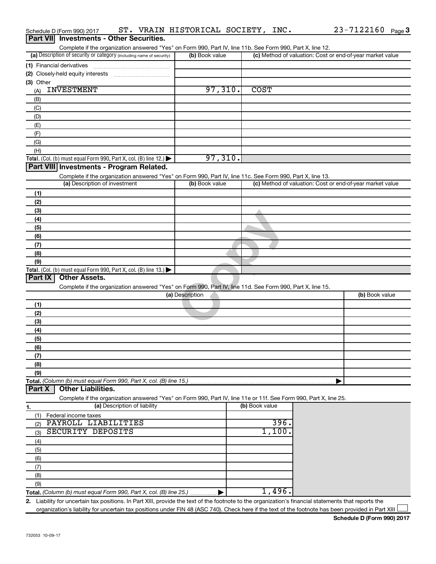|                 | ST. VRAIN HISTORICAL SOCIETY, INC.<br>Schedule D (Form 990) 2017                                                                                     |                 |                | 23-7122160 Page 3                                         |
|-----------------|------------------------------------------------------------------------------------------------------------------------------------------------------|-----------------|----------------|-----------------------------------------------------------|
| <b>Part VII</b> | <b>Investments - Other Securities.</b>                                                                                                               |                 |                |                                                           |
|                 | Complete if the organization answered "Yes" on Form 990, Part IV, line 11b. See Form 990, Part X, line 12.                                           |                 |                |                                                           |
|                 | (a) Description of security or category (including name of security)                                                                                 | (b) Book value  |                | (c) Method of valuation: Cost or end-of-year market value |
|                 | (1) Financial derivatives                                                                                                                            |                 |                |                                                           |
|                 |                                                                                                                                                      |                 |                |                                                           |
| (3) Other       |                                                                                                                                                      |                 |                |                                                           |
| (A)             | <b>INVESTMENT</b>                                                                                                                                    | 97,310.         | <b>COST</b>    |                                                           |
| (B)             |                                                                                                                                                      |                 |                |                                                           |
| (C)             |                                                                                                                                                      |                 |                |                                                           |
| (D)             |                                                                                                                                                      |                 |                |                                                           |
| (E)             |                                                                                                                                                      |                 |                |                                                           |
| (F)             |                                                                                                                                                      |                 |                |                                                           |
| (G)             |                                                                                                                                                      |                 |                |                                                           |
| (H)             |                                                                                                                                                      |                 |                |                                                           |
|                 | <b>Total.</b> (Col. (b) must equal Form 990, Part X, col. (B) line 12.)                                                                              | 97,310.         |                |                                                           |
|                 | Part VIII Investments - Program Related.                                                                                                             |                 |                |                                                           |
|                 | Complete if the organization answered "Yes" on Form 990, Part IV, line 11c. See Form 990, Part X, line 13.                                           |                 |                |                                                           |
|                 | (a) Description of investment                                                                                                                        | (b) Book value  |                | (c) Method of valuation: Cost or end-of-year market value |
| (1)             |                                                                                                                                                      |                 |                |                                                           |
| (2)             |                                                                                                                                                      |                 |                |                                                           |
| (3)             |                                                                                                                                                      |                 |                |                                                           |
| (4)             |                                                                                                                                                      |                 |                |                                                           |
| (5)             |                                                                                                                                                      |                 |                |                                                           |
| (6)             |                                                                                                                                                      |                 |                |                                                           |
| (7)             |                                                                                                                                                      |                 |                |                                                           |
| (8)             |                                                                                                                                                      |                 |                |                                                           |
| (9)             |                                                                                                                                                      |                 |                |                                                           |
|                 | Total. (Col. (b) must equal Form 990, Part X, col. (B) line $13.$ $\blacktriangleright$                                                              |                 |                |                                                           |
| Part IX         | <b>Other Assets.</b>                                                                                                                                 |                 |                |                                                           |
|                 | Complete if the organization answered "Yes" on Form 990, Part IV, line 11d. See Form 990, Part X, line 15.                                           |                 |                |                                                           |
|                 |                                                                                                                                                      | (a) Description |                | (b) Book value                                            |
| (1)             |                                                                                                                                                      |                 |                |                                                           |
| (2)             |                                                                                                                                                      |                 |                |                                                           |
| (3)             |                                                                                                                                                      |                 |                |                                                           |
| (4)             |                                                                                                                                                      |                 |                |                                                           |
| (5)             |                                                                                                                                                      |                 |                |                                                           |
| (6)             |                                                                                                                                                      |                 |                |                                                           |
| (7)             |                                                                                                                                                      |                 |                |                                                           |
| (8)             |                                                                                                                                                      |                 |                |                                                           |
| (9)             |                                                                                                                                                      |                 |                |                                                           |
|                 | Total. (Column (b) must equal Form 990, Part X, col. (B) line 15.)                                                                                   |                 |                |                                                           |
| Part X          | <b>Other Liabilities.</b>                                                                                                                            |                 |                |                                                           |
|                 | Complete if the organization answered "Yes" on Form 990, Part IV, line 11e or 11f. See Form 990, Part X, line 25.                                    |                 |                |                                                           |
| 1.              | (a) Description of liability                                                                                                                         |                 | (b) Book value |                                                           |
| (1)             | Federal income taxes                                                                                                                                 |                 |                |                                                           |
| (2)             | PAYROLL LIABILITIES                                                                                                                                  |                 | 396.           |                                                           |
| (3)             | <b>SECURITY DEPOSITS</b>                                                                                                                             |                 | 1,100          |                                                           |
| (4)             |                                                                                                                                                      |                 |                |                                                           |
| (5)             |                                                                                                                                                      |                 |                |                                                           |
| (6)             |                                                                                                                                                      |                 |                |                                                           |
| (7)             |                                                                                                                                                      |                 |                |                                                           |
| (8)             |                                                                                                                                                      |                 |                |                                                           |
|                 |                                                                                                                                                      |                 |                |                                                           |
| (9)             | Total. (Column (b) must equal Form 990, Part X, col. (B) line 25.)                                                                                   |                 | 1,496.         |                                                           |
|                 |                                                                                                                                                      |                 |                |                                                           |
|                 | 2. Liability for uncertain tax positions. In Part XIII, provide the text of the footnote to the organization's financial statements that reports the |                 |                |                                                           |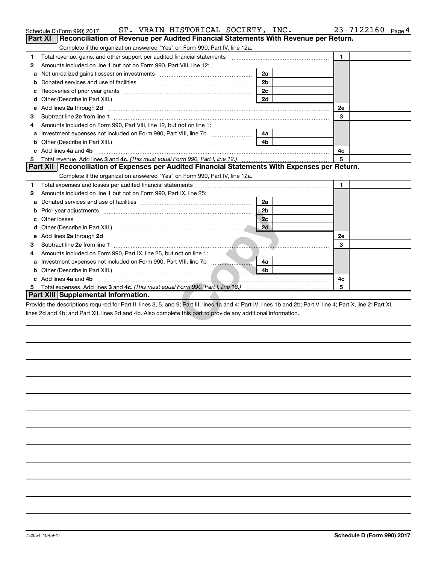|    | ST. VRAIN HISTORICAL SOCIETY, INC.<br>Schedule D (Form 990) 2017                                                                                                                                                                                                                 |                | 23-7122160 Page 4 |
|----|----------------------------------------------------------------------------------------------------------------------------------------------------------------------------------------------------------------------------------------------------------------------------------|----------------|-------------------|
|    | Reconciliation of Revenue per Audited Financial Statements With Revenue per Return.<br><b>Part XI</b>                                                                                                                                                                            |                |                   |
|    | Complete if the organization answered "Yes" on Form 990, Part IV, line 12a.                                                                                                                                                                                                      |                |                   |
| 1  | Total revenue, gains, and other support per audited financial statements [[[[[[[[[[[[[[[[[[[[[[[]]]]]]]]]]]]]                                                                                                                                                                    |                | $\mathbf{1}$      |
| 2  | Amounts included on line 1 but not on Form 990, Part VIII, line 12:                                                                                                                                                                                                              |                |                   |
| a  |                                                                                                                                                                                                                                                                                  | 2a             |                   |
| b  |                                                                                                                                                                                                                                                                                  | 2 <sub>b</sub> |                   |
| с  |                                                                                                                                                                                                                                                                                  | 2c             |                   |
| d  |                                                                                                                                                                                                                                                                                  | 2d             |                   |
| е  | Add lines 2a through 2d                                                                                                                                                                                                                                                          |                | 2e                |
| 3  |                                                                                                                                                                                                                                                                                  |                | 3                 |
|    | Amounts included on Form 990, Part VIII, line 12, but not on line 1:                                                                                                                                                                                                             |                |                   |
| а  | Investment expenses not included on Form 990, Part VIII, line 7b                                                                                                                                                                                                                 | 4a             |                   |
| b  |                                                                                                                                                                                                                                                                                  | 4 <sub>h</sub> |                   |
|    | Add lines 4a and 4b                                                                                                                                                                                                                                                              |                | 4c                |
| 5  |                                                                                                                                                                                                                                                                                  |                | 5                 |
|    | Part XII   Reconciliation of Expenses per Audited Financial Statements With Expenses per Return.                                                                                                                                                                                 |                |                   |
|    | Complete if the organization answered "Yes" on Form 990, Part IV, line 12a.                                                                                                                                                                                                      |                |                   |
| 1  |                                                                                                                                                                                                                                                                                  |                | 1                 |
| 2  | Amounts included on line 1 but not on Form 990, Part IX, line 25:                                                                                                                                                                                                                |                |                   |
| a  |                                                                                                                                                                                                                                                                                  | 2a             |                   |
| b  |                                                                                                                                                                                                                                                                                  | 2 <sub>b</sub> |                   |
|    |                                                                                                                                                                                                                                                                                  | 2c             |                   |
| d  | Other (Describe in Part XIII.) (Contract and Description of the United States of Theorem 2014)                                                                                                                                                                                   | 2d             |                   |
| e  | Add lines 2a through 2d <b>contract and the contract of the contract of the contract of the contract of the contract of the contract of the contract of the contract of the contract of the contract of the contract of the cont</b>                                             |                | 2е                |
| 3  |                                                                                                                                                                                                                                                                                  |                | 3                 |
| 4  | Amounts included on Form 990, Part IX, line 25, but not on line 1:                                                                                                                                                                                                               |                |                   |
| a  | Investment expenses not included on Form 990, Part VIII, line 7b [100]                                                                                                                                                                                                           | 4a             |                   |
| b  |                                                                                                                                                                                                                                                                                  | 4 <sub>b</sub> |                   |
|    | c Add lines 4a and 4b                                                                                                                                                                                                                                                            |                | 4c                |
| 5. |                                                                                                                                                                                                                                                                                  |                | 5                 |
|    | Part XIII Supplemental Information.                                                                                                                                                                                                                                              |                |                   |
|    | Provide the descriptions required for Part II, lines 3, 5, and 9; Part III, lines 1a and 4; Part IV, lines 1b and 2b; Part V, line 4; Part X, line 2; Part XI,<br>lines 2d and 4b; and Part XII, lines 2d and 4b. Also complete this part to provide any additional information. |                |                   |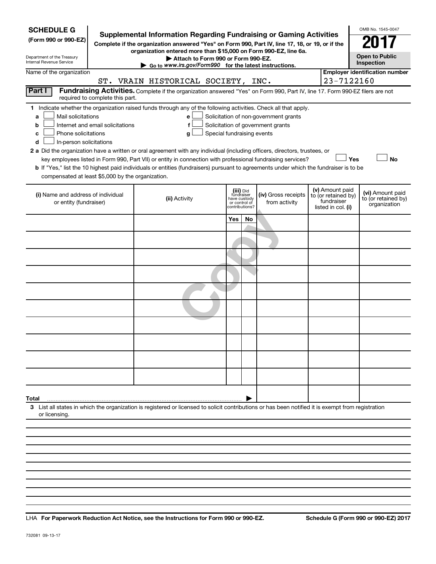| <b>SCHEDULE G</b><br>Supplemental Information Regarding Fundraising or Gaming Activities<br>(Form 990 or 990-EZ)<br>Complete if the organization answered "Yes" on Form 990, Part IV, line 17, 18, or 19, or if the<br>Department of the Treasury<br>Internal Revenue Service                                                                                                                                                                                                                                                                                                                                                                                                                                                                                                                                                             |                                                                                                                                                                     | OMB No. 1545-0047<br><b>Open to Public</b><br>Inspection                   |    |                                      |  |                                                                            |                                                         |
|-------------------------------------------------------------------------------------------------------------------------------------------------------------------------------------------------------------------------------------------------------------------------------------------------------------------------------------------------------------------------------------------------------------------------------------------------------------------------------------------------------------------------------------------------------------------------------------------------------------------------------------------------------------------------------------------------------------------------------------------------------------------------------------------------------------------------------------------|---------------------------------------------------------------------------------------------------------------------------------------------------------------------|----------------------------------------------------------------------------|----|--------------------------------------|--|----------------------------------------------------------------------------|---------------------------------------------------------|
| Name of the organization                                                                                                                                                                                                                                                                                                                                                                                                                                                                                                                                                                                                                                                                                                                                                                                                                  |                                                                                                                                                                     |                                                                            |    |                                      |  | 23-7122160                                                                 | <b>Employer identification number</b>                   |
| Part I                                                                                                                                                                                                                                                                                                                                                                                                                                                                                                                                                                                                                                                                                                                                                                                                                                    | ST. VRAIN HISTORICAL SOCIETY, INC.<br>Fundraising Activities. Complete if the organization answered "Yes" on Form 990, Part IV, line 17. Form 990-EZ filers are not |                                                                            |    |                                      |  |                                                                            |                                                         |
| required to complete this part.                                                                                                                                                                                                                                                                                                                                                                                                                                                                                                                                                                                                                                                                                                                                                                                                           |                                                                                                                                                                     |                                                                            |    |                                      |  |                                                                            |                                                         |
| 1 Indicate whether the organization raised funds through any of the following activities. Check all that apply.<br>Mail solicitations<br>Solicitation of non-government grants<br>a<br>e<br>Internet and email solicitations<br>Solicitation of government grants<br>b<br>f<br>Phone solicitations<br>Special fundraising events<br>с<br>g<br>In-person solicitations<br>d<br>2 a Did the organization have a written or oral agreement with any individual (including officers, directors, trustees, or<br>Yes<br><b>No</b><br>key employees listed in Form 990, Part VII) or entity in connection with professional fundraising services?<br>b If "Yes," list the 10 highest paid individuals or entities (fundraisers) pursuant to agreements under which the fundraiser is to be<br>compensated at least \$5,000 by the organization. |                                                                                                                                                                     |                                                                            |    |                                      |  |                                                                            |                                                         |
| (i) Name and address of individual<br>or entity (fundraiser)                                                                                                                                                                                                                                                                                                                                                                                                                                                                                                                                                                                                                                                                                                                                                                              | (ii) Activity                                                                                                                                                       | (iii) Did<br>fundraiser<br>have custody<br>or control of<br>contributions? |    | (iv) Gross receipts<br>from activity |  | (v) Amount paid<br>to (or retained by)<br>fundraiser<br>listed in col. (i) | (vi) Amount paid<br>to (or retained by)<br>organization |
|                                                                                                                                                                                                                                                                                                                                                                                                                                                                                                                                                                                                                                                                                                                                                                                                                                           |                                                                                                                                                                     | Yes                                                                        | No |                                      |  |                                                                            |                                                         |
|                                                                                                                                                                                                                                                                                                                                                                                                                                                                                                                                                                                                                                                                                                                                                                                                                                           |                                                                                                                                                                     |                                                                            |    |                                      |  |                                                                            |                                                         |
|                                                                                                                                                                                                                                                                                                                                                                                                                                                                                                                                                                                                                                                                                                                                                                                                                                           |                                                                                                                                                                     |                                                                            |    |                                      |  |                                                                            |                                                         |
|                                                                                                                                                                                                                                                                                                                                                                                                                                                                                                                                                                                                                                                                                                                                                                                                                                           |                                                                                                                                                                     |                                                                            |    |                                      |  |                                                                            |                                                         |
|                                                                                                                                                                                                                                                                                                                                                                                                                                                                                                                                                                                                                                                                                                                                                                                                                                           |                                                                                                                                                                     |                                                                            |    |                                      |  |                                                                            |                                                         |
|                                                                                                                                                                                                                                                                                                                                                                                                                                                                                                                                                                                                                                                                                                                                                                                                                                           |                                                                                                                                                                     |                                                                            |    |                                      |  |                                                                            |                                                         |
|                                                                                                                                                                                                                                                                                                                                                                                                                                                                                                                                                                                                                                                                                                                                                                                                                                           |                                                                                                                                                                     |                                                                            |    |                                      |  |                                                                            |                                                         |
|                                                                                                                                                                                                                                                                                                                                                                                                                                                                                                                                                                                                                                                                                                                                                                                                                                           |                                                                                                                                                                     |                                                                            |    |                                      |  |                                                                            |                                                         |
|                                                                                                                                                                                                                                                                                                                                                                                                                                                                                                                                                                                                                                                                                                                                                                                                                                           |                                                                                                                                                                     |                                                                            |    |                                      |  |                                                                            |                                                         |
|                                                                                                                                                                                                                                                                                                                                                                                                                                                                                                                                                                                                                                                                                                                                                                                                                                           |                                                                                                                                                                     |                                                                            |    |                                      |  |                                                                            |                                                         |
| Total                                                                                                                                                                                                                                                                                                                                                                                                                                                                                                                                                                                                                                                                                                                                                                                                                                     |                                                                                                                                                                     |                                                                            |    |                                      |  |                                                                            |                                                         |
| 3 List all states in which the organization is registered or licensed to solicit contributions or has been notified it is exempt from registration<br>or licensing.                                                                                                                                                                                                                                                                                                                                                                                                                                                                                                                                                                                                                                                                       |                                                                                                                                                                     |                                                                            |    |                                      |  |                                                                            |                                                         |
|                                                                                                                                                                                                                                                                                                                                                                                                                                                                                                                                                                                                                                                                                                                                                                                                                                           |                                                                                                                                                                     |                                                                            |    |                                      |  |                                                                            |                                                         |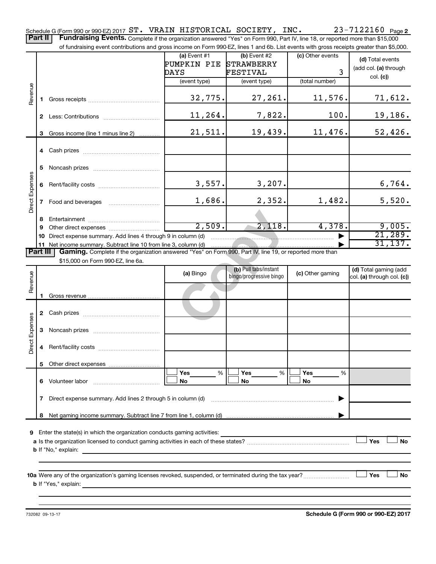23-7122160 Page 2 Schedule G (Form 990 or 990-EZ) 2017  $\texttt{ST\text{-}VRAIN \; HISTORICAL \; SOCIENT}$  ,  $\texttt{INC\text{-} } 23\text{-}7122160 \;$  Page

Part II | Fundraising Events. Complete if the organization answered "Yes" on Form 990, Part IV, line 18, or reported more than \$15,000 of fundraising event contributions and gross income on Form 990-EZ, lines 1 and 6b. List events with gross receipts greater than \$5,000.

|                        |                | naraionig overit continuations and gross income on rioninoco EE, illico i land ob. Elst overits with gross receipts groater than φο,σου |                  |                         |                  |                            |
|------------------------|----------------|-----------------------------------------------------------------------------------------------------------------------------------------|------------------|-------------------------|------------------|----------------------------|
|                        |                |                                                                                                                                         | $(a)$ Event #1   | $(b)$ Event #2          | (c) Other events | (d) Total events           |
|                        |                |                                                                                                                                         | PUMPKIN PIE      | <b>STRAWBERRY</b>       |                  | (add col. (a) through      |
|                        |                |                                                                                                                                         | FESTIVAL<br>DAYS |                         | $\overline{3}$   | col. (c)                   |
|                        |                |                                                                                                                                         | (event type)     | (event type)            | (total number)   |                            |
|                        |                |                                                                                                                                         |                  |                         |                  |                            |
| Revenue                | 1.             |                                                                                                                                         | 32,775.          | 27, 261.                | 11,576.          | 71,612.                    |
|                        |                |                                                                                                                                         |                  |                         |                  |                            |
|                        |                |                                                                                                                                         | 11,264.          | 7,822.                  | 100.             | 19, 186.                   |
|                        |                |                                                                                                                                         |                  |                         |                  |                            |
|                        | 3              | Gross income (line 1 minus line 2)                                                                                                      | 21,511.          | 19,439.                 | 11,476.          | 52,426.                    |
|                        |                |                                                                                                                                         |                  |                         |                  |                            |
|                        |                |                                                                                                                                         |                  |                         |                  |                            |
|                        |                |                                                                                                                                         |                  |                         |                  |                            |
|                        | 5              |                                                                                                                                         |                  |                         |                  |                            |
| <b>Direct Expenses</b> |                |                                                                                                                                         | 3,557.           | 3,207.                  |                  | 6,764.                     |
|                        |                |                                                                                                                                         |                  |                         |                  |                            |
|                        |                |                                                                                                                                         | 1,686.           | 2,352.                  | 1,482.           | 5,520.                     |
|                        | $\overline{7}$ |                                                                                                                                         |                  |                         |                  |                            |
|                        | 8              |                                                                                                                                         |                  |                         |                  |                            |
|                        | 9              |                                                                                                                                         | 2,509.           | 2,118.                  | 4,378.           | 9,005.                     |
|                        | 10             | Direct expense summary. Add lines 4 through 9 in column (d)                                                                             |                  |                         |                  | 21,289.                    |
|                        |                | 11 Net income summary. Subtract line 10 from line 3, column (d)                                                                         |                  |                         |                  | 31, 137.                   |
| Part III               |                | Gaming. Complete if the organization answered "Yes" on Form 990, Part IV, line 19, or reported more than                                |                  |                         |                  |                            |
|                        |                | \$15,000 on Form 990-EZ, line 6a.                                                                                                       |                  |                         |                  |                            |
|                        |                |                                                                                                                                         |                  | (b) Pull tabs/instant   |                  | (d) Total gaming (add      |
| Revenue                |                |                                                                                                                                         | (a) Bingo        | bingo/progressive bingo | (c) Other gaming | col. (a) through col. (c)) |
|                        |                |                                                                                                                                         |                  |                         |                  |                            |
|                        |                |                                                                                                                                         |                  |                         |                  |                            |
|                        |                |                                                                                                                                         |                  |                         |                  |                            |
|                        |                |                                                                                                                                         |                  |                         |                  |                            |
|                        |                |                                                                                                                                         |                  |                         |                  |                            |
|                        |                |                                                                                                                                         |                  |                         |                  |                            |
|                        |                |                                                                                                                                         |                  |                         |                  |                            |
| Direct Expenses        |                |                                                                                                                                         |                  |                         |                  |                            |
|                        |                |                                                                                                                                         |                  |                         |                  |                            |

**9** Enter the state(s) in which the organization conducts gaming activities:

**8** Net gaming income summary. Subtract line 7 from line 1, column (d)

Volunteer labor ~~~~~~~~~~~~~

| a Is the organization licensed to conduct gaming activities in each of these states? |  | Yes | No |
|--------------------------------------------------------------------------------------|--|-----|----|
| <b>b</b> If "No." explain:                                                           |  |     |    |

**Yes Yes Yes** % % %

|

**No No No**

 $|\Box$  Yes  $\qquad \%$   $|\Box$  Yes  $\qquad \%$   $|\Box$  $|\Box$  No  $|\Box$  No  $|\Box$ 

**10 a Yes No** Were any of the organization's gaming licenses revoked, suspended, or terminated during the tax year? ~~~~~~~~~ † † **b** If "Yes," explain:

**7** Direct expense summary. Add lines 2 through 5 in column (d) ~~~~~~~~~~~~~~~~~~~~~~~~ |

732082 09-13-17

**5** Other direct expenses

**6** Volunteer labor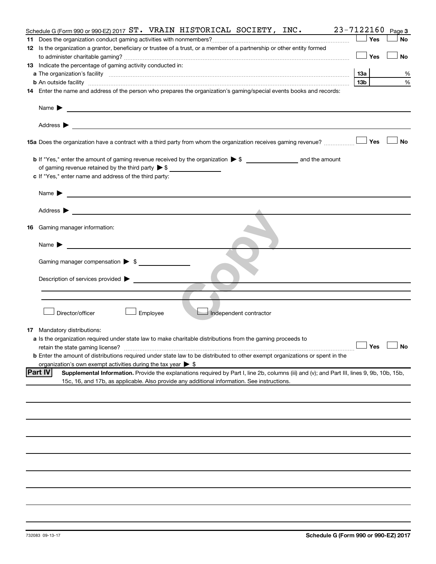| Schedule G (Form 990 or 990-EZ) 2017 $ST.$ VRAIN HISTORICAL SOCIETY, INC.                                                                                                                                                                                    |                 | $23 - 7122160$ Page 3 |
|--------------------------------------------------------------------------------------------------------------------------------------------------------------------------------------------------------------------------------------------------------------|-----------------|-----------------------|
|                                                                                                                                                                                                                                                              | Yes             | No                    |
| 12 Is the organization a grantor, beneficiary or trustee of a trust, or a member of a partnership or other entity formed                                                                                                                                     |                 |                       |
|                                                                                                                                                                                                                                                              | Yes             | No                    |
| 13 Indicate the percentage of gaming activity conducted in:                                                                                                                                                                                                  |                 |                       |
| a The organization's facility [11, 2003] The organization's facility [2003] The organization's facility [2003]                                                                                                                                               | 1За             | %                     |
|                                                                                                                                                                                                                                                              | 13 <sub>b</sub> | %                     |
| 14 Enter the name and address of the person who prepares the organization's gaming/special events books and records:                                                                                                                                         |                 |                       |
|                                                                                                                                                                                                                                                              |                 |                       |
| <u>and the contract of the contract of the contract of the contract of the contract of the contract of the contract of</u><br>Name $\blacktriangleright$                                                                                                     |                 |                       |
|                                                                                                                                                                                                                                                              |                 |                       |
| 15a Does the organization have a contract with a third party from whom the organization receives gaming revenue?                                                                                                                                             | Yes             | <b>No</b>             |
|                                                                                                                                                                                                                                                              |                 |                       |
| of gaming revenue retained by the third party $\triangleright$ \$                                                                                                                                                                                            |                 |                       |
| c If "Yes," enter name and address of the third party:                                                                                                                                                                                                       |                 |                       |
|                                                                                                                                                                                                                                                              |                 |                       |
| <u> 1989 - Johann Stein, marwolaethau a bhann an t-Amhainn an t-Amhainn an t-Amhainn an t-Amhainn an t-Amhainn an</u><br>Name $\blacktriangleright$                                                                                                          |                 |                       |
| Address $\blacktriangleright$                                                                                                                                                                                                                                |                 |                       |
|                                                                                                                                                                                                                                                              |                 |                       |
| <b>16</b> Gaming manager information:                                                                                                                                                                                                                        |                 |                       |
| <u> 1989 - Johann Barbara, martxa a</u><br>Name $\blacktriangleright$                                                                                                                                                                                        |                 |                       |
|                                                                                                                                                                                                                                                              |                 |                       |
| Gaming manager compensation $\triangleright$ \$                                                                                                                                                                                                              |                 |                       |
| Description of services provided >                                                                                                                                                                                                                           |                 |                       |
|                                                                                                                                                                                                                                                              |                 |                       |
|                                                                                                                                                                                                                                                              |                 |                       |
| Director/officer<br>Employee<br>Independent contractor                                                                                                                                                                                                       |                 |                       |
| <b>17</b> Mandatory distributions:                                                                                                                                                                                                                           |                 |                       |
| <b>a</b> Is the organization required under state law to make charitable distributions from the gaming proceeds to                                                                                                                                           |                 |                       |
|                                                                                                                                                                                                                                                              |                 | $\Box$ Yes $\Box$ No  |
| <b>b</b> Enter the amount of distributions required under state law to be distributed to other exempt organizations or spent in the                                                                                                                          |                 |                       |
| organization's own exempt activities during the tax year $\triangleright$ \$                                                                                                                                                                                 |                 |                       |
| <b>Part IV</b><br>Supplemental Information. Provide the explanations required by Part I, line 2b, columns (iii) and (v); and Part III, lines 9, 9b, 10b, 15b,<br>15c, 16, and 17b, as applicable. Also provide any additional information. See instructions. |                 |                       |
|                                                                                                                                                                                                                                                              |                 |                       |
|                                                                                                                                                                                                                                                              |                 |                       |
|                                                                                                                                                                                                                                                              |                 |                       |
|                                                                                                                                                                                                                                                              |                 |                       |
|                                                                                                                                                                                                                                                              |                 |                       |
|                                                                                                                                                                                                                                                              |                 |                       |
|                                                                                                                                                                                                                                                              |                 |                       |
|                                                                                                                                                                                                                                                              |                 |                       |
|                                                                                                                                                                                                                                                              |                 |                       |
|                                                                                                                                                                                                                                                              |                 |                       |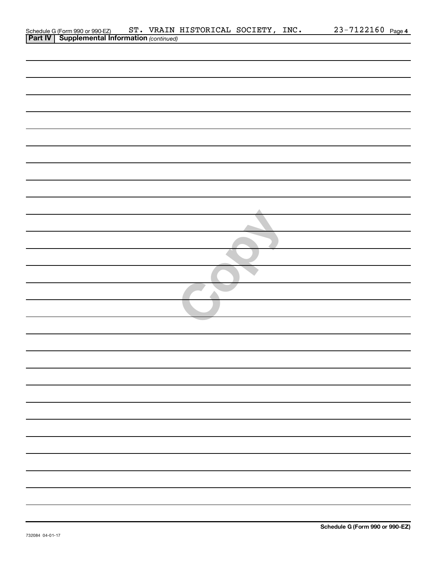| Schedule G (Form 990 or 990-EZ) ST. VRAIN 3<br>Part IV   Supplemental Information (continued) |
|-----------------------------------------------------------------------------------------------|
|                                                                                               |
|                                                                                               |
|                                                                                               |
|                                                                                               |
|                                                                                               |
|                                                                                               |
|                                                                                               |
|                                                                                               |
|                                                                                               |
|                                                                                               |
|                                                                                               |
|                                                                                               |
|                                                                                               |
|                                                                                               |
|                                                                                               |
|                                                                                               |
|                                                                                               |
|                                                                                               |
|                                                                                               |
|                                                                                               |
|                                                                                               |
|                                                                                               |
|                                                                                               |
|                                                                                               |
|                                                                                               |
|                                                                                               |
|                                                                                               |
|                                                                                               |
|                                                                                               |
|                                                                                               |
|                                                                                               |
|                                                                                               |
|                                                                                               |
|                                                                                               |
|                                                                                               |
|                                                                                               |
|                                                                                               |
|                                                                                               |
|                                                                                               |
|                                                                                               |
|                                                                                               |
|                                                                                               |
|                                                                                               |
|                                                                                               |
|                                                                                               |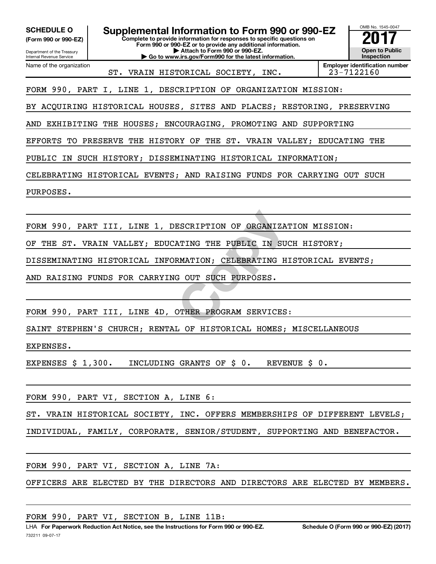**(Form 990 or 990-EZ)**

Internal Revenue Service

Department of the Treasury

Name of the organization

**Complete to provide information for responses to specific questions on Form 990 or 990-EZ or to provide any additional information. | Attach to Form 990 or 990-EZ. | Go to www.irs.gov/Form990 for the latest information. SCHEDULE O Supplemental Information to Form 990 or 990-EZ** <br>(Form 990 or 990-EZ) Complete to provide information for responses to specific questions on



ST. VRAIN HISTORICAL SOCIETY, INC. 23-7122160

FORM 990, PART I, LINE 1, DESCRIPTION OF ORGANIZATION MISSION:

BY ACQUIRING HISTORICAL HOUSES, SITES AND PLACES; RESTORING, PRESERVING

AND EXHIBITING THE HOUSES; ENCOURAGING, PROMOTING AND SUPPORTING

EFFORTS TO PRESERVE THE HISTORY OF THE ST. VRAIN VALLEY; EDUCATING THE

PUBLIC IN SUCH HISTORY; DISSEMINATING HISTORICAL INFORMATION;

CELEBRATING HISTORICAL EVENTS; AND RAISING FUNDS FOR CARRYING OUT SUCH

PURPOSES.

ESCRIPTION OF ORGANIZATION<br>ATING THE PUBLIC IN SUCH<br>RMATION; CELEBRATING HIST<br>G OUT SUCH PURPOSES.<br>OTHER PROGRAM SERVICES: FORM 990, PART III, LINE 1, DESCRIPTION OF ORGANIZATION MISSION:

OF THE ST. VRAIN VALLEY; EDUCATING THE PUBLIC IN SUCH HISTORY;

DISSEMINATING HISTORICAL INFORMATION; CELEBRATING HISTORICAL EVENTS;

AND RAISING FUNDS FOR CARRYING OUT SUCH PURPOSES.

FORM 990, PART III, LINE 4D, OTHER PROGRAM SERVICES:

SAINT STEPHEN'S CHURCH; RENTAL OF HISTORICAL HOMES; MISCELLANEOUS

EXPENSES.

EXPENSES \$ 1,300. INCLUDING GRANTS OF \$ 0. REVENUE \$ 0.

FORM 990, PART VI, SECTION A, LINE 6:

ST. VRAIN HISTORICAL SOCIETY, INC. OFFERS MEMBERSHIPS OF DIFFERENT LEVELS;

INDIVIDUAL, FAMILY, CORPORATE, SENIOR/STUDENT, SUPPORTING AND BENEFACTOR.

FORM 990, PART VI, SECTION A, LINE 7A:

OFFICERS ARE ELECTED BY THE DIRECTORS AND DIRECTORS ARE ELECTED BY MEMBERS.

| FORM 990, PART VI, SECTION B, LINE 11B: |  |
|-----------------------------------------|--|
|-----------------------------------------|--|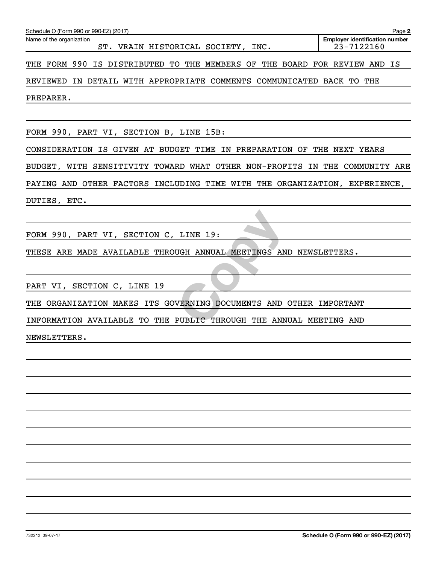| Schedule O (Form 990 or 990-EZ) (2017)                                      | Page 2                                              |
|-----------------------------------------------------------------------------|-----------------------------------------------------|
| Name of the organization<br>ST. VRAIN HISTORICAL SOCIETY, INC.              | <b>Employer identification number</b><br>23-7122160 |
| THE FORM 990 IS DISTRIBUTED TO THE MEMBERS OF THE BOARD FOR REVIEW AND IS   |                                                     |
| REVIEWED IN DETAIL WITH APPROPRIATE COMMENTS COMMUNICATED BACK TO THE       |                                                     |
| PREPARER.                                                                   |                                                     |
|                                                                             |                                                     |
| FORM 990, PART VI, SECTION B, LINE 15B:                                     |                                                     |
| CONSIDERATION IS GIVEN AT BUDGET TIME IN PREPARATION OF THE NEXT YEARS      |                                                     |
| BUDGET, WITH SENSITIVITY TOWARD WHAT OTHER NON-PROFITS IN THE COMMUNITY ARE |                                                     |
| PAYING AND OTHER FACTORS INCLUDING TIME WITH THE ORGANIZATION, EXPERIENCE,  |                                                     |
| DUTIES, ETC.                                                                |                                                     |
|                                                                             |                                                     |
| FORM 990, PART VI, SECTION C, LINE 19:                                      |                                                     |
| THESE ARE MADE AVAILABLE THROUGH ANNUAL MEETINGS AND NEWSLETTERS.           |                                                     |
|                                                                             |                                                     |
| PART VI, SECTION C, LINE 19                                                 |                                                     |
| THE ORGANIZATION MAKES ITS GOVERNING DOCUMENTS AND OTHER IMPORTANT          |                                                     |
| INFORMATION AVAILABLE TO THE PUBLIC THROUGH THE ANNUAL MEETING AND          |                                                     |
| NEWSLETTERS.                                                                |                                                     |
|                                                                             |                                                     |
|                                                                             |                                                     |
|                                                                             |                                                     |